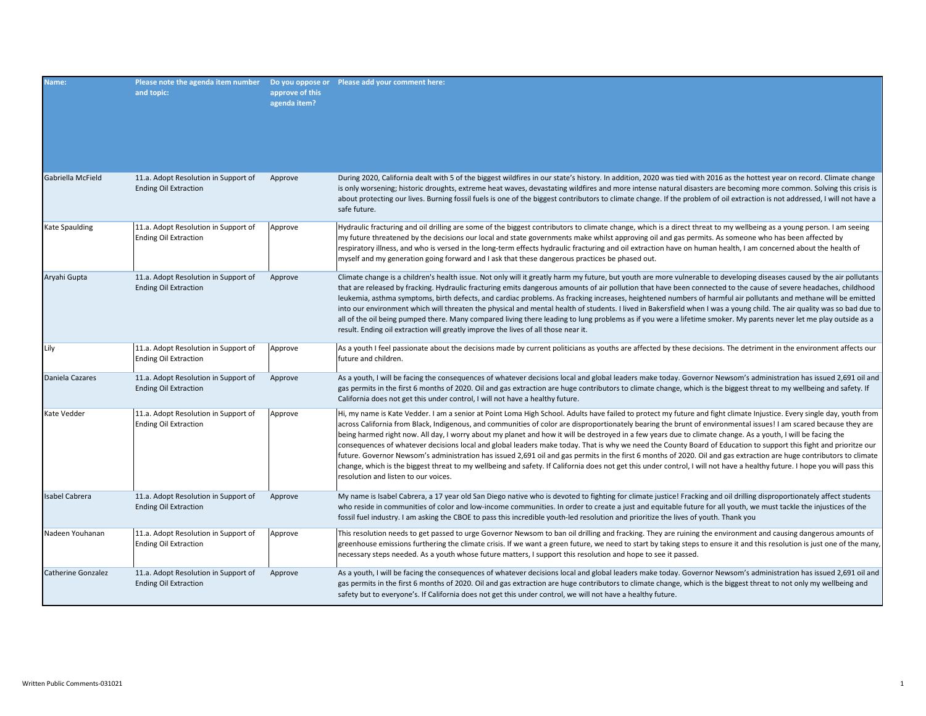| Name:                     | Please note the agenda item number  Do you oppose or  Please add your comment here:<br>and topic: | approve of this<br>agenda item? |                                                                                                                                                                                                                                                                                                                                                                                                                                                                                                                                                                                                                                                                                                                                                                                                                                                                                                                                                                                                                                                                                |
|---------------------------|---------------------------------------------------------------------------------------------------|---------------------------------|--------------------------------------------------------------------------------------------------------------------------------------------------------------------------------------------------------------------------------------------------------------------------------------------------------------------------------------------------------------------------------------------------------------------------------------------------------------------------------------------------------------------------------------------------------------------------------------------------------------------------------------------------------------------------------------------------------------------------------------------------------------------------------------------------------------------------------------------------------------------------------------------------------------------------------------------------------------------------------------------------------------------------------------------------------------------------------|
| Gabriella McField         | 11.a. Adopt Resolution in Support of<br><b>Ending Oil Extraction</b>                              | Approve                         | During 2020, California dealt with 5 of the biggest wildfires in our state's history. In addition, 2020 was tied with 2016 as the hottest year on record. Climate change<br>is only worsening; historic droughts, extreme heat waves, devastating wildfires and more intense natural disasters are becoming more common. Solving this crisis is<br>about protecting our lives. Burning fossil fuels is one of the biggest contributors to climate change. If the problem of oil extraction is not addressed, I will not have a<br>safe future.                                                                                                                                                                                                                                                                                                                                                                                                                                                                                                                                 |
| Kate Spaulding            | 11.a. Adopt Resolution in Support of<br><b>Ending Oil Extraction</b>                              | Approve                         | Hydraulic fracturing and oil drilling are some of the biggest contributors to climate change, which is a direct threat to my wellbeing as a young person. I am seeing<br>my future threatened by the decisions our local and state governments make whilst approving oil and gas permits. As someone who has been affected by<br>respiratory illness, and who is versed in the long-term effects hydraulic fracturing and oil extraction have on human health, I am concerned about the health of<br>myself and my generation going forward and I ask that these dangerous practices be phased out.                                                                                                                                                                                                                                                                                                                                                                                                                                                                            |
| Aryahi Gupta              | 11.a. Adopt Resolution in Support of<br><b>Ending Oil Extraction</b>                              | Approve                         | Climate change is a children's health issue. Not only will it greatly harm my future, but youth are more vulnerable to developing diseases caused by the air pollutants<br>that are released by fracking. Hydraulic fracturing emits dangerous amounts of air pollution that have been connected to the cause of severe headaches, childhood<br>leukemia, asthma symptoms, birth defects, and cardiac problems. As fracking increases, heightened numbers of harmful air pollutants and methane will be emitted<br>into our environment which will threaten the physical and mental health of students. I lived in Bakersfield when I was a young child. The air quality was so bad due to<br>all of the oil being pumped there. Many compared living there leading to lung problems as if you were a lifetime smoker. My parents never let me play outside as a<br>result. Ending oil extraction will greatly improve the lives of all those near it.                                                                                                                         |
| Lily                      | 11.a. Adopt Resolution in Support of<br><b>Ending Oil Extraction</b>                              | Approve                         | As a youth I feel passionate about the decisions made by current politicians as youths are affected by these decisions. The detriment in the environment affects our<br>future and children.                                                                                                                                                                                                                                                                                                                                                                                                                                                                                                                                                                                                                                                                                                                                                                                                                                                                                   |
| Daniela Cazares           | 11.a. Adopt Resolution in Support of<br><b>Ending Oil Extraction</b>                              | Approve                         | As a youth, I will be facing the consequences of whatever decisions local and global leaders make today. Governor Newsom's administration has issued 2,691 oil and<br>gas permits in the first 6 months of 2020. Oil and gas extraction are huge contributors to climate change, which is the biggest threat to my wellbeing and safety. If<br>California does not get this under control, I will not have a healthy future.                                                                                                                                                                                                                                                                                                                                                                                                                                                                                                                                                                                                                                                   |
| Kate Vedder               | 11.a. Adopt Resolution in Support of<br><b>Ending Oil Extraction</b>                              | Approve                         | Hi, my name is Kate Vedder. I am a senior at Point Loma High School. Adults have failed to protect my future and fight climate Injustice. Every single day, youth from<br>across California from Black, Indigenous, and communities of color are disproportionately bearing the brunt of environmental issues! I am scared because they are<br>being harmed right now. All day, I worry about my planet and how it will be destroyed in a few years due to climate change. As a youth, I will be facing the<br>consequences of whatever decisions local and global leaders make today. That is why we need the County Board of Education to support this fight and prioritze our<br>future. Governor Newsom's administration has issued 2,691 oil and gas permits in the first 6 months of 2020. Oil and gas extraction are huge contributors to climate<br>change, which is the biggest threat to my wellbeing and safety. If California does not get this under control, I will not have a healthy future. I hope you will pass this<br>resolution and listen to our voices. |
| <b>Isabel Cabrera</b>     | 11.a. Adopt Resolution in Support of<br><b>Ending Oil Extraction</b>                              | Approve                         | My name is Isabel Cabrera, a 17 year old San Diego native who is devoted to fighting for climate justice! Fracking and oil drilling disproportionately affect students<br>who reside in communities of color and low-income communities. In order to create a just and equitable future for all youth, we must tackle the injustices of the<br>fossil fuel industry. I am asking the CBOE to pass this incredible youth-led resolution and prioritize the lives of youth. Thank you                                                                                                                                                                                                                                                                                                                                                                                                                                                                                                                                                                                            |
| Nadeen Youhanan           | 11.a. Adopt Resolution in Support of<br><b>Ending Oil Extraction</b>                              | Approve                         | This resolution needs to get passed to urge Governor Newsom to ban oil drilling and fracking. They are ruining the environment and causing dangerous amounts of<br>greenhouse emissions furthering the climate crisis. If we want a green future, we need to start by taking steps to ensure it and this resolution is just one of the many,<br>necessary steps needed. As a youth whose future matters, I support this resolution and hope to see it passed.                                                                                                                                                                                                                                                                                                                                                                                                                                                                                                                                                                                                                  |
| <b>Catherine Gonzalez</b> | 11.a. Adopt Resolution in Support of<br><b>Ending Oil Extraction</b>                              | Approve                         | As a youth, I will be facing the consequences of whatever decisions local and global leaders make today. Governor Newsom's administration has issued 2,691 oil and<br>gas permits in the first 6 months of 2020. Oil and gas extraction are huge contributors to climate change, which is the biggest threat to not only my wellbeing and<br>safety but to everyone's. If California does not get this under control, we will not have a healthy future.                                                                                                                                                                                                                                                                                                                                                                                                                                                                                                                                                                                                                       |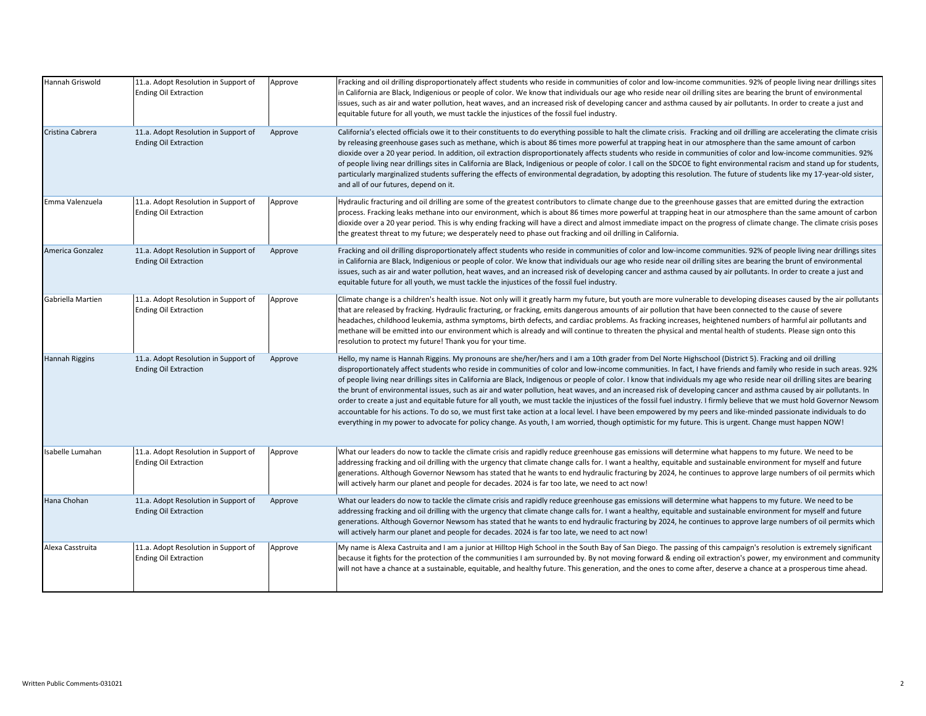| Hannah Griswold       | 11.a. Adopt Resolution in Support of<br><b>Ending Oil Extraction</b> | Approve | Fracking and oil drilling disproportionately affect students who reside in communities of color and low-income communities. 92% of people living near drillings sites<br>in California are Black, Indigenious or people of color. We know that individuals our age who reside near oil drilling sites are bearing the brunt of environmental<br>issues, such as air and water pollution, heat waves, and an increased risk of developing cancer and asthma caused by air pollutants. In order to create a just and<br>equitable future for all youth, we must tackle the injustices of the fossil fuel industry.                                                                                                                                                                                                                                                                                                                                                                                                                                                                                                                                                                              |
|-----------------------|----------------------------------------------------------------------|---------|-----------------------------------------------------------------------------------------------------------------------------------------------------------------------------------------------------------------------------------------------------------------------------------------------------------------------------------------------------------------------------------------------------------------------------------------------------------------------------------------------------------------------------------------------------------------------------------------------------------------------------------------------------------------------------------------------------------------------------------------------------------------------------------------------------------------------------------------------------------------------------------------------------------------------------------------------------------------------------------------------------------------------------------------------------------------------------------------------------------------------------------------------------------------------------------------------|
| Cristina Cabrera      | 11.a. Adopt Resolution in Support of<br><b>Ending Oil Extraction</b> | Approve | California's elected officials owe it to their constituents to do everything possible to halt the climate crisis. Fracking and oil drilling are accelerating the climate crisis<br>by releasing greenhouse gases such as methane, which is about 86 times more powerful at trapping heat in our atmosphere than the same amount of carbon<br>dioxide over a 20 year period. In addition, oil extraction disproportionately affects students who reside in communities of color and low-income communities. 92%<br>of people living near drillings sites in California are Black, Indigenious or people of color. I call on the SDCOE to fight environmental racism and stand up for students,<br>particularly marginalized students suffering the effects of environmental degradation, by adopting this resolution. The future of students like my 17-year-old sister,<br>and all of our futures, depend on it.                                                                                                                                                                                                                                                                              |
| Emma Valenzuela       | 11.a. Adopt Resolution in Support of<br><b>Ending Oil Extraction</b> | Approve | Hydraulic fracturing and oil drilling are some of the greatest contributors to climate change due to the greenhouse gasses that are emitted during the extraction<br>process. Fracking leaks methane into our environment, which is about 86 times more powerful at trapping heat in our atmosphere than the same amount of carbon<br>dioxide over a 20 year period. This is why ending fracking will have a direct and almost immediate impact on the progress of climate change. The climate crisis poses<br>the greatest threat to my future; we desperately need to phase out fracking and oil drilling in California.                                                                                                                                                                                                                                                                                                                                                                                                                                                                                                                                                                    |
| America Gonzalez      | 11.a. Adopt Resolution in Support of<br><b>Ending Oil Extraction</b> | Approve | Fracking and oil drilling disproportionately affect students who reside in communities of color and low-income communities. 92% of people living near drillings sites<br>in California are Black, Indigenious or people of color. We know that individuals our age who reside near oil drilling sites are bearing the brunt of environmental<br>issues, such as air and water pollution, heat waves, and an increased risk of developing cancer and asthma caused by air pollutants. In order to create a just and<br>equitable future for all youth, we must tackle the injustices of the fossil fuel industry.                                                                                                                                                                                                                                                                                                                                                                                                                                                                                                                                                                              |
| Gabriella Martien     | 11.a. Adopt Resolution in Support of<br><b>Ending Oil Extraction</b> | Approve | Climate change is a children's health issue. Not only will it greatly harm my future, but youth are more vulnerable to developing diseases caused by the air pollutants<br>that are released by fracking. Hydraulic fracturing, or fracking, emits dangerous amounts of air pollution that have been connected to the cause of severe<br>headaches, childhood leukemia, asthma symptoms, birth defects, and cardiac problems. As fracking increases, heightened numbers of harmful air pollutants and<br>methane will be emitted into our environment which is already and will continue to threaten the physical and mental health of students. Please sign onto this<br>resolution to protect my future! Thank you for your time.                                                                                                                                                                                                                                                                                                                                                                                                                                                           |
| <b>Hannah Riggins</b> | 11.a. Adopt Resolution in Support of<br><b>Ending Oil Extraction</b> | Approve | Hello, my name is Hannah Riggins. My pronouns are she/her/hers and I am a 10th grader from Del Norte Highschool (District 5). Fracking and oil drilling<br>disproportionately affect students who reside in communities of color and low-income communities. In fact, I have friends and family who reside in such areas. 92%<br>of people living near drillings sites in California are Black, Indigenous or people of color. I know that individuals my age who reside near oil drilling sites are bearing<br>the brunt of environmental issues, such as air and water pollution, heat waves, and an increased risk of developing cancer and asthma caused by air pollutants. In<br>order to create a just and equitable future for all youth, we must tackle the injustices of the fossil fuel industry. I firmly believe that we must hold Governor Newsom<br>accountable for his actions. To do so, we must first take action at a local level. I have been empowered by my peers and like-minded passionate individuals to do<br>everything in my power to advocate for policy change. As youth, I am worried, though optimistic for my future. This is urgent. Change must happen NOW! |
| Isabelle Lumahan      | 11.a. Adopt Resolution in Support of<br><b>Ending Oil Extraction</b> | Approve | What our leaders do now to tackle the climate crisis and rapidly reduce greenhouse gas emissions will determine what happens to my future. We need to be<br>addressing fracking and oil drilling with the urgency that climate change calls for. I want a healthy, equitable and sustainable environment for myself and future<br>generations. Although Governor Newsom has stated that he wants to end hydraulic fracturing by 2024, he continues to approve large numbers of oil permits which<br>will actively harm our planet and people for decades. 2024 is far too late, we need to act now!                                                                                                                                                                                                                                                                                                                                                                                                                                                                                                                                                                                           |
| Hana Chohan           | 11.a. Adopt Resolution in Support of<br><b>Ending Oil Extraction</b> | Approve | What our leaders do now to tackle the climate crisis and rapidly reduce greenhouse gas emissions will determine what happens to my future. We need to be<br>addressing fracking and oil drilling with the urgency that climate change calls for. I want a healthy, equitable and sustainable environment for myself and future<br>generations. Although Governor Newsom has stated that he wants to end hydraulic fracturing by 2024, he continues to approve large numbers of oil permits which<br>will actively harm our planet and people for decades. 2024 is far too late, we need to act now!                                                                                                                                                                                                                                                                                                                                                                                                                                                                                                                                                                                           |
| Alexa Casstruita      | 11.a. Adopt Resolution in Support of<br><b>Ending Oil Extraction</b> | Approve | My name is Alexa Castruita and I am a junior at Hilltop High School in the South Bay of San Diego. The passing of this campaign's resolution is extremely significant<br>because it fights for the protection of the communities I am surrounded by. By not moving forward & ending oil extraction's power, my environment and community<br>will not have a chance at a sustainable, equitable, and healthy future. This generation, and the ones to come after, deserve a chance at a prosperous time ahead.                                                                                                                                                                                                                                                                                                                                                                                                                                                                                                                                                                                                                                                                                 |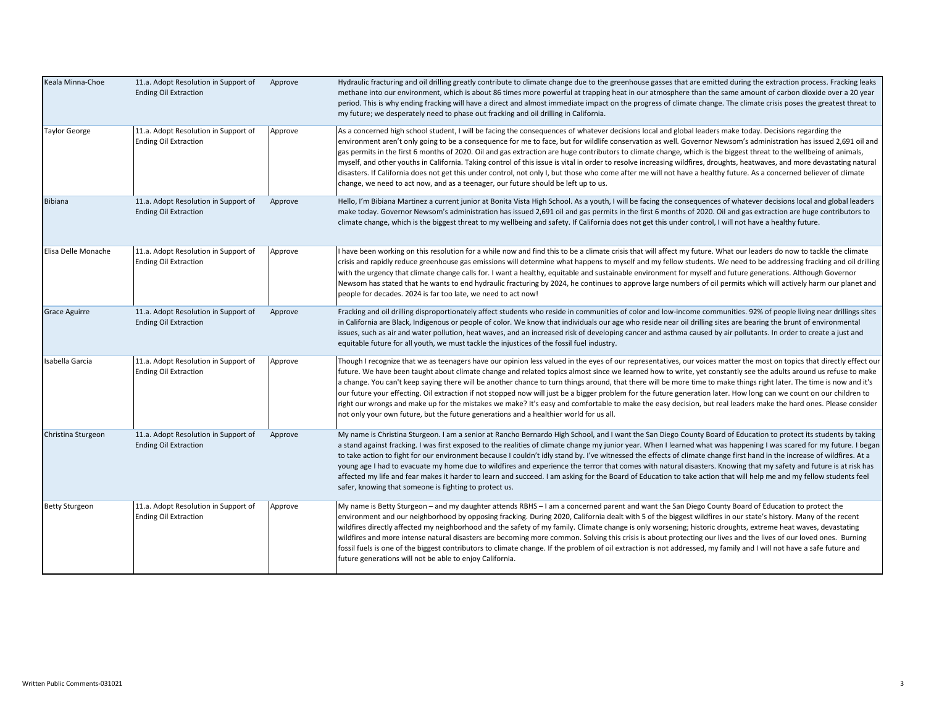| Keala Minna-Choe      | 11.a. Adopt Resolution in Support of<br><b>Ending Oil Extraction</b> | Approve | Hydraulic fracturing and oil drilling greatly contribute to climate change due to the greenhouse gasses that are emitted during the extraction process. Fracking leaks<br>methane into our environment, which is about 86 times more powerful at trapping heat in our atmosphere than the same amount of carbon dioxide over a 20 year<br>period. This is why ending fracking will have a direct and almost immediate impact on the progress of climate change. The climate crisis poses the greatest threat to<br>my future; we desperately need to phase out fracking and oil drilling in California.                                                                                                                                                                                                                                                                                                                                                   |
|-----------------------|----------------------------------------------------------------------|---------|-----------------------------------------------------------------------------------------------------------------------------------------------------------------------------------------------------------------------------------------------------------------------------------------------------------------------------------------------------------------------------------------------------------------------------------------------------------------------------------------------------------------------------------------------------------------------------------------------------------------------------------------------------------------------------------------------------------------------------------------------------------------------------------------------------------------------------------------------------------------------------------------------------------------------------------------------------------|
| <b>Taylor George</b>  | 11.a. Adopt Resolution in Support of<br><b>Ending Oil Extraction</b> | Approve | As a concerned high school student, I will be facing the consequences of whatever decisions local and global leaders make today. Decisions regarding the<br>environment aren't only going to be a consequence for me to face, but for wildlife conservation as well. Governor Newsom's administration has issued 2,691 oil and<br>gas permits in the first 6 months of 2020. Oil and gas extraction are huge contributors to climate change, which is the biggest threat to the wellbeing of animals,<br>myself, and other youths in California. Taking control of this issue is vital in order to resolve increasing wildfires, droughts, heatwaves, and more devastating natural<br>disasters. If California does not get this under control, not only I, but those who come after me will not have a healthy future. As a concerned believer of climate<br>change, we need to act now, and as a teenager, our future should be left up to us.          |
| <b>Bibiana</b>        | 11.a. Adopt Resolution in Support of<br><b>Ending Oil Extraction</b> | Approve | Hello, I'm Bibiana Martinez a current junior at Bonita Vista High School. As a youth, I will be facing the consequences of whatever decisions local and global leaders<br>make today. Governor Newsom's administration has issued 2,691 oil and gas permits in the first 6 months of 2020. Oil and gas extraction are huge contributors to<br>climate change, which is the biggest threat to my wellbeing and safety. If California does not get this under control, I will not have a healthy future.                                                                                                                                                                                                                                                                                                                                                                                                                                                    |
| Elisa Delle Monache   | 11.a. Adopt Resolution in Support of<br><b>Ending Oil Extraction</b> | Approve | I have been working on this resolution for a while now and find this to be a climate crisis that will affect my future. What our leaders do now to tackle the climate<br>crisis and rapidly reduce greenhouse gas emissions will determine what happens to myself and my fellow students. We need to be addressing fracking and oil drilling<br>with the urgency that climate change calls for. I want a healthy, equitable and sustainable environment for myself and future generations. Although Governor<br>Newsom has stated that he wants to end hydraulic fracturing by 2024, he continues to approve large numbers of oil permits which will actively harm our planet and<br>people for decades. 2024 is far too late, we need to act now!                                                                                                                                                                                                        |
| <b>Grace Aguirre</b>  | 11.a. Adopt Resolution in Support of<br><b>Ending Oil Extraction</b> | Approve | Fracking and oil drilling disproportionately affect students who reside in communities of color and low-income communities. 92% of people living near drillings sites<br>in California are Black, Indigenous or people of color. We know that individuals our age who reside near oil drilling sites are bearing the brunt of environmental<br>issues, such as air and water pollution, heat waves, and an increased risk of developing cancer and asthma caused by air pollutants. In order to create a just and<br>equitable future for all youth, we must tackle the injustices of the fossil fuel industry.                                                                                                                                                                                                                                                                                                                                           |
| Isabella Garcia       | 11.a. Adopt Resolution in Support of<br><b>Ending Oil Extraction</b> | Approve | Though I recognize that we as teenagers have our opinion less valued in the eyes of our representatives, our voices matter the most on topics that directly effect our<br>future. We have been taught about climate change and related topics almost since we learned how to write, yet constantly see the adults around us refuse to make<br>a change. You can't keep saying there will be another chance to turn things around, that there will be more time to make things right later. The time is now and it's<br>our future your effecting. Oil extraction if not stopped now will just be a bigger problem for the future generation later. How long can we count on our children to<br>right our wrongs and make up for the mistakes we make? It's easy and comfortable to make the easy decision, but real leaders make the hard ones. Please consider<br>not only your own future, but the future generations and a healthier world for us all. |
| Christina Sturgeon    | 11.a. Adopt Resolution in Support of<br><b>Ending Oil Extraction</b> | Approve | My name is Christina Sturgeon. I am a senior at Rancho Bernardo High School, and I want the San Diego County Board of Education to protect its students by taking<br>a stand against fracking. I was first exposed to the realities of climate change my junior year. When I learned what was happening I was scared for my future. I began<br>to take action to fight for our environment because I couldn't idly stand by. I've witnessed the effects of climate change first hand in the increase of wildfires. At a<br>young age I had to evacuate my home due to wildfires and experience the terror that comes with natural disasters. Knowing that my safety and future is at risk has<br>affected my life and fear makes it harder to learn and succeed. I am asking for the Board of Education to take action that will help me and my fellow students feel<br>safer, knowing that someone is fighting to protect us.                            |
| <b>Betty Sturgeon</b> | 11.a. Adopt Resolution in Support of<br><b>Ending Oil Extraction</b> | Approve | My name is Betty Sturgeon – and my daughter attends RBHS – I am a concerned parent and want the San Diego County Board of Education to protect the<br>environment and our neighborhood by opposing fracking. During 2020, California dealt with 5 of the biggest wildfires in our state's history. Many of the recent<br>wildfires directly affected my neighborhood and the safety of my family. Climate change is only worsening; historic droughts, extreme heat waves, devastating<br>wildfires and more intense natural disasters are becoming more common. Solving this crisis is about protecting our lives and the lives of our loved ones. Burning<br>fossil fuels is one of the biggest contributors to climate change. If the problem of oil extraction is not addressed, my family and I will not have a safe future and<br>future generations will not be able to enjoy California.                                                          |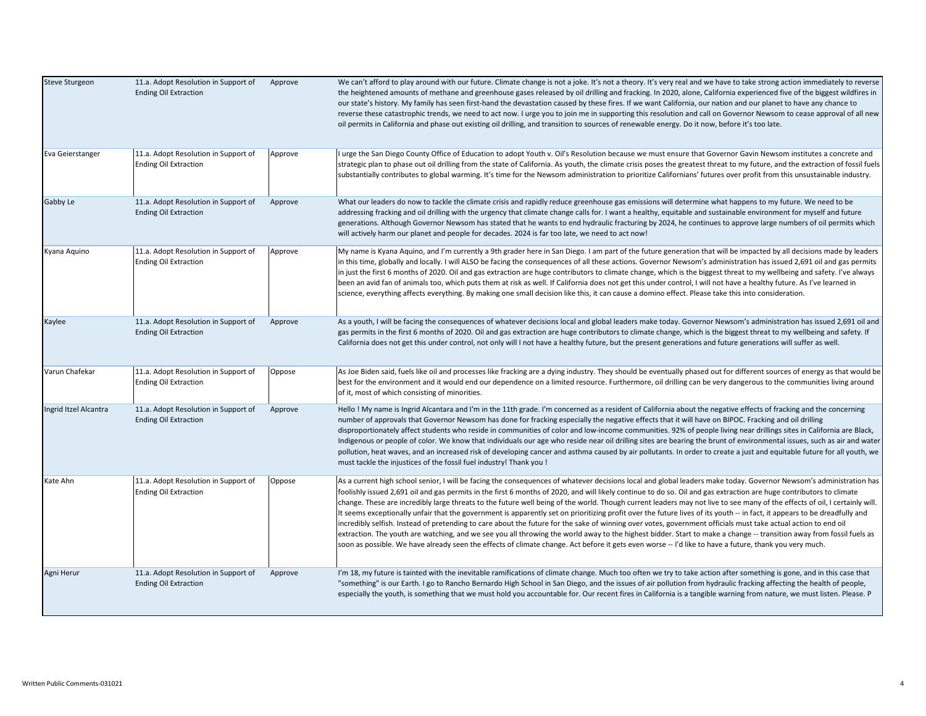| <b>Steve Sturgeon</b> | 11.a. Adopt Resolution in Support of<br><b>Ending Oil Extraction</b> | Approve | We can't afford to play around with our future. Climate change is not a joke. It's not a theory. It's very real and we have to take strong action immediately to reverse<br>the heightened amounts of methane and greenhouse gases released by oil drilling and fracking. In 2020, alone, California experienced five of the biggest wildfires in<br>our state's history. My family has seen first-hand the devastation caused by these fires. If we want California, our nation and our planet to have any chance to<br>reverse these catastrophic trends, we need to act now. I urge you to join me in supporting this resolution and call on Governor Newsom to cease approval of all new<br>oil permits in California and phase out existing oil drilling, and transition to sources of renewable energy. Do it now, before it's too late.                                                                                                                                                                                                                                                                                                                                                            |
|-----------------------|----------------------------------------------------------------------|---------|-----------------------------------------------------------------------------------------------------------------------------------------------------------------------------------------------------------------------------------------------------------------------------------------------------------------------------------------------------------------------------------------------------------------------------------------------------------------------------------------------------------------------------------------------------------------------------------------------------------------------------------------------------------------------------------------------------------------------------------------------------------------------------------------------------------------------------------------------------------------------------------------------------------------------------------------------------------------------------------------------------------------------------------------------------------------------------------------------------------------------------------------------------------------------------------------------------------|
| Eva Geierstanger      | 11.a. Adopt Resolution in Support of<br><b>Ending Oil Extraction</b> | Approve | I urge the San Diego County Office of Education to adopt Youth v. Oil's Resolution because we must ensure that Governor Gavin Newsom institutes a concrete and<br>strategic plan to phase out oil drilling from the state of California. As youth, the climate crisis poses the greatest threat to my future, and the extraction of fossil fuels<br>substantially contributes to global warming. It's time for the Newsom administration to prioritize Californians' futures over profit from this unsustainable industry.                                                                                                                                                                                                                                                                                                                                                                                                                                                                                                                                                                                                                                                                                |
| Gabby Le              | 11.a. Adopt Resolution in Support of<br><b>Ending Oil Extraction</b> | Approve | What our leaders do now to tackle the climate crisis and rapidly reduce greenhouse gas emissions will determine what happens to my future. We need to be<br>addressing fracking and oil drilling with the urgency that climate change calls for. I want a healthy, equitable and sustainable environment for myself and future<br>generations. Although Governor Newsom has stated that he wants to end hydraulic fracturing by 2024, he continues to approve large numbers of oil permits which<br>will actively harm our planet and people for decades. 2024 is far too late, we need to act now!                                                                                                                                                                                                                                                                                                                                                                                                                                                                                                                                                                                                       |
| Kyana Aquino          | 11.a. Adopt Resolution in Support of<br><b>Ending Oil Extraction</b> | Approve | My name is Kyana Aquino, and I'm currently a 9th grader here in San Diego. I am part of the future generation that will be impacted by all decisions made by leaders<br>in this time, globally and locally. I will ALSO be facing the consequences of all these actions. Governor Newsom's administration has issued 2,691 oil and gas permits<br>in just the first 6 months of 2020. Oil and gas extraction are huge contributors to climate change, which is the biggest threat to my wellbeing and safety. I've always<br>been an avid fan of animals too, which puts them at risk as well. If California does not get this under control, I will not have a healthy future. As I've learned in<br>science, everything affects everything. By making one small decision like this, it can cause a domino effect. Please take this into consideration.                                                                                                                                                                                                                                                                                                                                                  |
| Kaylee                | 11.a. Adopt Resolution in Support of<br><b>Ending Oil Extraction</b> | Approve | As a youth, I will be facing the consequences of whatever decisions local and global leaders make today. Governor Newsom's administration has issued 2,691 oil and<br>gas permits in the first 6 months of 2020. Oil and gas extraction are huge contributors to climate change, which is the biggest threat to my wellbeing and safety. If<br>California does not get this under control, not only will I not have a healthy future, but the present generations and future generations will suffer as well.                                                                                                                                                                                                                                                                                                                                                                                                                                                                                                                                                                                                                                                                                             |
| Varun Chafekar        | 11.a. Adopt Resolution in Support of<br><b>Ending Oil Extraction</b> | Oppose  | As Joe Biden said, fuels like oil and processes like fracking are a dying industry. They should be eventually phased out for different sources of energy as that would be<br>best for the environment and it would end our dependence on a limited resource. Furthermore, oil drilling can be very dangerous to the communities living around<br>of it, most of which consisting of minorities.                                                                                                                                                                                                                                                                                                                                                                                                                                                                                                                                                                                                                                                                                                                                                                                                           |
| Ingrid Itzel Alcantra | 11.a. Adopt Resolution in Support of<br><b>Ending Oil Extraction</b> | Approve | Hello! My name is Ingrid Alcantara and I'm in the 11th grade. I'm concerned as a resident of California about the negative effects of fracking and the concerning<br>number of approvals that Governor Newsom has done for fracking especially the negative effects that it will have on BIPOC. Fracking and oil drilling<br>disproportionately affect students who reside in communities of color and low-income communities. 92% of people living near drillings sites in California are Black,<br>Indigenous or people of color. We know that individuals our age who reside near oil drilling sites are bearing the brunt of environmental issues, such as air and water<br>pollution, heat waves, and an increased risk of developing cancer and asthma caused by air pollutants. In order to create a just and equitable future for all youth, we<br>must tackle the injustices of the fossil fuel industry! Thank you !                                                                                                                                                                                                                                                                            |
| Kate Ahn              | 11.a. Adopt Resolution in Support of<br><b>Ending Oil Extraction</b> | Oppose  | As a current high school senior, I will be facing the consequences of whatever decisions local and global leaders make today. Governor Newsom's administration has<br>foolishly issued 2,691 oil and gas permits in the first 6 months of 2020, and will likely continue to do so. Oil and gas extraction are huge contributors to climate<br>change. These are incredibly large threats to the future well being of the world. Though current leaders may not live to see many of the effects of oil, I certainly will.<br>It seems exceptionally unfair that the government is apparently set on prioritizing profit over the future lives of its youth -- in fact, it appears to be dreadfully and<br>incredibly selfish. Instead of pretending to care about the future for the sake of winning over votes, government officials must take actual action to end oil<br>extraction. The youth are watching, and we see you all throwing the world away to the highest bidder. Start to make a change -- transition away from fossil fuels as<br>soon as possible. We have already seen the effects of climate change. Act before it gets even worse -- I'd like to have a future, thank you very much. |
| Agni Herur            | 11.a. Adopt Resolution in Support of<br><b>Ending Oil Extraction</b> | Approve | I'm 18, my future is tainted with the inevitable ramifications of climate change. Much too often we try to take action after something is gone, and in this case that<br>"something" is our Earth. I go to Rancho Bernardo High School in San Diego, and the issues of air pollution from hydraulic fracking affecting the health of people,<br>especially the youth, is something that we must hold you accountable for. Our recent fires in California is a tangible warning from nature, we must listen. Please. P                                                                                                                                                                                                                                                                                                                                                                                                                                                                                                                                                                                                                                                                                     |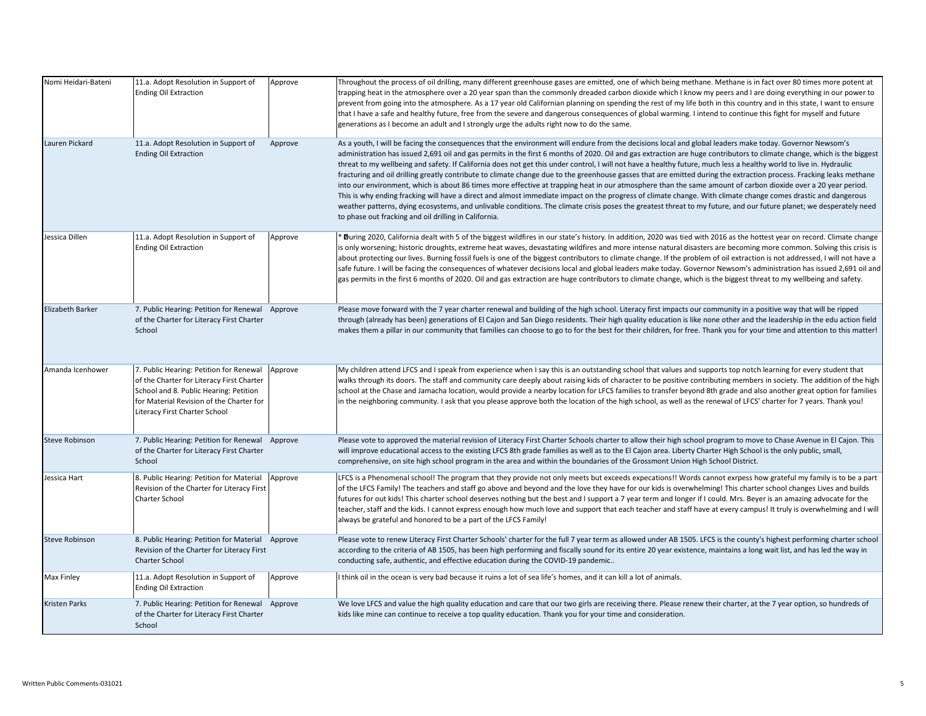| Nomi Heidari-Bateni   | 11.a. Adopt Resolution in Support of<br><b>Ending Oil Extraction</b>                                                                                                                                        | Approve | Throughout the process of oil drilling, many different greenhouse gases are emitted, one of which being methane. Methane is in fact over 80 times more potent at<br>trapping heat in the atmosphere over a 20 year span than the commonly dreaded carbon dioxide which I know my peers and I are doing everything in our power to<br>prevent from going into the atmosphere. As a 17 year old Californian planning on spending the rest of my life both in this country and in this state, I want to ensure<br>that I have a safe and healthy future, free from the severe and dangerous consequences of global warming. I intend to continue this fight for myself and future<br>generations as I become an adult and I strongly urge the adults right now to do the same.                                                                                                                                                                                                                                                                                                                                                                                                                                                                          |
|-----------------------|-------------------------------------------------------------------------------------------------------------------------------------------------------------------------------------------------------------|---------|------------------------------------------------------------------------------------------------------------------------------------------------------------------------------------------------------------------------------------------------------------------------------------------------------------------------------------------------------------------------------------------------------------------------------------------------------------------------------------------------------------------------------------------------------------------------------------------------------------------------------------------------------------------------------------------------------------------------------------------------------------------------------------------------------------------------------------------------------------------------------------------------------------------------------------------------------------------------------------------------------------------------------------------------------------------------------------------------------------------------------------------------------------------------------------------------------------------------------------------------------|
| Lauren Pickard        | 11.a. Adopt Resolution in Support of<br><b>Ending Oil Extraction</b>                                                                                                                                        | Approve | As a youth, I will be facing the consequences that the environment will endure from the decisions local and global leaders make today. Governor Newsom's<br>administration has issued 2,691 oil and gas permits in the first 6 months of 2020. Oil and gas extraction are huge contributors to climate change, which is the biggest<br>threat to my wellbeing and safety. If California does not get this under control, I will not have a healthy future, much less a healthy world to live in. Hydraulic<br>fracturing and oil drilling greatly contribute to climate change due to the greenhouse gasses that are emitted during the extraction process. Fracking leaks methane<br>into our environment, which is about 86 times more effective at trapping heat in our atmosphere than the same amount of carbon dioxide over a 20 year period.<br>This is why ending fracking will have a direct and almost immediate impact on the progress of climate change. With climate change comes drastic and dangerous<br>weather patterns, dying ecosystems, and unlivable conditions. The climate crisis poses the greatest threat to my future, and our future planet; we desperately need<br>to phase out fracking and oil drilling in California. |
| Jessica Dillen        | 11.a. Adopt Resolution in Support of<br><b>Ending Oil Extraction</b>                                                                                                                                        | Approve | During 2020, California dealt with 5 of the biggest wildfires in our state's history. In addition, 2020 was tied with 2016 as the hottest year on record. Climate change<br>is only worsening; historic droughts, extreme heat waves, devastating wildfires and more intense natural disasters are becoming more common. Solving this crisis is<br>about protecting our lives. Burning fossil fuels is one of the biggest contributors to climate change. If the problem of oil extraction is not addressed, I will not have a<br>safe future. I will be facing the consequences of whatever decisions local and global leaders make today. Governor Newsom's administration has issued 2,691 oil and<br>gas permits in the first 6 months of 2020. Oil and gas extraction are huge contributors to climate change, which is the biggest threat to my wellbeing and safety.                                                                                                                                                                                                                                                                                                                                                                          |
| Elizabeth Barker      | 7. Public Hearing: Petition for Renewal Approve<br>of the Charter for Literacy First Charter<br>School                                                                                                      |         | Please move forward with the 7 year charter renewal and building of the high school. Literacy first impacts our community in a positive way that will be ripped<br>through (already has been) generations of El Cajon and San Diego residents. Their high quality education is like none other and the leadership in the edu action field<br>makes them a pillar in our community that families can choose to go to for the best for their children, for free. Thank you for your time and attention to this matter!                                                                                                                                                                                                                                                                                                                                                                                                                                                                                                                                                                                                                                                                                                                                 |
| Amanda Icenhower      | 7. Public Hearing: Petition for Renewal<br>of the Charter for Literacy First Charter<br>School and 8. Public Hearing: Petition<br>for Material Revision of the Charter for<br>Literacy First Charter School | Approve | My children attend LFCS and I speak from experience when I say this is an outstanding school that values and supports top notch learning for every student that<br>walks through its doors. The staff and community care deeply about raising kids of character to be positive contributing members in society. The addition of the high<br>school at the Chase and Jamacha location, would provide a nearby location for LFCS families to transfer beyond 8th grade and also another great option for families<br>in the neighboring community. I ask that you please approve both the location of the high school, as well as the renewal of LFCS' charter for 7 years. Thank you!                                                                                                                                                                                                                                                                                                                                                                                                                                                                                                                                                                 |
| <b>Steve Robinson</b> | 7. Public Hearing: Petition for Renewal Approve<br>of the Charter for Literacy First Charter<br>School                                                                                                      |         | Please vote to approved the material revision of Literacy First Charter Schools charter to allow their high school program to move to Chase Avenue in El Cajon. This<br>will improve educational access to the existing LFCS 8th grade families as well as to the El Cajon area. Liberty Charter High School is the only public, small,<br>comprehensive, on site high school program in the area and within the boundaries of the Grossmont Union High School District.                                                                                                                                                                                                                                                                                                                                                                                                                                                                                                                                                                                                                                                                                                                                                                             |
| Jessica Hart          | 8. Public Hearing: Petition for Material<br>Revision of the Charter for Literacy First<br><b>Charter School</b>                                                                                             | Approve | LFCS is a Phenomenal school! The program that they provide not only meets but exceeds expecations!! Words cannot exrpess how grateful my family is to be a part<br>of the LFCS Family! The teachers and staff go above and beyond and the love they have for our kids is overwhelming! This charter school changes Lives and builds<br>futures for out kids! This charter school deserves nothing but the best and I support a 7 year term and longer if I could. Mrs. Beyer is an amazing advocate for the<br>teacher, staff and the kids. I cannot express enough how much love and support that each teacher and staff have at every campus! It truly is overwhelming and I will<br>always be grateful and honored to be a part of the LFCS Family!                                                                                                                                                                                                                                                                                                                                                                                                                                                                                               |
| <b>Steve Robinson</b> | 8. Public Hearing: Petition for Material Approve<br>Revision of the Charter for Literacy First<br><b>Charter School</b>                                                                                     |         | Please vote to renew Literacy First Charter Schools' charter for the full 7 year term as allowed under AB 1505. LFCS is the county's highest performing charter school<br>according to the criteria of AB 1505, has been high performing and fiscally sound for its entire 20 year existence, maintains a long wait list, and has led the way in<br>conducting safe, authentic, and effective education during the COVID-19 pandemic                                                                                                                                                                                                                                                                                                                                                                                                                                                                                                                                                                                                                                                                                                                                                                                                                 |
| Max Finley            | 11.a. Adopt Resolution in Support of<br><b>Ending Oil Extraction</b>                                                                                                                                        | Approve | I think oil in the ocean is very bad because it ruins a lot of sea life's homes, and it can kill a lot of animals.                                                                                                                                                                                                                                                                                                                                                                                                                                                                                                                                                                                                                                                                                                                                                                                                                                                                                                                                                                                                                                                                                                                                   |
| Kristen Parks         | 7. Public Hearing: Petition for Renewal Approve<br>of the Charter for Literacy First Charter<br>School                                                                                                      |         | We love LFCS and value the high quality education and care that our two girls are receiving there. Please renew their charter, at the 7 year option, so hundreds of<br>kids like mine can continue to receive a top quality education. Thank you for your time and consideration.                                                                                                                                                                                                                                                                                                                                                                                                                                                                                                                                                                                                                                                                                                                                                                                                                                                                                                                                                                    |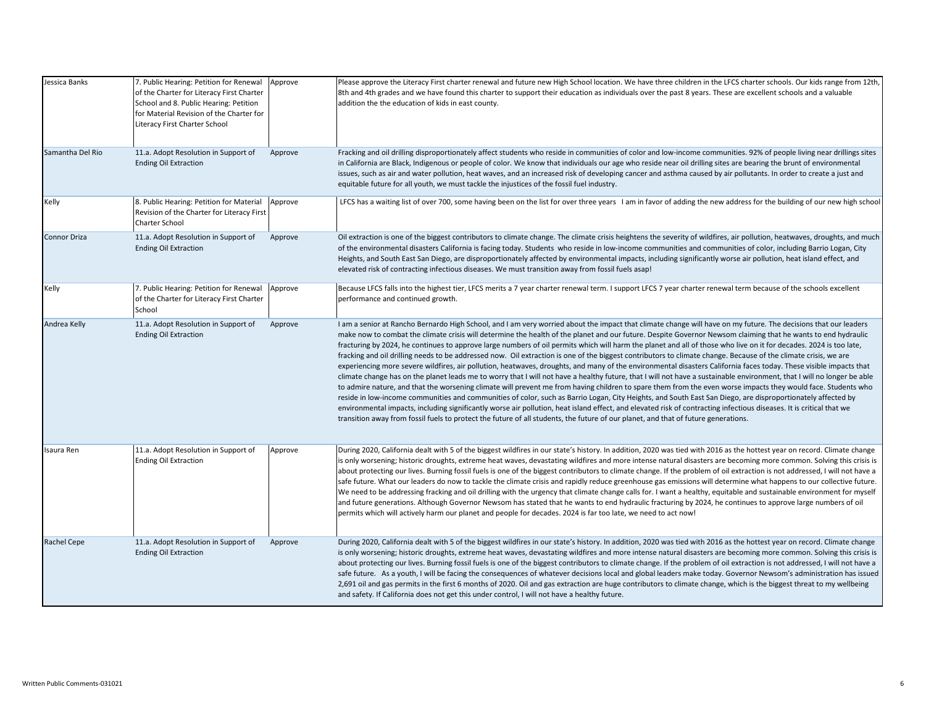| Jessica Banks    | 7. Public Hearing: Petition for Renewal<br>of the Charter for Literacy First Charter<br>School and 8. Public Hearing: Petition<br>for Material Revision of the Charter for<br>Literacy First Charter School | Approve | Please approve the Literacy First charter renewal and future new High School location. We have three children in the LFCS charter schools. Our kids range from 12th,<br>8th and 4th grades and we have found this charter to support their education as individuals over the past 8 years. These are excellent schools and a valuable<br>addition the the education of kids in east county.                                                                                                                                                                                                                                                                                                                                                                                                                                                                                                                                                                                                                                                                                                                                                                                                                                                                                                                                                                                                                                                                                                                                                                                                                                                                              |
|------------------|-------------------------------------------------------------------------------------------------------------------------------------------------------------------------------------------------------------|---------|--------------------------------------------------------------------------------------------------------------------------------------------------------------------------------------------------------------------------------------------------------------------------------------------------------------------------------------------------------------------------------------------------------------------------------------------------------------------------------------------------------------------------------------------------------------------------------------------------------------------------------------------------------------------------------------------------------------------------------------------------------------------------------------------------------------------------------------------------------------------------------------------------------------------------------------------------------------------------------------------------------------------------------------------------------------------------------------------------------------------------------------------------------------------------------------------------------------------------------------------------------------------------------------------------------------------------------------------------------------------------------------------------------------------------------------------------------------------------------------------------------------------------------------------------------------------------------------------------------------------------------------------------------------------------|
| Samantha Del Rio | 11.a. Adopt Resolution in Support of<br><b>Ending Oil Extraction</b>                                                                                                                                        | Approve | Fracking and oil drilling disproportionately affect students who reside in communities of color and low-income communities. 92% of people living near drillings sites<br>in California are Black, Indigenous or people of color. We know that individuals our age who reside near oil drilling sites are bearing the brunt of environmental<br>issues, such as air and water pollution, heat waves, and an increased risk of developing cancer and asthma caused by air pollutants. In order to create a just and<br>equitable future for all youth, we must tackle the injustices of the fossil fuel industry.                                                                                                                                                                                                                                                                                                                                                                                                                                                                                                                                                                                                                                                                                                                                                                                                                                                                                                                                                                                                                                                          |
| Kelly            | 8. Public Hearing: Petition for Material<br>Revision of the Charter for Literacy First<br>Charter School                                                                                                    | Approve | LFCS has a waiting list of over 700, some having been on the list for over three years I am in favor of adding the new address for the building of our new high school                                                                                                                                                                                                                                                                                                                                                                                                                                                                                                                                                                                                                                                                                                                                                                                                                                                                                                                                                                                                                                                                                                                                                                                                                                                                                                                                                                                                                                                                                                   |
| Connor Driza     | 11.a. Adopt Resolution in Support of<br><b>Ending Oil Extraction</b>                                                                                                                                        | Approve | Oil extraction is one of the biggest contributors to climate change. The climate crisis heightens the severity of wildfires, air pollution, heatwaves, droughts, and much<br>of the environmental disasters California is facing today. Students who reside in low-income communities and communities of color, including Barrio Logan, City<br>Heights, and South East San Diego, are disproportionately affected by environmental impacts, including significantly worse air pollution, heat island effect, and<br>elevated risk of contracting infectious diseases. We must transition away from fossil fuels asap!                                                                                                                                                                                                                                                                                                                                                                                                                                                                                                                                                                                                                                                                                                                                                                                                                                                                                                                                                                                                                                                   |
| Kelly            | 7. Public Hearing: Petition for Renewal<br>of the Charter for Literacy First Charter<br>School                                                                                                              | Approve | Because LFCS falls into the highest tier, LFCS merits a 7 year charter renewal term. I support LFCS 7 year charter renewal term because of the schools excellent<br>performance and continued growth.                                                                                                                                                                                                                                                                                                                                                                                                                                                                                                                                                                                                                                                                                                                                                                                                                                                                                                                                                                                                                                                                                                                                                                                                                                                                                                                                                                                                                                                                    |
| Andrea Kelly     | 11.a. Adopt Resolution in Support of<br><b>Ending Oil Extraction</b>                                                                                                                                        | Approve | I am a senior at Rancho Bernardo High School, and I am very worried about the impact that climate change will have on my future. The decisions that our leaders<br>make now to combat the climate crisis will determine the health of the planet and our future. Despite Governor Newsom claiming that he wants to end hydraulic<br>fracturing by 2024, he continues to approve large numbers of oil permits which will harm the planet and all of those who live on it for decades. 2024 is too late,<br>fracking and oil drilling needs to be addressed now. Oil extraction is one of the biggest contributors to climate change. Because of the climate crisis, we are<br>experiencing more severe wildfires, air pollution, heatwaves, droughts, and many of the environmental disasters California faces today. These visible impacts that<br>climate change has on the planet leads me to worry that I will not have a healthy future, that I will not have a sustainable environment, that I will no longer be able<br>to admire nature, and that the worsening climate will prevent me from having children to spare them from the even worse impacts they would face. Students who<br>reside in low-income communities and communities of color, such as Barrio Logan, City Heights, and South East San Diego, are disproportionately affected by<br>environmental impacts, including significantly worse air pollution, heat island effect, and elevated risk of contracting infectious diseases. It is critical that we<br>transition away from fossil fuels to protect the future of all students, the future of our planet, and that of future generations. |
| Isaura Ren       | 11.a. Adopt Resolution in Support of<br><b>Ending Oil Extraction</b>                                                                                                                                        | Approve | During 2020, California dealt with 5 of the biggest wildfires in our state's history. In addition, 2020 was tied with 2016 as the hottest year on record. Climate change<br>is only worsening; historic droughts, extreme heat waves, devastating wildfires and more intense natural disasters are becoming more common. Solving this crisis is<br>about protecting our lives. Burning fossil fuels is one of the biggest contributors to climate change. If the problem of oil extraction is not addressed, I will not have a<br>safe future. What our leaders do now to tackle the climate crisis and rapidly reduce greenhouse gas emissions will determine what happens to our collective future.<br>We need to be addressing fracking and oil drilling with the urgency that climate change calls for. I want a healthy, equitable and sustainable environment for myself<br>and future generations. Although Governor Newsom has stated that he wants to end hydraulic fracturing by 2024, he continues to approve large numbers of oil<br>permits which will actively harm our planet and people for decades. 2024 is far too late, we need to act now!                                                                                                                                                                                                                                                                                                                                                                                                                                                                                                           |
| Rachel Cepe      | 11.a. Adopt Resolution in Support of<br><b>Ending Oil Extraction</b>                                                                                                                                        | Approve | During 2020, California dealt with 5 of the biggest wildfires in our state's history. In addition, 2020 was tied with 2016 as the hottest year on record. Climate change<br>is only worsening; historic droughts, extreme heat waves, devastating wildfires and more intense natural disasters are becoming more common. Solving this crisis is<br>about protecting our lives. Burning fossil fuels is one of the biggest contributors to climate change. If the problem of oil extraction is not addressed, I will not have a<br>safe future. As a youth, I will be facing the consequences of whatever decisions local and global leaders make today. Governor Newsom's administration has issued<br>2,691 oil and gas permits in the first 6 months of 2020. Oil and gas extraction are huge contributors to climate change, which is the biggest threat to my wellbeing<br>and safety. If California does not get this under control, I will not have a healthy future.                                                                                                                                                                                                                                                                                                                                                                                                                                                                                                                                                                                                                                                                                              |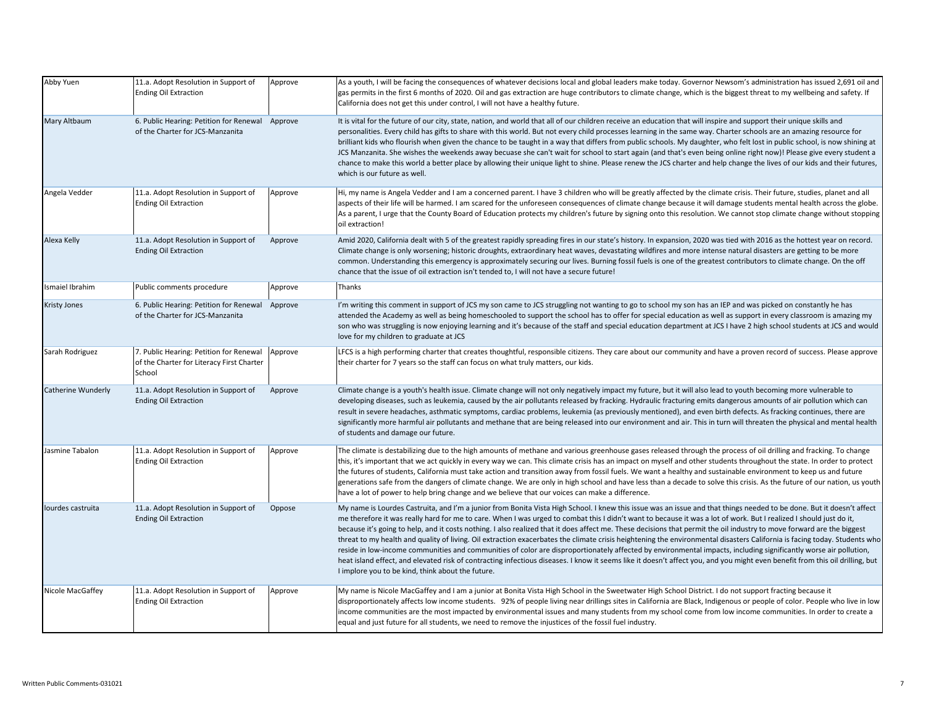| Abby Yuen           | 11.a. Adopt Resolution in Support of<br>Ending Oil Extraction                                  | Approve | As a youth, I will be facing the consequences of whatever decisions local and global leaders make today. Governor Newsom's administration has issued 2,691 oil and<br>gas permits in the first 6 months of 2020. Oil and gas extraction are huge contributors to climate change, which is the biggest threat to my wellbeing and safety. If<br>California does not get this under control, I will not have a healthy future.                                                                                                                                                                                                                                                                                                                                                                                                                                                                                                                                                                                                                                                                                |
|---------------------|------------------------------------------------------------------------------------------------|---------|-------------------------------------------------------------------------------------------------------------------------------------------------------------------------------------------------------------------------------------------------------------------------------------------------------------------------------------------------------------------------------------------------------------------------------------------------------------------------------------------------------------------------------------------------------------------------------------------------------------------------------------------------------------------------------------------------------------------------------------------------------------------------------------------------------------------------------------------------------------------------------------------------------------------------------------------------------------------------------------------------------------------------------------------------------------------------------------------------------------|
| Mary Altbaum        | 6. Public Hearing: Petition for Renewal Approve<br>of the Charter for JCS-Manzanita            |         | It is vital for the future of our city, state, nation, and world that all of our children receive an education that will inspire and support their unique skills and<br>personalities. Every child has gifts to share with this world. But not every child processes learning in the same way. Charter schools are an amazing resource for<br>brilliant kids who flourish when given the chance to be taught in a way that differs from public schools. My daughter, who felt lost in public school, is now shining at<br>JCS Manzanita. She wishes the weekends away becuase she can't wait for school to start again (and that's even being online right now)! Please give every student a<br>chance to make this world a better place by allowing their unique light to shine. Please renew the JCS charter and help change the lives of our kids and their futures,<br>which is our future as well.                                                                                                                                                                                                     |
| Angela Vedder       | 11.a. Adopt Resolution in Support of<br><b>Ending Oil Extraction</b>                           | Approve | Hi, my name is Angela Vedder and I am a concerned parent. I have 3 children who will be greatly affected by the climate crisis. Their future, studies, planet and all<br>aspects of their life will be harmed. I am scared for the unforeseen consequences of climate change because it will damage students mental health across the globe.<br>As a parent, I urge that the County Board of Education protects my children's future by signing onto this resolution. We cannot stop climate change without stopping<br>oil extraction!                                                                                                                                                                                                                                                                                                                                                                                                                                                                                                                                                                     |
| Alexa Kelly         | 11.a. Adopt Resolution in Support of<br><b>Ending Oil Extraction</b>                           | Approve | Amid 2020, California dealt with 5 of the greatest rapidly spreading fires in our state's history. In expansion, 2020 was tied with 2016 as the hottest year on record.<br>Climate change is only worsening; historic droughts, extraordinary heat waves, devastating wildfires and more intense natural disasters are getting to be more<br>common. Understanding this emergency is approximately securing our lives. Burning fossil fuels is one of the greatest contributors to climate change. On the off<br>chance that the issue of oil extraction isn't tended to, I will not have a secure future!                                                                                                                                                                                                                                                                                                                                                                                                                                                                                                  |
| smaiel Ibrahim      | Public comments procedure                                                                      | Approve | Thanks                                                                                                                                                                                                                                                                                                                                                                                                                                                                                                                                                                                                                                                                                                                                                                                                                                                                                                                                                                                                                                                                                                      |
| <b>Kristy Jones</b> | 6. Public Hearing: Petition for Renewal Approve<br>of the Charter for JCS-Manzanita            |         | I'm writing this comment in support of JCS my son came to JCS struggling not wanting to go to school my son has an IEP and was picked on constantly he has<br>attended the Academy as well as being homeschooled to support the school has to offer for special education as well as support in every classroom is amazing my<br>son who was struggling is now enjoying learning and it's because of the staff and special education department at JCS I have 2 high school students at JCS and would<br>love for my children to graduate at JCS                                                                                                                                                                                                                                                                                                                                                                                                                                                                                                                                                            |
| Sarah Rodriguez     | 7. Public Hearing: Petition for Renewal<br>of the Charter for Literacy First Charter<br>School | Approve | LFCS is a high performing charter that creates thoughtful, responsible citizens. They care about our community and have a proven record of success. Please approve<br>their charter for 7 years so the staff can focus on what truly matters, our kids.                                                                                                                                                                                                                                                                                                                                                                                                                                                                                                                                                                                                                                                                                                                                                                                                                                                     |
| Catherine Wunderly  | 11.a. Adopt Resolution in Support of<br><b>Ending Oil Extraction</b>                           | Approve | Climate change is a youth's health issue. Climate change will not only negatively impact my future, but it will also lead to youth becoming more vulnerable to<br>developing diseases, such as leukemia, caused by the air pollutants released by fracking. Hydraulic fracturing emits dangerous amounts of air pollution which can<br>result in severe headaches, asthmatic symptoms, cardiac problems, leukemia (as previously mentioned), and even birth defects. As fracking continues, there are<br>significantly more harmful air pollutants and methane that are being released into our environment and air. This in turn will threaten the physical and mental health<br>of students and damage our future.                                                                                                                                                                                                                                                                                                                                                                                        |
| Jasmine Tabalon     | 11.a. Adopt Resolution in Support of<br><b>Ending Oil Extraction</b>                           | Approve | The climate is destabilizing due to the high amounts of methane and various greenhouse gases released through the process of oil drilling and fracking. To change<br>this, it's important that we act quickly in every way we can. This climate crisis has an impact on myself and other students throughout the state. In order to protect<br>the futures of students, California must take action and transition away from fossil fuels. We want a healthy and sustainable environment to keep us and future<br>generations safe from the dangers of climate change. We are only in high school and have less than a decade to solve this crisis. As the future of our nation, us youth<br>have a lot of power to help bring change and we believe that our voices can make a difference.                                                                                                                                                                                                                                                                                                                 |
| lourdes castruita   | 11.a. Adopt Resolution in Support of<br><b>Ending Oil Extraction</b>                           | Oppose  | My name is Lourdes Castruita, and I'm a junior from Bonita Vista High School. I knew this issue was an issue and that things needed to be done. But it doesn't affect<br>me therefore it was really hard for me to care. When I was urged to combat this I didn't want to because it was a lot of work. But I realized I should just do it,<br>because it's going to help, and it costs nothing. I also realized that it does affect me. These decisions that permit the oil industry to move forward are the biggest<br>threat to my health and quality of living. Oil extraction exacerbates the climate crisis heightening the environmental disasters California is facing today. Students who<br>reside in low-income communities and communities of color are disproportionately affected by environmental impacts, including significantly worse air pollution,<br>heat island effect, and elevated risk of contracting infectious diseases. I know it seems like it doesn't affect you, and you might even benefit from this oil drilling, but<br>I implore you to be kind, think about the future. |
| Nicole MacGaffey    | 11.a. Adopt Resolution in Support of<br>Ending Oil Extraction                                  | Approve | My name is Nicole MacGaffey and I am a junior at Bonita Vista High School in the Sweetwater High School District. I do not support fracting because it<br>disproportionately affects low income students. 92% of people living near drillings sites in California are Black, Indigenous or people of color. People who live in low<br>income communities are the most impacted by environmental issues and many students from my school come from low income communities. In order to create a<br>equal and just future for all students, we need to remove the injustices of the fossil fuel industry.                                                                                                                                                                                                                                                                                                                                                                                                                                                                                                     |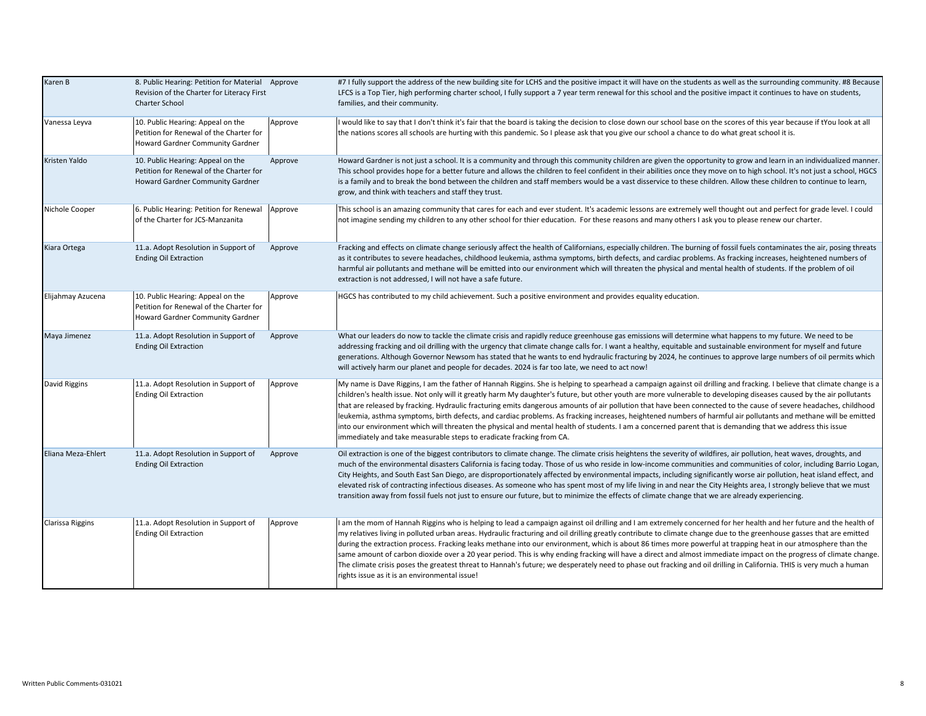| Karen B                 | 8. Public Hearing: Petition for Material Approve<br>Revision of the Charter for Literacy First<br><b>Charter School</b> |         | #7 I fully support the address of the new building site for LCHS and the positive impact it will have on the students as well as the surrounding community. #8 Because<br>LFCS is a Top Tier, high performing charter school, I fully support a 7 year term renewal for this school and the positive impact it continues to have on students,<br>families, and their community.                                                                                                                                                                                                                                                                                                                                                                                                                                                                                                                                               |
|-------------------------|-------------------------------------------------------------------------------------------------------------------------|---------|-------------------------------------------------------------------------------------------------------------------------------------------------------------------------------------------------------------------------------------------------------------------------------------------------------------------------------------------------------------------------------------------------------------------------------------------------------------------------------------------------------------------------------------------------------------------------------------------------------------------------------------------------------------------------------------------------------------------------------------------------------------------------------------------------------------------------------------------------------------------------------------------------------------------------------|
| Vanessa Leyva           | 10. Public Hearing: Appeal on the<br>Petition for Renewal of the Charter for<br>Howard Gardner Community Gardner        | Approve | I would like to say that I don't think it's fair that the board is taking the decision to close down our school base on the scores of this year because if tYou look at all<br>the nations scores all schools are hurting with this pandemic. So I please ask that you give our school a chance to do what great school it is.                                                                                                                                                                                                                                                                                                                                                                                                                                                                                                                                                                                                |
| Kristen Yaldo           | 10. Public Hearing: Appeal on the<br>Petition for Renewal of the Charter for<br>Howard Gardner Community Gardner        | Approve | Howard Gardner is not just a school. It is a community and through this community children are given the opportunity to grow and learn in an individualized manner.<br>This school provides hope for a better future and allows the children to feel confident in their abilities once they move on to high school. It's not just a school, HGCS<br>is a family and to break the bond between the children and staff members would be a vast disservice to these children. Allow these children to continue to learn,<br>grow, and think with teachers and staff they trust.                                                                                                                                                                                                                                                                                                                                                  |
| Nichole Cooper          | 6. Public Hearing: Petition for Renewal<br>of the Charter for JCS-Manzanita                                             | Approve | This school is an amazing community that cares for each and ever student. It's academic lessons are extremely well thought out and perfect for grade level. I could<br>not imagine sending my children to any other school for thier education. For these reasons and many others I ask you to please renew our charter.                                                                                                                                                                                                                                                                                                                                                                                                                                                                                                                                                                                                      |
| Kiara Ortega            | 11.a. Adopt Resolution in Support of<br><b>Ending Oil Extraction</b>                                                    | Approve | Fracking and effects on climate change seriously affect the health of Californians, especially children. The burning of fossil fuels contaminates the air, posing threats<br>as it contributes to severe headaches, childhood leukemia, asthma symptoms, birth defects, and cardiac problems. As fracking increases, heightened numbers of<br>harmful air pollutants and methane will be emitted into our environment which will threaten the physical and mental health of students. If the problem of oil<br>extraction is not addressed, I will not have a safe future.                                                                                                                                                                                                                                                                                                                                                    |
| Elijahmay Azucena       | 10. Public Hearing: Appeal on the<br>Petition for Renewal of the Charter for<br>Howard Gardner Community Gardner        | Approve | HGCS has contributed to my child achievement. Such a positive environment and provides equality education.                                                                                                                                                                                                                                                                                                                                                                                                                                                                                                                                                                                                                                                                                                                                                                                                                    |
| Maya Jimenez            | 11.a. Adopt Resolution in Support of<br><b>Ending Oil Extraction</b>                                                    | Approve | What our leaders do now to tackle the climate crisis and rapidly reduce greenhouse gas emissions will determine what happens to my future. We need to be<br>addressing fracking and oil drilling with the urgency that climate change calls for. I want a healthy, equitable and sustainable environment for myself and future<br>generations. Although Governor Newsom has stated that he wants to end hydraulic fracturing by 2024, he continues to approve large numbers of oil permits which<br>will actively harm our planet and people for decades. 2024 is far too late, we need to act now!                                                                                                                                                                                                                                                                                                                           |
| David Riggins           | 11.a. Adopt Resolution in Support of<br><b>Ending Oil Extraction</b>                                                    | Approve | My name is Dave Riggins, I am the father of Hannah Riggins. She is helping to spearhead a campaign against oil drilling and fracking. I believe that climate change is a<br>children's health issue. Not only will it greatly harm My daughter's future, but other youth are more vulnerable to developing diseases caused by the air pollutants<br>that are released by fracking. Hydraulic fracturing emits dangerous amounts of air pollution that have been connected to the cause of severe headaches, childhood<br>leukemia, asthma symptoms, birth defects, and cardiac problems. As fracking increases, heightened numbers of harmful air pollutants and methane will be emitted<br>into our environment which will threaten the physical and mental health of students. I am a concerned parent that is demanding that we address this issue<br>immediately and take measurable steps to eradicate fracking from CA. |
| Eliana Meza-Ehlert      | 11.a. Adopt Resolution in Support of<br><b>Ending Oil Extraction</b>                                                    | Approve | Oil extraction is one of the biggest contributors to climate change. The climate crisis heightens the severity of wildfires, air pollution, heat waves, droughts, and<br>much of the environmental disasters California is facing today. Those of us who reside in low-income communities and communities of color, including Barrio Logan,<br>City Heights, and South East San Diego, are disproportionately affected by environmental impacts, including significantly worse air pollution, heat island effect, and<br>elevated risk of contracting infectious diseases. As someone who has spent most of my life living in and near the City Heights area, I strongly believe that we must<br>transition away from fossil fuels not just to ensure our future, but to minimize the effects of climate change that we are already experiencing.                                                                             |
| <b>Clarissa Riggins</b> | 11.a. Adopt Resolution in Support of<br><b>Ending Oil Extraction</b>                                                    | Approve | I am the mom of Hannah Riggins who is helping to lead a campaign against oil drilling and I am extremely concerned for her health and her future and the health of<br>my relatives living in polluted urban areas. Hydraulic fracturing and oil drilling greatly contribute to climate change due to the greenhouse gasses that are emitted<br>during the extraction process. Fracking leaks methane into our environment, which is about 86 times more powerful at trapping heat in our atmosphere than the<br>same amount of carbon dioxide over a 20 year period. This is why ending fracking will have a direct and almost immediate impact on the progress of climate change.<br>The climate crisis poses the greatest threat to Hannah's future; we desperately need to phase out fracking and oil drilling in California. THIS is very much a human<br>rights issue as it is an environmental issue!                   |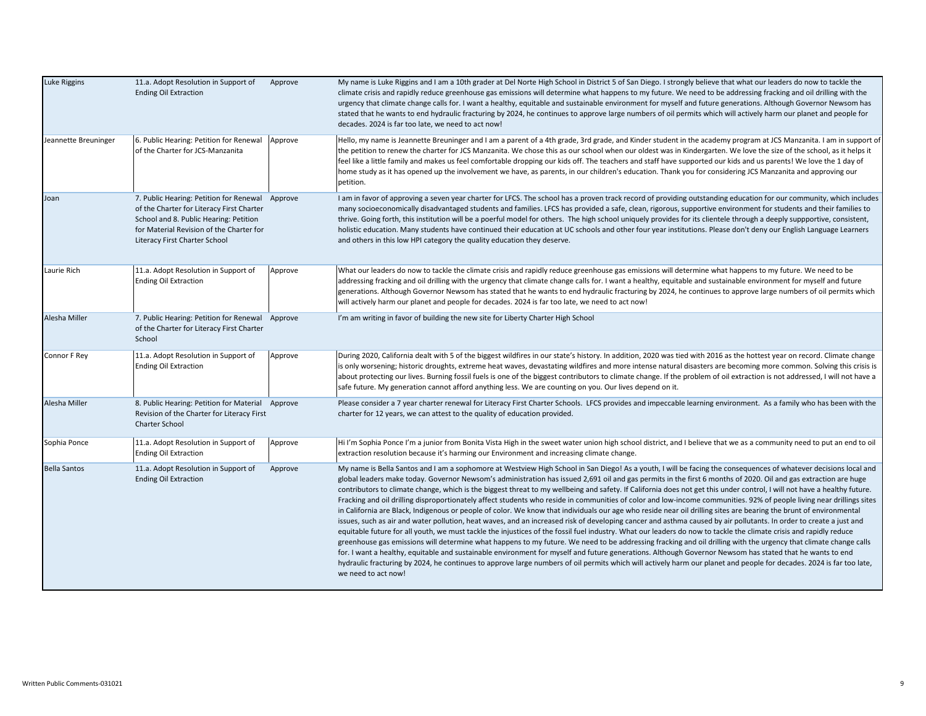| Luke Riggins         | 11.a. Adopt Resolution in Support of<br><b>Ending Oil Extraction</b>                                                                                                                                                | Approve | My name is Luke Riggins and I am a 10th grader at Del Norte High School in District 5 of San Diego. I strongly believe that what our leaders do now to tackle the<br>climate crisis and rapidly reduce greenhouse gas emissions will determine what happens to my future. We need to be addressing fracking and oil drilling with the<br>urgency that climate change calls for. I want a healthy, equitable and sustainable environment for myself and future generations. Although Governor Newsom has<br>stated that he wants to end hydraulic fracturing by 2024, he continues to approve large numbers of oil permits which will actively harm our planet and people for<br>decades. 2024 is far too late, we need to act now!                                                                                                                                                                                                                                                                                                                                                                                                                                                                                                                                                                                                                                                                                                                                                                                                                                                                                                                                                                                                        |
|----------------------|---------------------------------------------------------------------------------------------------------------------------------------------------------------------------------------------------------------------|---------|-------------------------------------------------------------------------------------------------------------------------------------------------------------------------------------------------------------------------------------------------------------------------------------------------------------------------------------------------------------------------------------------------------------------------------------------------------------------------------------------------------------------------------------------------------------------------------------------------------------------------------------------------------------------------------------------------------------------------------------------------------------------------------------------------------------------------------------------------------------------------------------------------------------------------------------------------------------------------------------------------------------------------------------------------------------------------------------------------------------------------------------------------------------------------------------------------------------------------------------------------------------------------------------------------------------------------------------------------------------------------------------------------------------------------------------------------------------------------------------------------------------------------------------------------------------------------------------------------------------------------------------------------------------------------------------------------------------------------------------------|
| Jeannette Breuninger | 6. Public Hearing: Petition for Renewal<br>of the Charter for JCS-Manzanita                                                                                                                                         | Approve | Hello, my name is Jeannette Breuninger and I am a parent of a 4th grade, 3rd grade, and Kinder student in the academy program at JCS Manzanita. I am in support of<br>the petition to renew the charter for JCS Manzanita. We chose this as our school when our oldest was in Kindergarten. We love the size of the school, as it helps it<br>feel like a little family and makes us feel comfortable dropping our kids off. The teachers and staff have supported our kids and us parents! We love the 1 day of<br>home study as it has opened up the involvement we have, as parents, in our children's education. Thank you for considering JCS Manzanita and approving our<br>petition.                                                                                                                                                                                                                                                                                                                                                                                                                                                                                                                                                                                                                                                                                                                                                                                                                                                                                                                                                                                                                                               |
| Joan                 | 7. Public Hearing: Petition for Renewal Approve<br>of the Charter for Literacy First Charter<br>School and 8. Public Hearing: Petition<br>for Material Revision of the Charter for<br>Literacy First Charter School |         | I am in favor of approving a seven year charter for LFCS. The school has a proven track record of providing outstanding education for our community, which includes<br>many socioeconomically disadvantaged students and families. LFCS has provided a safe, clean, rigorous, supportive environment for students and their families to<br>thrive. Going forth, this institution will be a poerful model for others. The high school uniquely provides for its clientele through a deeply suppportive, consistent,<br>holistic education. Many students have continued their education at UC schools and other four year institutions. Please don't deny our English Language Learners<br>and others in this low HPI category the quality education they deserve.                                                                                                                                                                                                                                                                                                                                                                                                                                                                                                                                                                                                                                                                                                                                                                                                                                                                                                                                                                         |
| Laurie Rich          | 11.a. Adopt Resolution in Support of<br><b>Ending Oil Extraction</b>                                                                                                                                                | Approve | What our leaders do now to tackle the climate crisis and rapidly reduce greenhouse gas emissions will determine what happens to my future. We need to be<br>addressing fracking and oil drilling with the urgency that climate change calls for. I want a healthy, equitable and sustainable environment for myself and future<br>generations. Although Governor Newsom has stated that he wants to end hydraulic fracturing by 2024, he continues to approve large numbers of oil permits which<br>will actively harm our planet and people for decades. 2024 is far too late, we need to act now!                                                                                                                                                                                                                                                                                                                                                                                                                                                                                                                                                                                                                                                                                                                                                                                                                                                                                                                                                                                                                                                                                                                                       |
| Alesha Miller        | 7. Public Hearing: Petition for Renewal Approve<br>of the Charter for Literacy First Charter<br>School                                                                                                              |         | I'm am writing in favor of building the new site for Liberty Charter High School                                                                                                                                                                                                                                                                                                                                                                                                                                                                                                                                                                                                                                                                                                                                                                                                                                                                                                                                                                                                                                                                                                                                                                                                                                                                                                                                                                                                                                                                                                                                                                                                                                                          |
| Connor F Rey         | 11.a. Adopt Resolution in Support of<br><b>Ending Oil Extraction</b>                                                                                                                                                | Approve | During 2020, California dealt with 5 of the biggest wildfires in our state's history. In addition, 2020 was tied with 2016 as the hottest year on record. Climate change<br>is only worsening; historic droughts, extreme heat waves, devastating wildfires and more intense natural disasters are becoming more common. Solving this crisis is<br>about protecting our lives. Burning fossil fuels is one of the biggest contributors to climate change. If the problem of oil extraction is not addressed, I will not have a<br>safe future. My generation cannot afford anything less. We are counting on you. Our lives depend on it.                                                                                                                                                                                                                                                                                                                                                                                                                                                                                                                                                                                                                                                                                                                                                                                                                                                                                                                                                                                                                                                                                                 |
| Alesha Miller        | 8. Public Hearing: Petition for Material Approve<br>Revision of the Charter for Literacy First<br><b>Charter School</b>                                                                                             |         | Please consider a 7 year charter renewal for Literacy First Charter Schools. LFCS provides and impeccable learning environment. As a family who has been with the<br>charter for 12 years, we can attest to the quality of education provided.                                                                                                                                                                                                                                                                                                                                                                                                                                                                                                                                                                                                                                                                                                                                                                                                                                                                                                                                                                                                                                                                                                                                                                                                                                                                                                                                                                                                                                                                                            |
| Sophia Ponce         | 11.a. Adopt Resolution in Support of<br><b>Ending Oil Extraction</b>                                                                                                                                                | Approve | Hi I'm Sophia Ponce I'm a junior from Bonita Vista High in the sweet water union high school district, and I believe that we as a community need to put an end to oil<br>extraction resolution because it's harming our Environment and increasing climate change.                                                                                                                                                                                                                                                                                                                                                                                                                                                                                                                                                                                                                                                                                                                                                                                                                                                                                                                                                                                                                                                                                                                                                                                                                                                                                                                                                                                                                                                                        |
| <b>Bella Santos</b>  | 11.a. Adopt Resolution in Support of<br><b>Ending Oil Extraction</b>                                                                                                                                                | Approve | My name is Bella Santos and I am a sophomore at Westview High School in San Diego! As a youth, I will be facing the consequences of whatever decisions local and<br>global leaders make today. Governor Newsom's administration has issued 2,691 oil and gas permits in the first 6 months of 2020. Oil and gas extraction are huge<br>contributors to climate change, which is the biggest threat to my wellbeing and safety. If California does not get this under control, I will not have a healthy future.<br>Fracking and oil drilling disproportionately affect students who reside in communities of color and low-income communities. 92% of people living near drillings sites<br>in California are Black, Indigenous or people of color. We know that individuals our age who reside near oil drilling sites are bearing the brunt of environmental<br>issues, such as air and water pollution, heat waves, and an increased risk of developing cancer and asthma caused by air pollutants. In order to create a just and<br>equitable future for all youth, we must tackle the injustices of the fossil fuel industry. What our leaders do now to tackle the climate crisis and rapidly reduce<br>greenhouse gas emissions will determine what happens to my future. We need to be addressing fracking and oil drilling with the urgency that climate change calls<br>for. I want a healthy, equitable and sustainable environment for myself and future generations. Although Governor Newsom has stated that he wants to end<br>hydraulic fracturing by 2024, he continues to approve large numbers of oil permits which will actively harm our planet and people for decades. 2024 is far too late,<br>we need to act now! |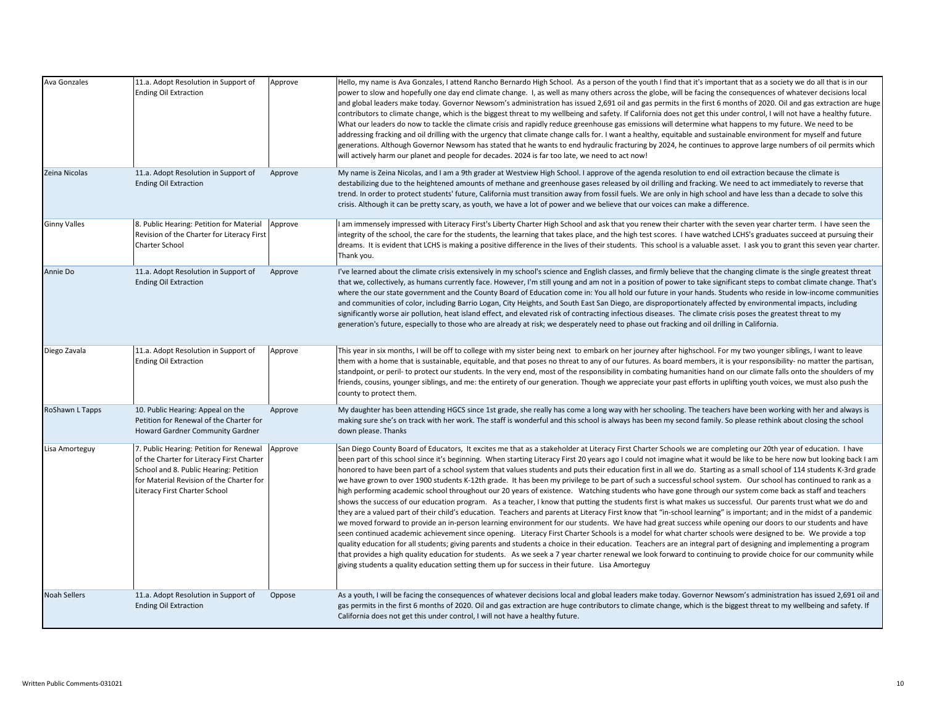| Ava Gonzales        | 11.a. Adopt Resolution in Support of<br><b>Ending Oil Extraction</b>                                                                                                                                        | Approve | Hello, my name is Ava Gonzales, I attend Rancho Bernardo High School. As a person of the youth I find that it's important that as a society we do all that is in our<br>power to slow and hopefully one day end climate change. I, as well as many others across the globe, will be facing the consequences of whatever decisions local<br>and global leaders make today. Governor Newsom's administration has issued 2,691 oil and gas permits in the first 6 months of 2020. Oil and gas extraction are huge<br>contributors to climate change, which is the biggest threat to my wellbeing and safety. If California does not get this under control, I will not have a healthy future.<br>What our leaders do now to tackle the climate crisis and rapidly reduce greenhouse gas emissions will determine what happens to my future. We need to be<br>addressing fracking and oil drilling with the urgency that climate change calls for. I want a healthy, equitable and sustainable environment for myself and future<br>generations. Although Governor Newsom has stated that he wants to end hydraulic fracturing by 2024, he continues to approve large numbers of oil permits which                                                                                                                                                                                                                                                                                                                                                                                                                                                                                                                                                                                                                                                                                                                                                                          |
|---------------------|-------------------------------------------------------------------------------------------------------------------------------------------------------------------------------------------------------------|---------|-------------------------------------------------------------------------------------------------------------------------------------------------------------------------------------------------------------------------------------------------------------------------------------------------------------------------------------------------------------------------------------------------------------------------------------------------------------------------------------------------------------------------------------------------------------------------------------------------------------------------------------------------------------------------------------------------------------------------------------------------------------------------------------------------------------------------------------------------------------------------------------------------------------------------------------------------------------------------------------------------------------------------------------------------------------------------------------------------------------------------------------------------------------------------------------------------------------------------------------------------------------------------------------------------------------------------------------------------------------------------------------------------------------------------------------------------------------------------------------------------------------------------------------------------------------------------------------------------------------------------------------------------------------------------------------------------------------------------------------------------------------------------------------------------------------------------------------------------------------------------------------------------------------------------------------------------------------------------|
| Zeina Nicolas       | 11.a. Adopt Resolution in Support of<br><b>Ending Oil Extraction</b>                                                                                                                                        | Approve | will actively harm our planet and people for decades. 2024 is far too late, we need to act now!<br>My name is Zeina Nicolas, and I am a 9th grader at Westview High School. I approve of the agenda resolution to end oil extraction because the climate is<br>destabilizing due to the heightened amounts of methane and greenhouse gases released by oil drilling and fracking. We need to act immediately to reverse that<br>trend. In order to protect students' future, California must transition away from fossil fuels. We are only in high school and have less than a decade to solve this<br>crisis. Although it can be pretty scary, as youth, we have a lot of power and we believe that our voices can make a difference.                                                                                                                                                                                                                                                                                                                                                                                                                                                                                                                                                                                                                                                                                                                                                                                                                                                                                                                                                                                                                                                                                                                                                                                                                                 |
| <b>Ginny Valles</b> | 8. Public Hearing: Petition for Material<br>Revision of the Charter for Literacy First<br>Charter School                                                                                                    | Approve | I am immensely impressed with Literacy First's Liberty Charter High School and ask that you renew their charter with the seven year charter term. I have seen the<br>integrity of the school, the care for the students, the learning that takes place, and the high test scores. I have watched LCHS's graduates succeed at pursuing their<br>dreams. It is evident that LCHS is making a positive difference in the lives of their students. This school is a valuable asset. I ask you to grant this seven year charter.<br>Thank you.                                                                                                                                                                                                                                                                                                                                                                                                                                                                                                                                                                                                                                                                                                                                                                                                                                                                                                                                                                                                                                                                                                                                                                                                                                                                                                                                                                                                                               |
| Annie Do            | 11.a. Adopt Resolution in Support of<br><b>Ending Oil Extraction</b>                                                                                                                                        | Approve | I've learned about the climate crisis extensively in my school's science and English classes, and firmly believe that the changing climate is the single greatest threat<br>that we, collectively, as humans currently face. However, I'm still young and am not in a position of power to take significant steps to combat climate change. That's<br>where the our state government and the County Board of Education come in: You all hold our future in your hands. Students who reside in low-income communities<br>and communities of color, including Barrio Logan, City Heights, and South East San Diego, are disproportionately affected by environmental impacts, including<br>significantly worse air pollution, heat island effect, and elevated risk of contracting infectious diseases. The climate crisis poses the greatest threat to my<br>generation's future, especially to those who are already at risk; we desperately need to phase out fracking and oil drilling in California.                                                                                                                                                                                                                                                                                                                                                                                                                                                                                                                                                                                                                                                                                                                                                                                                                                                                                                                                                                 |
| Diego Zavala        | 11.a. Adopt Resolution in Support of<br><b>Ending Oil Extraction</b>                                                                                                                                        | Approve | This year in six months, I will be off to college with my sister being next to embark on her journey after highschool. For my two younger siblings, I want to leave<br>them with a home that is sustainable, equitable, and that poses no threat to any of our futures. As board members, it is your responsibility- no matter the partisan,<br>standpoint, or peril- to protect our students. In the very end, most of the responsibility in combating humanities hand on our climate falls onto the shoulders of my<br>friends, cousins, younger siblings, and me: the entirety of our generation. Though we appreciate your past efforts in uplifting youth voices, we must also push the<br>county to protect them.                                                                                                                                                                                                                                                                                                                                                                                                                                                                                                                                                                                                                                                                                                                                                                                                                                                                                                                                                                                                                                                                                                                                                                                                                                                 |
| RoShawn L Tapps     | 10. Public Hearing: Appeal on the<br>Petition for Renewal of the Charter for<br>Howard Gardner Community Gardner                                                                                            | Approve | My daughter has been attending HGCS since 1st grade, she really has come a long way with her schooling. The teachers have been working with her and always is<br>making sure she's on track with her work. The staff is wonderful and this school is always has been my second family. So please rethink about closing the school<br>down please. Thanks                                                                                                                                                                                                                                                                                                                                                                                                                                                                                                                                                                                                                                                                                                                                                                                                                                                                                                                                                                                                                                                                                                                                                                                                                                                                                                                                                                                                                                                                                                                                                                                                                |
| Lisa Amorteguy      | 7. Public Hearing: Petition for Renewal<br>of the Charter for Literacy First Charter<br>School and 8. Public Hearing: Petition<br>for Material Revision of the Charter for<br>Literacy First Charter School | Approve | San Diego County Board of Educators, It excites me that as a stakeholder at Literacy First Charter Schools we are completing our 20th year of education. I have<br>been part of this school since it's beginning. When starting Literacy First 20 years ago I could not imagine what it would be like to be here now but looking back I am<br>honored to have been part of a school system that values students and puts their education first in all we do. Starting as a small school of 114 students K-3rd grade<br>we have grown to over 1900 students K-12th grade. It has been my privilege to be part of such a successful school system. Our school has continued to rank as a<br>high performing academic school throughout our 20 years of existence. Watching students who have gone through our system come back as staff and teachers<br>shows the success of our education program. As a teacher, I know that putting the students first is what makes us successful. Our parents trust what we do and<br>they are a valued part of their child's education. Teachers and parents at Literacy First know that "in-school learning" is important; and in the midst of a pandemic<br>we moved forward to provide an in-person learning environment for our students. We have had great success while opening our doors to our students and have<br>seen continued academic achievement since opening. Literacy First Charter Schools is a model for what charter schools were designed to be. We provide a top<br>quality education for all students; giving parents and students a choice in their education. Teachers are an integral part of designing and implementing a program<br>that provides a high quality education for students. As we seek a 7 year charter renewal we look forward to continuing to provide choice for our community while<br>giving students a quality education setting them up for success in their future. Lisa Amorteguy |
| <b>Noah Sellers</b> | 11.a. Adopt Resolution in Support of<br><b>Ending Oil Extraction</b>                                                                                                                                        | Oppose  | As a youth, I will be facing the consequences of whatever decisions local and global leaders make today. Governor Newsom's administration has issued 2,691 oil and<br>gas permits in the first 6 months of 2020. Oil and gas extraction are huge contributors to climate change, which is the biggest threat to my wellbeing and safety. If<br>California does not get this under control, I will not have a healthy future.                                                                                                                                                                                                                                                                                                                                                                                                                                                                                                                                                                                                                                                                                                                                                                                                                                                                                                                                                                                                                                                                                                                                                                                                                                                                                                                                                                                                                                                                                                                                            |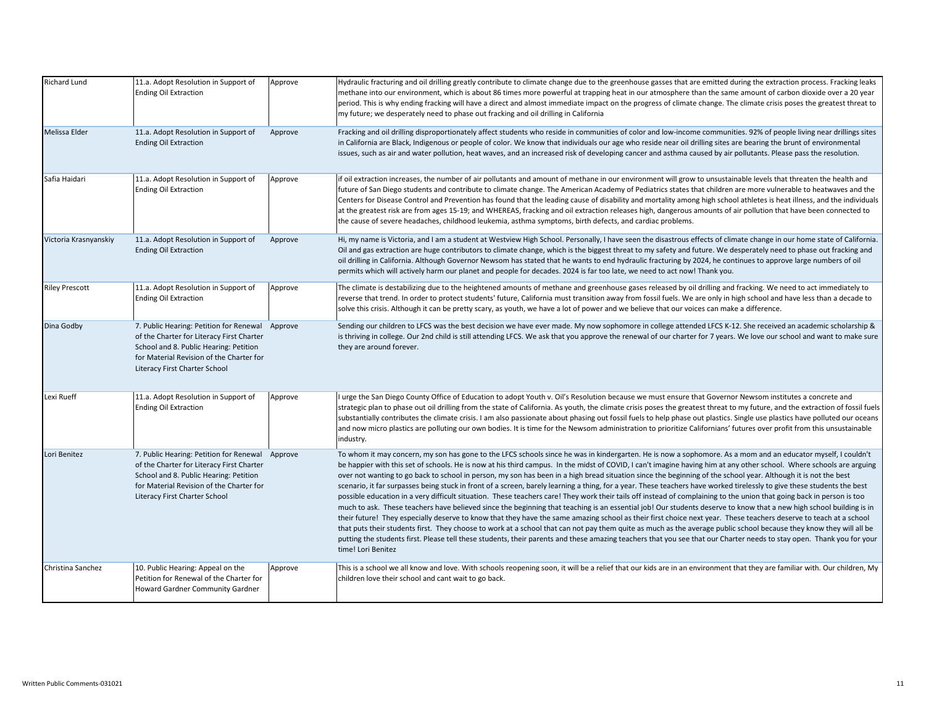| Richard Lund          | 11.a. Adopt Resolution in Support of<br><b>Ending Oil Extraction</b>                                                                                                                                                | Approve | Hydraulic fracturing and oil drilling greatly contribute to climate change due to the greenhouse gasses that are emitted during the extraction process. Fracking leaks<br>methane into our environment, which is about 86 times more powerful at trapping heat in our atmosphere than the same amount of carbon dioxide over a 20 year<br>period. This is why ending fracking will have a direct and almost immediate impact on the progress of climate change. The climate crisis poses the greatest threat to<br>my future; we desperately need to phase out fracking and oil drilling in California                                                                                                                                                                                                                                                                                                                                                                                                                                                                                                                                                                                                                                                                                                                                                                                                                                                                                                                                                                       |
|-----------------------|---------------------------------------------------------------------------------------------------------------------------------------------------------------------------------------------------------------------|---------|------------------------------------------------------------------------------------------------------------------------------------------------------------------------------------------------------------------------------------------------------------------------------------------------------------------------------------------------------------------------------------------------------------------------------------------------------------------------------------------------------------------------------------------------------------------------------------------------------------------------------------------------------------------------------------------------------------------------------------------------------------------------------------------------------------------------------------------------------------------------------------------------------------------------------------------------------------------------------------------------------------------------------------------------------------------------------------------------------------------------------------------------------------------------------------------------------------------------------------------------------------------------------------------------------------------------------------------------------------------------------------------------------------------------------------------------------------------------------------------------------------------------------------------------------------------------------|
| Melissa Elder         | 11.a. Adopt Resolution in Support of<br><b>Ending Oil Extraction</b>                                                                                                                                                | Approve | Fracking and oil drilling disproportionately affect students who reside in communities of color and low-income communities. 92% of people living near drillings sites<br>in California are Black, Indigenous or people of color. We know that individuals our age who reside near oil drilling sites are bearing the brunt of environmental<br>issues, such as air and water pollution, heat waves, and an increased risk of developing cancer and asthma caused by air pollutants. Please pass the resolution.                                                                                                                                                                                                                                                                                                                                                                                                                                                                                                                                                                                                                                                                                                                                                                                                                                                                                                                                                                                                                                                              |
| Safia Haidari         | 11.a. Adopt Resolution in Support of<br><b>Ending Oil Extraction</b>                                                                                                                                                | Approve | if oil extraction increases, the number of air pollutants and amount of methane in our environment will grow to unsustainable levels that threaten the health and<br>future of San Diego students and contribute to climate change. The American Academy of Pediatrics states that children are more vulnerable to heatwaves and the<br>Centers for Disease Control and Prevention has found that the leading cause of disability and mortality among high school athletes is heat illness, and the individuals<br>at the greatest risk are from ages 15-19; and WHEREAS, fracking and oil extraction releases high, dangerous amounts of air pollution that have been connected to<br>the cause of severe headaches, childhood leukemia, asthma symptoms, birth defects, and cardiac problems.                                                                                                                                                                                                                                                                                                                                                                                                                                                                                                                                                                                                                                                                                                                                                                              |
| Victoria Krasnyanskiy | 11.a. Adopt Resolution in Support of<br><b>Ending Oil Extraction</b>                                                                                                                                                | Approve | Hi, my name is Victoria, and I am a student at Westview High School. Personally, I have seen the disastrous effects of climate change in our home state of California.<br>Oil and gas extraction are huge contributors to climate change, which is the biggest threat to my safety and future. We desperately need to phase out fracking and<br>oil drilling in California. Although Governor Newsom has stated that he wants to end hydraulic fracturing by 2024, he continues to approve large numbers of oil<br>permits which will actively harm our planet and people for decades. 2024 is far too late, we need to act now! Thank you.                                                                                                                                                                                                                                                                                                                                                                                                                                                                                                                                                                                                                                                                                                                                                                                                                                                                                                                                  |
| <b>Riley Prescott</b> | 11.a. Adopt Resolution in Support of<br><b>Ending Oil Extraction</b>                                                                                                                                                | Approve | The climate is destabilizing due to the heightened amounts of methane and greenhouse gases released by oil drilling and fracking. We need to act immediately to<br>reverse that trend. In order to protect students' future, California must transition away from fossil fuels. We are only in high school and have less than a decade to<br>solve this crisis. Although it can be pretty scary, as youth, we have a lot of power and we believe that our voices can make a difference.                                                                                                                                                                                                                                                                                                                                                                                                                                                                                                                                                                                                                                                                                                                                                                                                                                                                                                                                                                                                                                                                                      |
| Dina Godby            | 7. Public Hearing: Petition for Renewal Approve<br>of the Charter for Literacy First Charter<br>School and 8. Public Hearing: Petition<br>for Material Revision of the Charter for<br>Literacy First Charter School |         | Sending our children to LFCS was the best decision we have ever made. My now sophomore in college attended LFCS K-12. She received an academic scholarship &<br>is thriving in college. Our 2nd child is still attending LFCS. We ask that you approve the renewal of our charter for 7 years. We love our school and want to make sure<br>they are around forever.                                                                                                                                                                                                                                                                                                                                                                                                                                                                                                                                                                                                                                                                                                                                                                                                                                                                                                                                                                                                                                                                                                                                                                                                          |
| Lexi Rueff            | 11.a. Adopt Resolution in Support of<br><b>Ending Oil Extraction</b>                                                                                                                                                | Approve | I urge the San Diego County Office of Education to adopt Youth v. Oil's Resolution because we must ensure that Governor Newsom institutes a concrete and<br>strategic plan to phase out oil drilling from the state of California. As youth, the climate crisis poses the greatest threat to my future, and the extraction of fossil fuels<br>substantially contributes the climate crisis. I am also passionate about phasing out fossil fuels to help phase out plastics. Single use plastics have polluted our oceans<br>and now micro plastics are polluting our own bodies. It is time for the Newsom administration to prioritize Californians' futures over profit from this unsustainable<br>industry.                                                                                                                                                                                                                                                                                                                                                                                                                                                                                                                                                                                                                                                                                                                                                                                                                                                               |
| Lori Benitez          | 7. Public Hearing: Petition for Renewal Approve<br>of the Charter for Literacy First Charter<br>School and 8. Public Hearing: Petition<br>for Material Revision of the Charter for<br>Literacy First Charter School |         | To whom it may concern, my son has gone to the LFCS schools since he was in kindergarten. He is now a sophomore. As a mom and an educator myself, I couldn't<br>be happier with this set of schools. He is now at his third campus. In the midst of COVID, I can't imagine having him at any other school. Where schools are arguing<br>over not wanting to go back to school in person, my son has been in a high bread situation since the beginning of the school year. Although it is not the best<br>scenario, it far surpasses being stuck in front of a screen, barely learning a thing, for a year. These teachers have worked tirelessly to give these students the best<br>possible education in a very difficult situation. These teachers care! They work their tails off instead of complaining to the union that going back in person is too<br>much to ask. These teachers have believed since the beginning that teaching is an essential job! Our students deserve to know that a new high school building is in<br>their future! They especially deserve to know that they have the same amazing school as their first choice next year. These teachers deserve to teach at a school<br>that puts their students first. They choose to work at a school that can not pay them quite as much as the average public school because they know they will all be<br>putting the students first. Please tell these students, their parents and these amazing teachers that you see that our Charter needs to stay open. Thank you for your<br>time! Lori Benitez |
| Christina Sanchez     | 10. Public Hearing: Appeal on the<br>Petition for Renewal of the Charter for<br>Howard Gardner Community Gardner                                                                                                    | Approve | This is a school we all know and love. With schools reopening soon, it will be a relief that our kids are in an environment that they are familiar with. Our children, My<br>children love their school and cant wait to go back.                                                                                                                                                                                                                                                                                                                                                                                                                                                                                                                                                                                                                                                                                                                                                                                                                                                                                                                                                                                                                                                                                                                                                                                                                                                                                                                                            |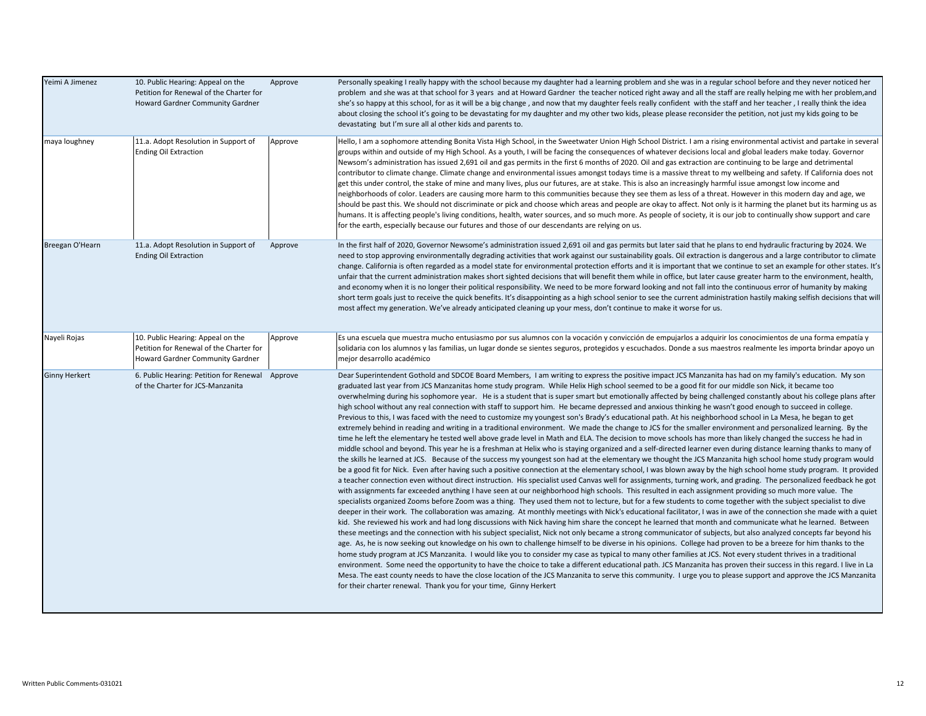| Yeimi A Jimenez      | 10. Public Hearing: Appeal on the<br>Petition for Renewal of the Charter for<br>Howard Gardner Community Gardner | Approve | Personally speaking I really happy with the school because my daughter had a learning problem and she was in a regular school before and they never noticed her<br>problem and she was at that school for 3 years and at Howard Gardner the teacher noticed right away and all the staff are really helping me with her problem,and<br>she's so happy at this school, for as it will be a big change, and now that my daughter feels really confident with the staff and her teacher, I really think the idea<br>about closing the school it's going to be devastating for my daughter and my other two kids, please please reconsider the petition, not just my kids going to be<br>devastating but I'm sure all al other kids and parents to.                                                                                                                                                                                                                                                                                                                                                                                                                                                                                                                                                                                                                                                                                                                                                                                                                                                                                                                                                                                                                                                                                                                                                                                                                                                                                                                                                                                                                                                                                                                                                                                                                                                                                                                                                                                                                                                                                                                                                                                                                                                                                                                                                                                                                                                                                                                                                                                                                                                                                                                                                                                                                                                                            |
|----------------------|------------------------------------------------------------------------------------------------------------------|---------|----------------------------------------------------------------------------------------------------------------------------------------------------------------------------------------------------------------------------------------------------------------------------------------------------------------------------------------------------------------------------------------------------------------------------------------------------------------------------------------------------------------------------------------------------------------------------------------------------------------------------------------------------------------------------------------------------------------------------------------------------------------------------------------------------------------------------------------------------------------------------------------------------------------------------------------------------------------------------------------------------------------------------------------------------------------------------------------------------------------------------------------------------------------------------------------------------------------------------------------------------------------------------------------------------------------------------------------------------------------------------------------------------------------------------------------------------------------------------------------------------------------------------------------------------------------------------------------------------------------------------------------------------------------------------------------------------------------------------------------------------------------------------------------------------------------------------------------------------------------------------------------------------------------------------------------------------------------------------------------------------------------------------------------------------------------------------------------------------------------------------------------------------------------------------------------------------------------------------------------------------------------------------------------------------------------------------------------------------------------------------------------------------------------------------------------------------------------------------------------------------------------------------------------------------------------------------------------------------------------------------------------------------------------------------------------------------------------------------------------------------------------------------------------------------------------------------------------------------------------------------------------------------------------------------------------------------------------------------------------------------------------------------------------------------------------------------------------------------------------------------------------------------------------------------------------------------------------------------------------------------------------------------------------------------------------------------------------------------------------------------------------------------------------------------|
| maya loughney        | 11.a. Adopt Resolution in Support of<br><b>Ending Oil Extraction</b>                                             | Approve | Hello, I am a sophomore attending Bonita Vista High School, in the Sweetwater Union High School District. I am a rising environmental activist and partake in several<br>groups within and outside of my High School. As a youth, I will be facing the consequences of whatever decisions local and global leaders make today. Governor<br>Newsom's administration has issued 2,691 oil and gas permits in the first 6 months of 2020. Oil and gas extraction are continuing to be large and detrimental<br>contributor to climate change. Climate change and environmental issues amongst todays time is a massive threat to my wellbeing and safety. If California does not<br>get this under control, the stake of mine and many lives, plus our futures, are at stake. This is also an increasingly harmful issue amongst low income and<br>neighborhoods of color. Leaders are causing more harm to this communities because they see them as less of a threat. However in this modern day and age, we<br>should be past this. We should not discriminate or pick and choose which areas and people are okay to affect. Not only is it harming the planet but its harming us as<br>humans. It is affecting people's living conditions, health, water sources, and so much more. As people of society, it is our job to continually show support and care<br>for the earth, especially because our futures and those of our descendants are relying on us.                                                                                                                                                                                                                                                                                                                                                                                                                                                                                                                                                                                                                                                                                                                                                                                                                                                                                                                                                                                                                                                                                                                                                                                                                                                                                                                                                                                                                                                                                                                                                                                                                                                                                                                                                                                                                                                                                                                                                             |
| Breegan O'Hearn      | 11.a. Adopt Resolution in Support of<br><b>Ending Oil Extraction</b>                                             | Approve | In the first half of 2020, Governor Newsome's administration issued 2,691 oil and gas permits but later said that he plans to end hydraulic fracturing by 2024. We<br>need to stop approving environmentally degrading activities that work against our sustainability goals. Oil extraction is dangerous and a large contributor to climate<br>change. California is often regarded as a model state for environmental protection efforts and it is important that we continue to set an example for other states. It's<br>unfair that the current administration makes short sighted decisions that will benefit them while in office, but later cause greater harm to the environment, health,<br>and economy when it is no longer their political responsibility. We need to be more forward looking and not fall into the continuous error of humanity by making<br>short term goals just to receive the quick benefits. It's disappointing as a high school senior to see the current administration hastily making selfish decisions that will<br>most affect my generation. We've already anticipated cleaning up your mess, don't continue to make it worse for us.                                                                                                                                                                                                                                                                                                                                                                                                                                                                                                                                                                                                                                                                                                                                                                                                                                                                                                                                                                                                                                                                                                                                                                                                                                                                                                                                                                                                                                                                                                                                                                                                                                                                                                                                                                                                                                                                                                                                                                                                                                                                                                                                                                                                                                               |
| Nayeli Rojas         | 10. Public Hearing: Appeal on the<br>Petition for Renewal of the Charter for<br>Howard Gardner Community Gardner | Approve | Es una escuela que muestra mucho entusiasmo por sus alumnos con la vocación y convicción de empujarlos a adquirir los conocimientos de una forma empatía y<br>solidaria con los alumnos y las familias, un lugar donde se sientes seguros, protegidos y escuchados. Donde a sus maestros realmente les importa brindar apoyo un<br>mejor desarrollo académico                                                                                                                                                                                                                                                                                                                                                                                                                                                                                                                                                                                                                                                                                                                                                                                                                                                                                                                                                                                                                                                                                                                                                                                                                                                                                                                                                                                                                                                                                                                                                                                                                                                                                                                                                                                                                                                                                                                                                                                                                                                                                                                                                                                                                                                                                                                                                                                                                                                                                                                                                                                                                                                                                                                                                                                                                                                                                                                                                                                                                                                              |
| <b>Ginny Herkert</b> | 6. Public Hearing: Petition for Renewal Approve<br>of the Charter for JCS-Manzanita                              |         | Dear Superintendent Gothold and SDCOE Board Members, I am writing to express the positive impact JCS Manzanita has had on my family's education. My son<br>graduated last year from JCS Manzanitas home study program. While Helix High school seemed to be a good fit for our middle son Nick, it became too<br>overwhelming during his sophomore year. He is a student that is super smart but emotionally affected by being challenged constantly about his college plans after<br>high school without any real connection with staff to support him. He became depressed and anxious thinking he wasn't good enough to succeed in college.<br>Previous to this, I was faced with the need to customize my youngest son's Brady's educational path. At his neighborhood school in La Mesa, he began to get<br>extremely behind in reading and writing in a traditional environment. We made the change to JCS for the smaller environment and personalized learning. By the<br>time he left the elementary he tested well above grade level in Math and ELA. The decision to move schools has more than likely changed the success he had in<br>middle school and beyond. This year he is a freshman at Helix who is staying organized and a self-directed learner even during distance learning thanks to many of<br>the skills he learned at JCS. Because of the success my youngest son had at the elementary we thought the JCS Manzanita high school home study program would<br>be a good fit for Nick. Even after having such a positive connection at the elementary school, I was blown away by the high school home study program. It provided<br>a teacher connection even without direct instruction. His specialist used Canvas well for assignments, turning work, and grading. The personalized feedback he got<br>with assignments far exceeded anything I have seen at our neighborhood high schools. This resulted in each assignment providing so much more value. The<br>specialists organized Zooms before Zoom was a thing. They used them not to lecture, but for a few students to come together with the subject specialist to dive<br>deeper in their work. The collaboration was amazing. At monthly meetings with Nick's educational facilitator, I was in awe of the connection she made with a quiet<br>kid. She reviewed his work and had long discussions with Nick having him share the concept he learned that month and communicate what he learned. Between<br>these meetings and the connection with his subject specialist, Nick not only became a strong communicator of subjects, but also analyzed concepts far beyond his<br>age. As, he is now seeking out knowledge on his own to challenge himself to be diverse in his opinions. College had proven to be a breeze for him thanks to the<br>home study program at JCS Manzanita. I would like you to consider my case as typical to many other families at JCS. Not every student thrives in a traditional<br>environment. Some need the opportunity to have the choice to take a different educational path. JCS Manzanita has proven their success in this regard. I live in La<br>Mesa. The east county needs to have the close location of the JCS Manzanita to serve this community. I urge you to please support and approve the JCS Manzanita<br>for their charter renewal. Thank you for your time, Ginny Herkert |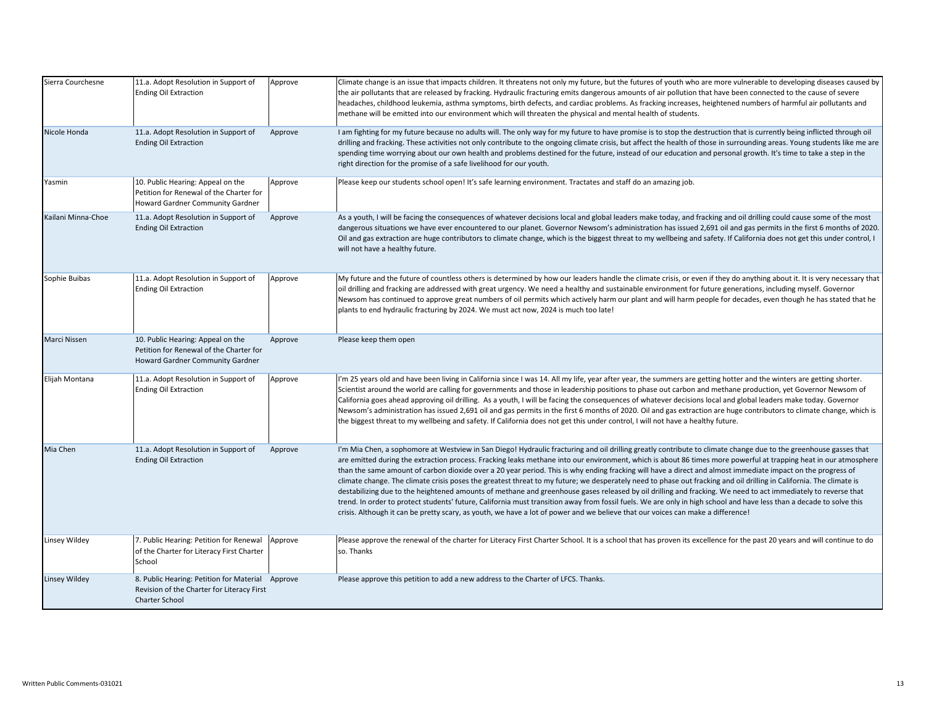| Sierra Courchesne  | 11.a. Adopt Resolution in Support of<br><b>Ending Oil Extraction</b>                                                    | Approve | Climate change is an issue that impacts children. It threatens not only my future, but the futures of youth who are more vulnerable to developing diseases caused by<br>the air pollutants that are released by fracking. Hydraulic fracturing emits dangerous amounts of air pollution that have been connected to the cause of severe<br>headaches, childhood leukemia, asthma symptoms, birth defects, and cardiac problems. As fracking increases, heightened numbers of harmful air pollutants and<br>methane will be emitted into our environment which will threaten the physical and mental health of students.                                                                                                                                                                                                                                                                                                                                                                                                                                                                                                                                |
|--------------------|-------------------------------------------------------------------------------------------------------------------------|---------|--------------------------------------------------------------------------------------------------------------------------------------------------------------------------------------------------------------------------------------------------------------------------------------------------------------------------------------------------------------------------------------------------------------------------------------------------------------------------------------------------------------------------------------------------------------------------------------------------------------------------------------------------------------------------------------------------------------------------------------------------------------------------------------------------------------------------------------------------------------------------------------------------------------------------------------------------------------------------------------------------------------------------------------------------------------------------------------------------------------------------------------------------------|
| Nicole Honda       | 11.a. Adopt Resolution in Support of<br><b>Ending Oil Extraction</b>                                                    | Approve | I am fighting for my future because no adults will. The only way for my future to have promise is to stop the destruction that is currently being inflicted through oil<br>drilling and fracking. These activities not only contribute to the ongoing climate crisis, but affect the health of those in surrounding areas. Young students like me are<br>spending time worrying about our own health and problems destined for the future, instead of our education and personal growth. It's time to take a step in the<br>right direction for the promise of a safe livelihood for our youth.                                                                                                                                                                                                                                                                                                                                                                                                                                                                                                                                                        |
| Yasmin             | 10. Public Hearing: Appeal on the<br>Petition for Renewal of the Charter for<br>Howard Gardner Community Gardner        | Approve | Please keep our students school open! It's safe learning environment. Tractates and staff do an amazing job.                                                                                                                                                                                                                                                                                                                                                                                                                                                                                                                                                                                                                                                                                                                                                                                                                                                                                                                                                                                                                                           |
| Kailani Minna-Choe | 11.a. Adopt Resolution in Support of<br><b>Ending Oil Extraction</b>                                                    | Approve | As a youth, I will be facing the consequences of whatever decisions local and global leaders make today, and fracking and oil drilling could cause some of the most<br>dangerous situations we have ever encountered to our planet. Governor Newsom's administration has issued 2,691 oil and gas permits in the first 6 months of 2020.<br>Oil and gas extraction are huge contributors to climate change, which is the biggest threat to my wellbeing and safety. If California does not get this under control, I<br>will not have a healthy future.                                                                                                                                                                                                                                                                                                                                                                                                                                                                                                                                                                                                |
| Sophie Buibas      | 11.a. Adopt Resolution in Support of<br><b>Ending Oil Extraction</b>                                                    | Approve | My future and the future of countless others is determined by how our leaders handle the climate crisis, or even if they do anything about it. It is very necessary that<br>oil drilling and fracking are addressed with great urgency. We need a healthy and sustainable environment for future generations, including myself. Governor<br>Newsom has continued to approve great numbers of oil permits which actively harm our plant and will harm people for decades, even though he has stated that he<br>plants to end hydraulic fracturing by 2024. We must act now, 2024 is much too late!                                                                                                                                                                                                                                                                                                                                                                                                                                                                                                                                                      |
| Marci Nissen       | 10. Public Hearing: Appeal on the<br>Petition for Renewal of the Charter for<br>Howard Gardner Community Gardner        | Approve | Please keep them open                                                                                                                                                                                                                                                                                                                                                                                                                                                                                                                                                                                                                                                                                                                                                                                                                                                                                                                                                                                                                                                                                                                                  |
| Elijah Montana     | 11.a. Adopt Resolution in Support of<br><b>Ending Oil Extraction</b>                                                    | Approve | I'm 25 years old and have been living in California since I was 14. All my life, year after year, the summers are getting hotter and the winters are getting shorter.<br>Scientist around the world are calling for governments and those in leadership positions to phase out carbon and methane production, yet Governor Newsom of<br>California goes ahead approving oil drilling. As a youth, I will be facing the consequences of whatever decisions local and global leaders make today. Governor<br>Newsom's administration has issued 2,691 oil and gas permits in the first 6 months of 2020. Oil and gas extraction are huge contributors to climate change, which is<br>the biggest threat to my wellbeing and safety. If California does not get this under control, I will not have a healthy future.                                                                                                                                                                                                                                                                                                                                     |
| Mia Chen           | 11.a. Adopt Resolution in Support of<br><b>Ending Oil Extraction</b>                                                    | Approve | I'm Mia Chen, a sophomore at Westview in San Diego! Hydraulic fracturing and oil drilling greatly contribute to climate change due to the greenhouse gasses that<br>are emitted during the extraction process. Fracking leaks methane into our environment, which is about 86 times more powerful at trapping heat in our atmosphere<br>than the same amount of carbon dioxide over a 20 year period. This is why ending fracking will have a direct and almost immediate impact on the progress of<br>climate change. The climate crisis poses the greatest threat to my future; we desperately need to phase out fracking and oil drilling in California. The climate is<br>destabilizing due to the heightened amounts of methane and greenhouse gases released by oil drilling and fracking. We need to act immediately to reverse that<br>trend. In order to protect students' future, California must transition away from fossil fuels. We are only in high school and have less than a decade to solve this<br>crisis. Although it can be pretty scary, as youth, we have a lot of power and we believe that our voices can make a difference! |
| Linsey Wildey      | 7. Public Hearing: Petition for Renewal<br>of the Charter for Literacy First Charter<br>School                          | Approve | Please approve the renewal of the charter for Literacy First Charter School. It is a school that has proven its excellence for the past 20 years and will continue to do<br>so. Thanks                                                                                                                                                                                                                                                                                                                                                                                                                                                                                                                                                                                                                                                                                                                                                                                                                                                                                                                                                                 |
| Linsey Wildey      | 8. Public Hearing: Petition for Material Approve<br>Revision of the Charter for Literacy First<br><b>Charter School</b> |         | Please approve this petition to add a new address to the Charter of LFCS. Thanks.                                                                                                                                                                                                                                                                                                                                                                                                                                                                                                                                                                                                                                                                                                                                                                                                                                                                                                                                                                                                                                                                      |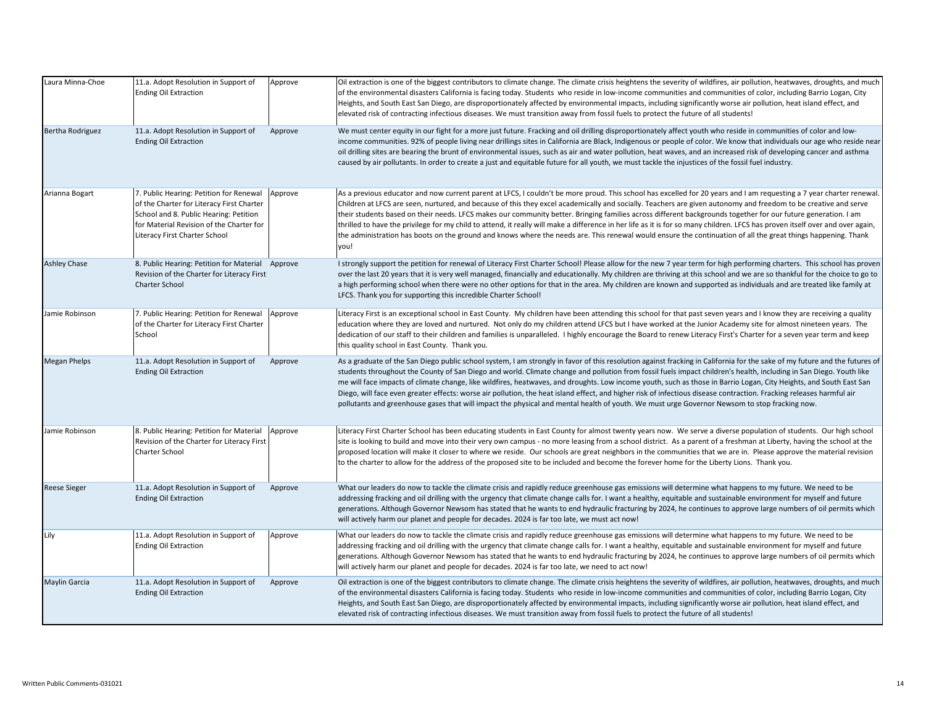| Laura Minna-Choe     | 11.a. Adopt Resolution in Support of<br><b>Ending Oil Extraction</b>                                                                                                                                        | Approve | Oil extraction is one of the biggest contributors to climate change. The climate crisis heightens the severity of wildfires, air pollution, heatwaves, droughts, and much<br>of the environmental disasters California is facing today. Students who reside in low-income communities and communities of color, including Barrio Logan, City<br>Heights, and South East San Diego, are disproportionately affected by environmental impacts, including significantly worse air pollution, heat island effect, and<br>elevated risk of contracting infectious diseases. We must transition away from fossil fuels to protect the future of all students!                                                                                                                                                                                                             |
|----------------------|-------------------------------------------------------------------------------------------------------------------------------------------------------------------------------------------------------------|---------|---------------------------------------------------------------------------------------------------------------------------------------------------------------------------------------------------------------------------------------------------------------------------------------------------------------------------------------------------------------------------------------------------------------------------------------------------------------------------------------------------------------------------------------------------------------------------------------------------------------------------------------------------------------------------------------------------------------------------------------------------------------------------------------------------------------------------------------------------------------------|
| Bertha Rodriguez     | 11.a. Adopt Resolution in Support of<br><b>Ending Oil Extraction</b>                                                                                                                                        | Approve | We must center equity in our fight for a more just future. Fracking and oil drilling disproportionately affect youth who reside in communities of color and low-<br>income communities. 92% of people living near drillings sites in California are Black, Indigenous or people of color. We know that individuals our age who reside near<br>oil drilling sites are bearing the brunt of environmental issues, such as air and water pollution, heat waves, and an increased risk of developing cancer and asthma<br>caused by air pollutants. In order to create a just and equitable future for all youth, we must tackle the injustices of the fossil fuel industry.                                                                                                                                                                                            |
| Arianna Bogart       | 7. Public Hearing: Petition for Renewal<br>of the Charter for Literacy First Charter<br>School and 8. Public Hearing: Petition<br>for Material Revision of the Charter for<br>Literacy First Charter School | Approve | As a previous educator and now current parent at LFCS, I couldn't be more proud. This school has excelled for 20 years and I am requesting a 7 year charter renewal.<br>Children at LFCS are seen, nurtured, and because of this they excel academically and socially. Teachers are given autonomy and freedom to be creative and serve<br>their students based on their needs. LFCS makes our community better. Bringing families across different backgrounds together for our future generation. I am<br>thrilled to have the privilege for my child to attend, it really will make a difference in her life as it is for so many children. LFCS has proven itself over and over again,<br>the administration has boots on the ground and knows where the needs are. This renewal would ensure the continuation of all the great things happening. Thank<br>vou! |
| <b>Ashley Chase</b>  | 8. Public Hearing: Petition for Material Approve<br>Revision of the Charter for Literacy First<br><b>Charter School</b>                                                                                     |         | I strongly support the petition for renewal of Literacy First Charter School! Please allow for the new 7 year term for high performing charters. This school has proven<br>over the last 20 years that it is very well managed, financially and educationally. My children are thriving at this school and we are so thankful for the choice to go to<br>a high performing school when there were no other options for that in the area. My children are known and supported as individuals and are treated like family at<br>LFCS. Thank you for supporting this incredible Charter School!                                                                                                                                                                                                                                                                        |
| Jamie Robinson       | 7. Public Hearing: Petition for Renewal<br>of the Charter for Literacy First Charter<br>School                                                                                                              | Approve | Literacy First is an exceptional school in East County. My children have been attending this school for that past seven years and I know they are receiving a quality<br>education where they are loved and nurtured. Not only do my children attend LFCS but I have worked at the Junior Academy site for almost nineteen years. The<br>dedication of our staff to their children and families is unparalleled. I highly encourage the Board to renew Literacy First's Charter for a seven year term and keep<br>this quality school in East County. Thank you.                                                                                                                                                                                                                                                                                                    |
| <b>Megan Phelps</b>  | 11.a. Adopt Resolution in Support of<br><b>Ending Oil Extraction</b>                                                                                                                                        | Approve | As a graduate of the San Diego public school system, I am strongly in favor of this resolution against fracking in California for the sake of my future and the futures of<br>students throughout the County of San Diego and world. Climate change and pollution from fossil fuels impact children's health, including in San Diego. Youth like<br>me will face impacts of climate change, like wildfires, heatwaves, and droughts. Low income youth, such as those in Barrio Logan, City Heights, and South East San<br>Diego, will face even greater effects: worse air pollution, the heat island effect, and higher risk of infectious disease contraction. Fracking releases harmful air<br>pollutants and greenhouse gases that will impact the physical and mental health of youth. We must urge Governor Newsom to stop fracking now.                      |
| Jamie Robinson       | 8. Public Hearing: Petition for Material<br>Revision of the Charter for Literacy First<br>Charter School                                                                                                    | Approve | Literacy First Charter School has been educating students in East County for almost twenty years now. We serve a diverse population of students. Our high school<br>site is looking to build and move into their very own campus - no more leasing from a school district. As a parent of a freshman at Liberty, having the school at the<br>proposed location will make it closer to where we reside. Our schools are great neighbors in the communities that we are in. Please approve the material revision<br>to the charter to allow for the address of the proposed site to be included and become the forever home for the Liberty Lions. Thank you.                                                                                                                                                                                                         |
| <b>Reese Sieger</b>  | 11.a. Adopt Resolution in Support of<br><b>Ending Oil Extraction</b>                                                                                                                                        | Approve | What our leaders do now to tackle the climate crisis and rapidly reduce greenhouse gas emissions will determine what happens to my future. We need to be<br>addressing fracking and oil drilling with the urgency that climate change calls for. I want a healthy, equitable and sustainable environment for myself and future<br>generations. Although Governor Newsom has stated that he wants to end hydraulic fracturing by 2024, he continues to approve large numbers of oil permits which<br>will actively harm our planet and people for decades. 2024 is far too late, we must act now!                                                                                                                                                                                                                                                                    |
| Lily                 | 11.a. Adopt Resolution in Support of<br><b>Ending Oil Extraction</b>                                                                                                                                        | Approve | What our leaders do now to tackle the climate crisis and rapidly reduce greenhouse gas emissions will determine what happens to my future. We need to be<br>addressing fracking and oil drilling with the urgency that climate change calls for. I want a healthy, equitable and sustainable environment for myself and future<br>generations. Although Governor Newsom has stated that he wants to end hydraulic fracturing by 2024, he continues to approve large numbers of oil permits which<br>will actively harm our planet and people for decades. 2024 is far too late, we need to act now!                                                                                                                                                                                                                                                                 |
| <b>Maylin Garcia</b> | 11.a. Adopt Resolution in Support of<br><b>Ending Oil Extraction</b>                                                                                                                                        | Approve | Oil extraction is one of the biggest contributors to climate change. The climate crisis heightens the severity of wildfires, air pollution, heatwaves, droughts, and much<br>of the environmental disasters California is facing today. Students who reside in low-income communities and communities of color, including Barrio Logan, City<br>Heights, and South East San Diego, are disproportionately affected by environmental impacts, including significantly worse air pollution, heat island effect, and<br>elevated risk of contracting infectious diseases. We must transition away from fossil fuels to protect the future of all students!                                                                                                                                                                                                             |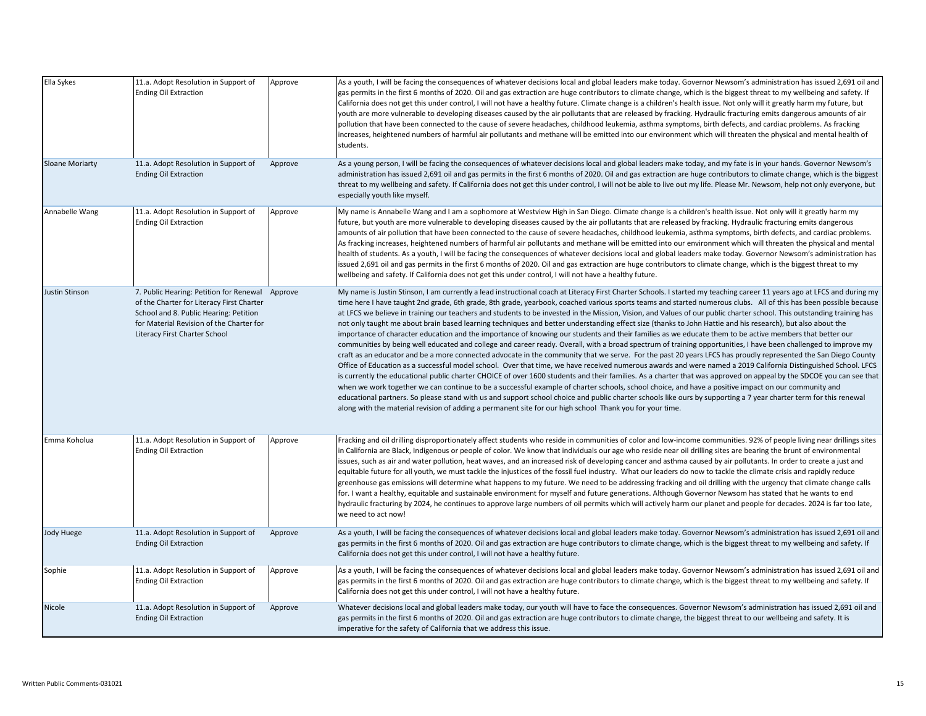| Ella Sykes             | 11.a. Adopt Resolution in Support of<br><b>Ending Oil Extraction</b>                                                                                                                                                | Approve | As a youth, I will be facing the consequences of whatever decisions local and global leaders make today. Governor Newsom's administration has issued 2,691 oil and<br>gas permits in the first 6 months of 2020. Oil and gas extraction are huge contributors to climate change, which is the biggest threat to my wellbeing and safety. If<br>California does not get this under control, I will not have a healthy future. Climate change is a children's health issue. Not only will it greatly harm my future, but<br>youth are more vulnerable to developing diseases caused by the air pollutants that are released by fracking. Hydraulic fracturing emits dangerous amounts of air<br>pollution that have been connected to the cause of severe headaches, childhood leukemia, asthma symptoms, birth defects, and cardiac problems. As fracking<br>increases, heightened numbers of harmful air pollutants and methane will be emitted into our environment which will threaten the physical and mental health of<br>students.                                                                                                                                                                                                                                                                                                                                                                                                                                                                                                                                                                                                                                                                                                                                                                                                                                                                                                                              |
|------------------------|---------------------------------------------------------------------------------------------------------------------------------------------------------------------------------------------------------------------|---------|----------------------------------------------------------------------------------------------------------------------------------------------------------------------------------------------------------------------------------------------------------------------------------------------------------------------------------------------------------------------------------------------------------------------------------------------------------------------------------------------------------------------------------------------------------------------------------------------------------------------------------------------------------------------------------------------------------------------------------------------------------------------------------------------------------------------------------------------------------------------------------------------------------------------------------------------------------------------------------------------------------------------------------------------------------------------------------------------------------------------------------------------------------------------------------------------------------------------------------------------------------------------------------------------------------------------------------------------------------------------------------------------------------------------------------------------------------------------------------------------------------------------------------------------------------------------------------------------------------------------------------------------------------------------------------------------------------------------------------------------------------------------------------------------------------------------------------------------------------------------------------------------------------------------------------------------------------------------|
| <b>Sloane Moriarty</b> | 11.a. Adopt Resolution in Support of<br><b>Ending Oil Extraction</b>                                                                                                                                                | Approve | As a young person, I will be facing the consequences of whatever decisions local and global leaders make today, and my fate is in your hands. Governor Newsom's<br>administration has issued 2,691 oil and gas permits in the first 6 months of 2020. Oil and gas extraction are huge contributors to climate change, which is the biggest<br>threat to my wellbeing and safety. If California does not get this under control, I will not be able to live out my life. Please Mr. Newsom, help not only everyone, but<br>especially youth like myself.                                                                                                                                                                                                                                                                                                                                                                                                                                                                                                                                                                                                                                                                                                                                                                                                                                                                                                                                                                                                                                                                                                                                                                                                                                                                                                                                                                                                              |
| Annabelle Wang         | 11.a. Adopt Resolution in Support of<br><b>Ending Oil Extraction</b>                                                                                                                                                | Approve | My name is Annabelle Wang and I am a sophomore at Westview High in San Diego. Climate change is a children's health issue. Not only will it greatly harm my<br>future, but youth are more vulnerable to developing diseases caused by the air pollutants that are released by fracking. Hydraulic fracturing emits dangerous<br>amounts of air pollution that have been connected to the cause of severe headaches, childhood leukemia, asthma symptoms, birth defects, and cardiac problems.<br>As fracking increases, heightened numbers of harmful air pollutants and methane will be emitted into our environment which will threaten the physical and mental<br>health of students. As a youth, I will be facing the consequences of whatever decisions local and global leaders make today. Governor Newsom's administration has<br>issued 2,691 oil and gas permits in the first 6 months of 2020. Oil and gas extraction are huge contributors to climate change, which is the biggest threat to my<br>wellbeing and safety. If California does not get this under control, I will not have a healthy future.                                                                                                                                                                                                                                                                                                                                                                                                                                                                                                                                                                                                                                                                                                                                                                                                                                                |
| <b>Justin Stinson</b>  | 7. Public Hearing: Petition for Renewal Approve<br>of the Charter for Literacy First Charter<br>School and 8. Public Hearing: Petition<br>for Material Revision of the Charter for<br>Literacy First Charter School |         | My name is Justin Stinson, I am currently a lead instructional coach at Literacy First Charter Schools. I started my teaching career 11 years ago at LFCS and during my<br>time here I have taught 2nd grade, 6th grade, 8th grade, yearbook, coached various sports teams and started numerous clubs. All of this has been possible because<br>at LFCS we believe in training our teachers and students to be invested in the Mission, Vision, and Values of our public charter school. This outstanding training has<br>not only taught me about brain based learning techniques and better understanding effect size (thanks to John Hattie and his research), but also about the<br>importance of character education and the importance of knowing our students and their families as we educate them to be active members that better our<br>communities by being well educated and college and career ready. Overall, with a broad spectrum of training opportunities, I have been challenged to improve my<br>craft as an educator and be a more connected advocate in the community that we serve. For the past 20 years LFCS has proudly represented the San Diego County<br>Office of Education as a successful model school. Over that time, we have received numerous awards and were named a 2019 California Distinguished School. LFCS<br>is currently the educational public charter CHOICE of over 1600 students and their families. As a charter that was approved on appeal by the SDCOE you can see that<br>when we work together we can continue to be a successful example of charter schools, school choice, and have a positive impact on our community and<br>educational partners. So please stand with us and support school choice and public charter schools like ours by supporting a 7 year charter term for this renewal<br>along with the material revision of adding a permanent site for our high school Thank you for your time. |
| Emma Koholua           | 11.a. Adopt Resolution in Support of<br><b>Ending Oil Extraction</b>                                                                                                                                                | Approve | Fracking and oil drilling disproportionately affect students who reside in communities of color and low-income communities. 92% of people living near drillings sites<br>in California are Black, Indigenous or people of color. We know that individuals our age who reside near oil drilling sites are bearing the brunt of environmental<br>issues, such as air and water pollution, heat waves, and an increased risk of developing cancer and asthma caused by air pollutants. In order to create a just and<br>equitable future for all youth, we must tackle the injustices of the fossil fuel industry. What our leaders do now to tackle the climate crisis and rapidly reduce<br>greenhouse gas emissions will determine what happens to my future. We need to be addressing fracking and oil drilling with the urgency that climate change calls<br>for. I want a healthy, equitable and sustainable environment for myself and future generations. Although Governor Newsom has stated that he wants to end<br>hydraulic fracturing by 2024, he continues to approve large numbers of oil permits which will actively harm our planet and people for decades. 2024 is far too late,<br>we need to act now!                                                                                                                                                                                                                                                                                                                                                                                                                                                                                                                                                                                                                                                                                                                                               |
| Jody Huege             | 11.a. Adopt Resolution in Support of<br><b>Ending Oil Extraction</b>                                                                                                                                                | Approve | As a youth, I will be facing the consequences of whatever decisions local and global leaders make today. Governor Newsom's administration has issued 2,691 oil and<br>gas permits in the first 6 months of 2020. Oil and gas extraction are huge contributors to climate change, which is the biggest threat to my wellbeing and safety. If<br>California does not get this under control, I will not have a healthy future.                                                                                                                                                                                                                                                                                                                                                                                                                                                                                                                                                                                                                                                                                                                                                                                                                                                                                                                                                                                                                                                                                                                                                                                                                                                                                                                                                                                                                                                                                                                                         |
| Sophie                 | 11.a. Adopt Resolution in Support of<br><b>Ending Oil Extraction</b>                                                                                                                                                | Approve | As a youth, I will be facing the consequences of whatever decisions local and global leaders make today. Governor Newsom's administration has issued 2,691 oil and<br>gas permits in the first 6 months of 2020. Oil and gas extraction are huge contributors to climate change, which is the biggest threat to my wellbeing and safety. If<br>California does not get this under control, I will not have a healthy future.                                                                                                                                                                                                                                                                                                                                                                                                                                                                                                                                                                                                                                                                                                                                                                                                                                                                                                                                                                                                                                                                                                                                                                                                                                                                                                                                                                                                                                                                                                                                         |
| Nicole                 | 11.a. Adopt Resolution in Support of<br><b>Ending Oil Extraction</b>                                                                                                                                                | Approve | Whatever decisions local and global leaders make today, our youth will have to face the consequences. Governor Newsom's administration has issued 2,691 oil and<br>gas permits in the first 6 months of 2020. Oil and gas extraction are huge contributors to climate change, the biggest threat to our wellbeing and safety. It is<br>imperative for the safety of California that we address this issue.                                                                                                                                                                                                                                                                                                                                                                                                                                                                                                                                                                                                                                                                                                                                                                                                                                                                                                                                                                                                                                                                                                                                                                                                                                                                                                                                                                                                                                                                                                                                                           |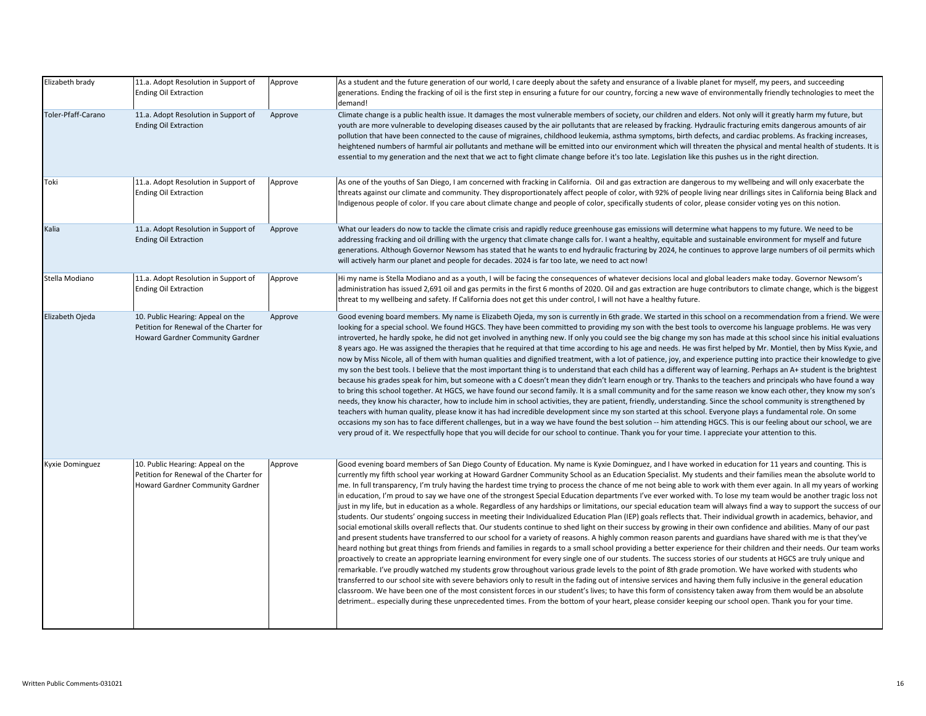| Elizabeth brady    | 11.a. Adopt Resolution in Support of<br><b>Ending Oil Extraction</b>                                             | Approve | As a student and the future generation of our world, I care deeply about the safety and ensurance of a livable planet for myself, my peers, and succeeding<br>generations. Ending the fracking of oil is the first step in ensuring a future for our country, forcing a new wave of environmentally friendly technologies to meet the<br>demand!                                                                                                                                                                                                                                                                                                                                                                                                                                                                                                                                                                                                                                                                                                                                                                                                                                                                                                                                                                                                                                                                                                                                                                                                                                                                                                                                                                                                                                                                                                                                                                                                                                                                                                                                                                                                                                                                                                                                                                                                                                           |
|--------------------|------------------------------------------------------------------------------------------------------------------|---------|--------------------------------------------------------------------------------------------------------------------------------------------------------------------------------------------------------------------------------------------------------------------------------------------------------------------------------------------------------------------------------------------------------------------------------------------------------------------------------------------------------------------------------------------------------------------------------------------------------------------------------------------------------------------------------------------------------------------------------------------------------------------------------------------------------------------------------------------------------------------------------------------------------------------------------------------------------------------------------------------------------------------------------------------------------------------------------------------------------------------------------------------------------------------------------------------------------------------------------------------------------------------------------------------------------------------------------------------------------------------------------------------------------------------------------------------------------------------------------------------------------------------------------------------------------------------------------------------------------------------------------------------------------------------------------------------------------------------------------------------------------------------------------------------------------------------------------------------------------------------------------------------------------------------------------------------------------------------------------------------------------------------------------------------------------------------------------------------------------------------------------------------------------------------------------------------------------------------------------------------------------------------------------------------------------------------------------------------------------------------------------------------|
| Toler-Pfaff-Carano | 11.a. Adopt Resolution in Support of<br><b>Ending Oil Extraction</b>                                             | Approve | Climate change is a public health issue. It damages the most vulnerable members of society, our children and elders. Not only will it greatly harm my future, but<br>youth are more vulnerable to developing diseases caused by the air pollutants that are released by fracking. Hydraulic fracturing emits dangerous amounts of air<br>pollution that have been connected to the cause of migraines, childhood leukemia, asthma symptoms, birth defects, and cardiac problems. As fracking increases,<br>heightened numbers of harmful air pollutants and methane will be emitted into our environment which will threaten the physical and mental health of students. It is<br>essential to my generation and the next that we act to fight climate change before it's too late. Legislation like this pushes us in the right direction.                                                                                                                                                                                                                                                                                                                                                                                                                                                                                                                                                                                                                                                                                                                                                                                                                                                                                                                                                                                                                                                                                                                                                                                                                                                                                                                                                                                                                                                                                                                                                |
| Toki               | 11.a. Adopt Resolution in Support of<br><b>Ending Oil Extraction</b>                                             | Approve | As one of the youths of San Diego, I am concerned with fracking in California. Oil and gas extraction are dangerous to my wellbeing and will only exacerbate the<br>threats against our climate and community. They disproportionately affect people of color, with 92% of people living near drillings sites in California being Black and<br>Indigenous people of color. If you care about climate change and people of color, specifically students of color, please consider voting yes on this notion.                                                                                                                                                                                                                                                                                                                                                                                                                                                                                                                                                                                                                                                                                                                                                                                                                                                                                                                                                                                                                                                                                                                                                                                                                                                                                                                                                                                                                                                                                                                                                                                                                                                                                                                                                                                                                                                                                |
| Kalia              | 11.a. Adopt Resolution in Support of<br><b>Ending Oil Extraction</b>                                             | Approve | What our leaders do now to tackle the climate crisis and rapidly reduce greenhouse gas emissions will determine what happens to my future. We need to be<br>addressing fracking and oil drilling with the urgency that climate change calls for. I want a healthy, equitable and sustainable environment for myself and future<br>generations. Although Governor Newsom has stated that he wants to end hydraulic fracturing by 2024, he continues to approve large numbers of oil permits which<br>will actively harm our planet and people for decades. 2024 is far too late, we need to act now!                                                                                                                                                                                                                                                                                                                                                                                                                                                                                                                                                                                                                                                                                                                                                                                                                                                                                                                                                                                                                                                                                                                                                                                                                                                                                                                                                                                                                                                                                                                                                                                                                                                                                                                                                                                        |
| Stella Modiano     | 11.a. Adopt Resolution in Support of<br><b>Ending Oil Extraction</b>                                             | Approve | Hi my name is Stella Modiano and as a youth, I will be facing the consequences of whatever decisions local and global leaders make today. Governor Newsom's<br>administration has issued 2,691 oil and gas permits in the first 6 months of 2020. Oil and gas extraction are huge contributors to climate change, which is the biggest<br>threat to my wellbeing and safety. If California does not get this under control, I will not have a healthy future.                                                                                                                                                                                                                                                                                                                                                                                                                                                                                                                                                                                                                                                                                                                                                                                                                                                                                                                                                                                                                                                                                                                                                                                                                                                                                                                                                                                                                                                                                                                                                                                                                                                                                                                                                                                                                                                                                                                              |
| Elizabeth Ojeda    | 10. Public Hearing: Appeal on the<br>Petition for Renewal of the Charter for<br>Howard Gardner Community Gardner | Approve | Good evening board members. My name is Elizabeth Ojeda, my son is currently in 6th grade. We started in this school on a recommendation from a friend. We were<br>looking for a special school. We found HGCS. They have been committed to providing my son with the best tools to overcome his language problems. He was very<br>introverted, he hardly spoke, he did not get involved in anything new. If only you could see the big change my son has made at this school since his initial evaluations<br>8 years ago. He was assigned the therapies that he required at that time according to his age and needs. He was first helped by Mr. Montiel, then by Miss Kyxie, and<br>now by Miss Nicole, all of them with human qualities and dignified treatment, with a lot of patience, joy, and experience putting into practice their knowledge to give<br>my son the best tools. I believe that the most important thing is to understand that each child has a different way of learning. Perhaps an A+ student is the brightest<br>because his grades speak for him, but someone with a C doesn't mean they didn't learn enough or try. Thanks to the teachers and principals who have found a way<br>to bring this school together. At HGCS, we have found our second family. It is a small community and for the same reason we know each other, they know my son's<br>needs, they know his character, how to include him in school activities, they are patient, friendly, understanding. Since the school community is strengthened by<br>teachers with human quality, please know it has had incredible development since my son started at this school. Everyone plays a fundamental role. On some<br>occasions my son has to face different challenges, but in a way we have found the best solution -- him attending HGCS. This is our feeling about our school, we are<br>very proud of it. We respectfully hope that you will decide for our school to continue. Thank you for your time. I appreciate your attention to this.                                                                                                                                                                                                                                                                                                                                          |
| Kyxie Dominguez    | 10. Public Hearing: Appeal on the<br>Petition for Renewal of the Charter for<br>Howard Gardner Community Gardner | Approve | Good evening board members of San Diego County of Education. My name is Kyxie Dominguez, and I have worked in education for 11 years and counting. This is<br>currently my fifth school year working at Howard Gardner Community School as an Education Specialist. My students and their families mean the absolute world to<br>me. In full transparency, I'm truly having the hardest time trying to process the chance of me not being able to work with them ever again. In all my years of working<br>in education, I'm proud to say we have one of the strongest Special Education departments I've ever worked with. To lose my team would be another tragic loss not<br>just in my life, but in education as a whole. Regardless of any hardships or limitations, our special education team will always find a way to support the success of our<br>students. Our students' ongoing success in meeting their Individualized Education Plan (IEP) goals reflects that. Their individual growth in academics, behavior, and<br>social emotional skills overall reflects that. Our students continue to shed light on their success by growing in their own confidence and abilities. Many of our past<br>and present students have transferred to our school for a variety of reasons. A highly common reason parents and guardians have shared with me is that they've<br>heard nothing but great things from friends and families in regards to a small school providing a better experience for their children and their needs. Our team works<br>proactively to create an appropriate learning environment for every single one of our students. The success stories of our students at HGCS are truly unique and<br>remarkable. I've proudly watched my students grow throughout various grade levels to the point of 8th grade promotion. We have worked with students who<br>transferred to our school site with severe behaviors only to result in the fading out of intensive services and having them fully inclusive in the general education<br>classroom. We have been one of the most consistent forces in our student's lives; to have this form of consistency taken away from them would be an absolute<br>detriment especially during these unprecedented times. From the bottom of your heart, please consider keeping our school open. Thank you for your time. |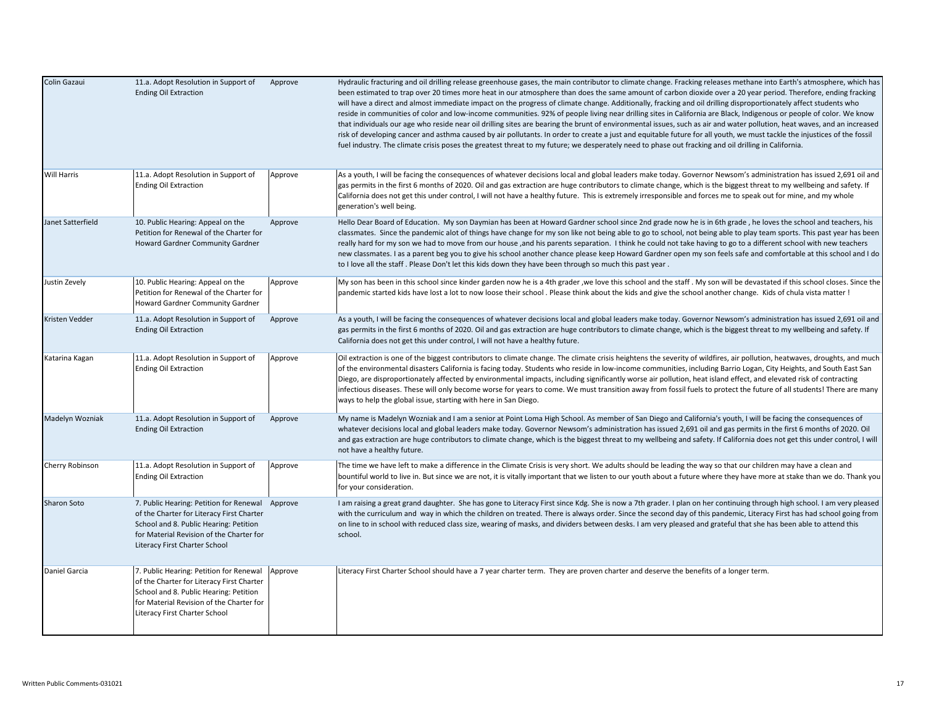| Colin Gazaui       | 11.a. Adopt Resolution in Support of<br><b>Ending Oil Extraction</b>                                                                                                                                                | Approve | Hydraulic fracturing and oil drilling release greenhouse gases, the main contributor to climate change. Fracking releases methane into Earth's atmosphere, which has<br>been estimated to trap over 20 times more heat in our atmosphere than does the same amount of carbon dioxide over a 20 year period. Therefore, ending fracking<br>will have a direct and almost immediate impact on the progress of climate change. Additionally, fracking and oil drilling disproportionately affect students who<br>reside in communities of color and low-income communities. 92% of people living near drilling sites in California are Black, Indigenous or people of color. We know<br>that individuals our age who reside near oil drilling sites are bearing the brunt of environmental issues, such as air and water pollution, heat waves, and an increased<br>risk of developing cancer and asthma caused by air pollutants. In order to create a just and equitable future for all youth, we must tackle the injustices of the fossil<br>fuel industry. The climate crisis poses the greatest threat to my future; we desperately need to phase out fracking and oil drilling in California. |
|--------------------|---------------------------------------------------------------------------------------------------------------------------------------------------------------------------------------------------------------------|---------|--------------------------------------------------------------------------------------------------------------------------------------------------------------------------------------------------------------------------------------------------------------------------------------------------------------------------------------------------------------------------------------------------------------------------------------------------------------------------------------------------------------------------------------------------------------------------------------------------------------------------------------------------------------------------------------------------------------------------------------------------------------------------------------------------------------------------------------------------------------------------------------------------------------------------------------------------------------------------------------------------------------------------------------------------------------------------------------------------------------------------------------------------------------------------------------------------|
| <b>Will Harris</b> | 11.a. Adopt Resolution in Support of<br><b>Ending Oil Extraction</b>                                                                                                                                                | Approve | As a youth, I will be facing the consequences of whatever decisions local and global leaders make today. Governor Newsom's administration has issued 2,691 oil and<br>gas permits in the first 6 months of 2020. Oil and gas extraction are huge contributors to climate change, which is the biggest threat to my wellbeing and safety. If<br>California does not get this under control, I will not have a healthy future. This is extremely irresponsible and forces me to speak out for mine, and my whole<br>generation's well being.                                                                                                                                                                                                                                                                                                                                                                                                                                                                                                                                                                                                                                                       |
| Janet Satterfield  | 10. Public Hearing: Appeal on the<br>Petition for Renewal of the Charter for<br>Howard Gardner Community Gardner                                                                                                    | Approve | Hello Dear Board of Education. My son Daymian has been at Howard Gardner school since 2nd grade now he is in 6th grade, he loves the school and teachers, his<br>classmates. Since the pandemic alot of things have change for my son like not being able to go to school, not being able to play team sports. This past year has been<br>really hard for my son we had to move from our house ,and his parents separation. I think he could not take having to go to a different school with new teachers<br>new classmates. I as a parent beg you to give his school another chance please keep Howard Gardner open my son feels safe and comfortable at this school and I do<br>to I love all the staff. Please Don't let this kids down they have been through so much this past year.                                                                                                                                                                                                                                                                                                                                                                                                       |
| Justin Zevely      | 10. Public Hearing: Appeal on the<br>Petition for Renewal of the Charter for<br>Howard Gardner Community Gardner                                                                                                    | Approve | My son has been in this school since kinder garden now he is a 4th grader ,we love this school and the staff . My son will be devastated if this school closes. Since the<br>pandemic started kids have lost a lot to now loose their school . Please think about the kids and give the school another change. Kids of chula vista matter!                                                                                                                                                                                                                                                                                                                                                                                                                                                                                                                                                                                                                                                                                                                                                                                                                                                       |
| Kristen Vedder     | 11.a. Adopt Resolution in Support of<br><b>Ending Oil Extraction</b>                                                                                                                                                | Approve | As a youth, I will be facing the consequences of whatever decisions local and global leaders make today. Governor Newsom's administration has issued 2,691 oil and<br>gas permits in the first 6 months of 2020. Oil and gas extraction are huge contributors to climate change, which is the biggest threat to my wellbeing and safety. If<br>California does not get this under control, I will not have a healthy future.                                                                                                                                                                                                                                                                                                                                                                                                                                                                                                                                                                                                                                                                                                                                                                     |
| Katarina Kagan     | 11.a. Adopt Resolution in Support of<br><b>Ending Oil Extraction</b>                                                                                                                                                | Approve | Oil extraction is one of the biggest contributors to climate change. The climate crisis heightens the severity of wildfires, air pollution, heatwaves, droughts, and much<br>of the environmental disasters California is facing today. Students who reside in low-income communities, including Barrio Logan, City Heights, and South East San<br>Diego, are disproportionately affected by environmental impacts, including significantly worse air pollution, heat island effect, and elevated risk of contracting<br>infectious diseases. These will only become worse for years to come. We must transition away from fossil fuels to protect the future of all students! There are many<br>ways to help the global issue, starting with here in San Diego.                                                                                                                                                                                                                                                                                                                                                                                                                                 |
| Madelyn Wozniak    | 11.a. Adopt Resolution in Support of<br><b>Ending Oil Extraction</b>                                                                                                                                                | Approve | My name is Madelyn Wozniak and I am a senior at Point Loma High School. As member of San Diego and California's youth, I will be facing the consequences of<br>whatever decisions local and global leaders make today. Governor Newsom's administration has issued 2,691 oil and gas permits in the first 6 months of 2020. Oil<br>and gas extraction are huge contributors to climate change, which is the biggest threat to my wellbeing and safety. If California does not get this under control, I will<br>not have a healthy future.                                                                                                                                                                                                                                                                                                                                                                                                                                                                                                                                                                                                                                                       |
| Cherry Robinson    | 11.a. Adopt Resolution in Support of<br><b>Ending Oil Extraction</b>                                                                                                                                                | Approve | The time we have left to make a difference in the Climate Crisis is very short. We adults should be leading the way so that our children may have a clean and<br>bountiful world to live in. But since we are not, it is vitally important that we listen to our youth about a future where they have more at stake than we do. Thank you<br>for your consideration.                                                                                                                                                                                                                                                                                                                                                                                                                                                                                                                                                                                                                                                                                                                                                                                                                             |
| <b>Sharon Soto</b> | 7. Public Hearing: Petition for Renewal Approve<br>of the Charter for Literacy First Charter<br>School and 8. Public Hearing: Petition<br>for Material Revision of the Charter for<br>Literacy First Charter School |         | I am raising a great grand daughter. She has gone to Literacy First since Kdg. She is now a 7th grader. I plan on her continuing through high school. I am very pleased<br>with the curriculum and way in which the children on treated. There is always order. Since the second day of this pandemic, Literacy First has had school going from<br>on line to in school with reduced class size, wearing of masks, and dividers between desks. I am very pleased and grateful that she has been able to attend this<br>school.                                                                                                                                                                                                                                                                                                                                                                                                                                                                                                                                                                                                                                                                   |
| Daniel Garcia      | 7. Public Hearing: Petition for Renewal<br>of the Charter for Literacy First Charter<br>School and 8. Public Hearing: Petition<br>for Material Revision of the Charter for<br>Literacy First Charter School         | Approve | Literacy First Charter School should have a 7 year charter term. They are proven charter and deserve the benefits of a longer term.                                                                                                                                                                                                                                                                                                                                                                                                                                                                                                                                                                                                                                                                                                                                                                                                                                                                                                                                                                                                                                                              |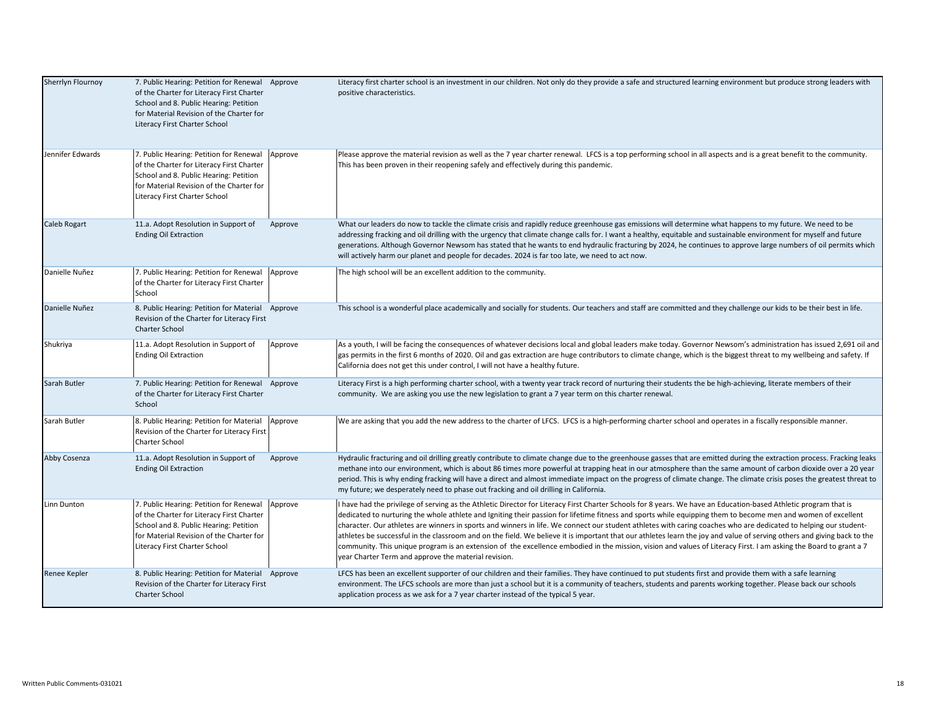| Sherrlyn Flournoy   | 7. Public Hearing: Petition for Renewal Approve<br>of the Charter for Literacy First Charter<br>School and 8. Public Hearing: Petition<br>for Material Revision of the Charter for<br>Literacy First Charter School |         | Literacy first charter school is an investment in our children. Not only do they provide a safe and structured learning environment but produce strong leaders with<br>positive characteristics.                                                                                                                                                                                                                                                                                                                                                                                                                                                                                                                                                                                                                                                                                                              |
|---------------------|---------------------------------------------------------------------------------------------------------------------------------------------------------------------------------------------------------------------|---------|---------------------------------------------------------------------------------------------------------------------------------------------------------------------------------------------------------------------------------------------------------------------------------------------------------------------------------------------------------------------------------------------------------------------------------------------------------------------------------------------------------------------------------------------------------------------------------------------------------------------------------------------------------------------------------------------------------------------------------------------------------------------------------------------------------------------------------------------------------------------------------------------------------------|
| Jennifer Edwards    | 7. Public Hearing: Petition for Renewal<br>of the Charter for Literacy First Charter<br>School and 8. Public Hearing: Petition<br>for Material Revision of the Charter for<br>Literacy First Charter School         | Approve | Please approve the material revision as well as the 7 year charter renewal. LFCS is a top performing school in all aspects and is a great benefit to the community.<br>This has been proven in their reopening safely and effectively during this pandemic.                                                                                                                                                                                                                                                                                                                                                                                                                                                                                                                                                                                                                                                   |
| <b>Caleb Rogart</b> | 11.a. Adopt Resolution in Support of<br><b>Ending Oil Extraction</b>                                                                                                                                                | Approve | What our leaders do now to tackle the climate crisis and rapidly reduce greenhouse gas emissions will determine what happens to my future. We need to be<br>addressing fracking and oil drilling with the urgency that climate change calls for. I want a healthy, equitable and sustainable environment for myself and future<br>generations. Although Governor Newsom has stated that he wants to end hydraulic fracturing by 2024, he continues to approve large numbers of oil permits which<br>will actively harm our planet and people for decades. 2024 is far too late, we need to act now.                                                                                                                                                                                                                                                                                                           |
| Danielle Nuñez      | 7. Public Hearing: Petition for Renewal<br>of the Charter for Literacy First Charter<br>School                                                                                                                      | Approve | The high school will be an excellent addition to the community.                                                                                                                                                                                                                                                                                                                                                                                                                                                                                                                                                                                                                                                                                                                                                                                                                                               |
| Danielle Nuñez      | 8. Public Hearing: Petition for Material Approve<br>Revision of the Charter for Literacy First<br><b>Charter School</b>                                                                                             |         | This school is a wonderful place academically and socially for students. Our teachers and staff are committed and they challenge our kids to be their best in life.                                                                                                                                                                                                                                                                                                                                                                                                                                                                                                                                                                                                                                                                                                                                           |
| Shukriya            | 11.a. Adopt Resolution in Support of<br><b>Ending Oil Extraction</b>                                                                                                                                                | Approve | As a youth, I will be facing the consequences of whatever decisions local and global leaders make today. Governor Newsom's administration has issued 2,691 oil and<br>gas permits in the first 6 months of 2020. Oil and gas extraction are huge contributors to climate change, which is the biggest threat to my wellbeing and safety. If<br>California does not get this under control, I will not have a healthy future.                                                                                                                                                                                                                                                                                                                                                                                                                                                                                  |
| Sarah Butler        | 7. Public Hearing: Petition for Renewal Approve<br>of the Charter for Literacy First Charter<br>School                                                                                                              |         | Literacy First is a high performing charter school, with a twenty year track record of nurturing their students the be high-achieving, literate members of their<br>community. We are asking you use the new legislation to grant a 7 year term on this charter renewal.                                                                                                                                                                                                                                                                                                                                                                                                                                                                                                                                                                                                                                      |
| Sarah Butler        | 8. Public Hearing: Petition for Material<br>Revision of the Charter for Literacy First<br><b>Charter School</b>                                                                                                     | Approve | We are asking that you add the new address to the charter of LFCS. LFCS is a high-performing charter school and operates in a fiscally responsible manner.                                                                                                                                                                                                                                                                                                                                                                                                                                                                                                                                                                                                                                                                                                                                                    |
| Abby Cosenza        | 11.a. Adopt Resolution in Support of<br><b>Ending Oil Extraction</b>                                                                                                                                                | Approve | Hydraulic fracturing and oil drilling greatly contribute to climate change due to the greenhouse gasses that are emitted during the extraction process. Fracking leaks<br>methane into our environment, which is about 86 times more powerful at trapping heat in our atmosphere than the same amount of carbon dioxide over a 20 year<br>period. This is why ending fracking will have a direct and almost immediate impact on the progress of climate change. The climate crisis poses the greatest threat to<br>my future; we desperately need to phase out fracking and oil drilling in California.                                                                                                                                                                                                                                                                                                       |
| Linn Dunton         | 7. Public Hearing: Petition for Renewal<br>of the Charter for Literacy First Charter<br>School and 8. Public Hearing: Petition<br>for Material Revision of the Charter for<br>Literacy First Charter School         | Approve | I have had the privilege of serving as the Athletic Director for Literacy First Charter Schools for 8 years. We have an Education-based Athletic program that is<br>dedicated to nurturing the whole athlete and Igniting their passion for lifetime fitness and sports while equipping them to become men and women of excellent<br>character. Our athletes are winners in sports and winners in life. We connect our student athletes with caring coaches who are dedicated to helping our student-<br>athletes be successful in the classroom and on the field. We believe it is important that our athletes learn the joy and value of serving others and giving back to the<br>community. This unique program is an extension of the excellence embodied in the mission, vision and values of Literacy First. I am asking the Board to grant a 7<br>year Charter Term and approve the material revision. |
| Renee Kepler        | 8. Public Hearing: Petition for Material Approve<br>Revision of the Charter for Literacy First<br><b>Charter School</b>                                                                                             |         | LFCS has been an excellent supporter of our children and their families. They have continued to put students first and provide them with a safe learning<br>environment. The LFCS schools are more than just a school but it is a community of teachers, students and parents working together. Please back our schools<br>application process as we ask for a 7 year charter instead of the typical 5 year.                                                                                                                                                                                                                                                                                                                                                                                                                                                                                                  |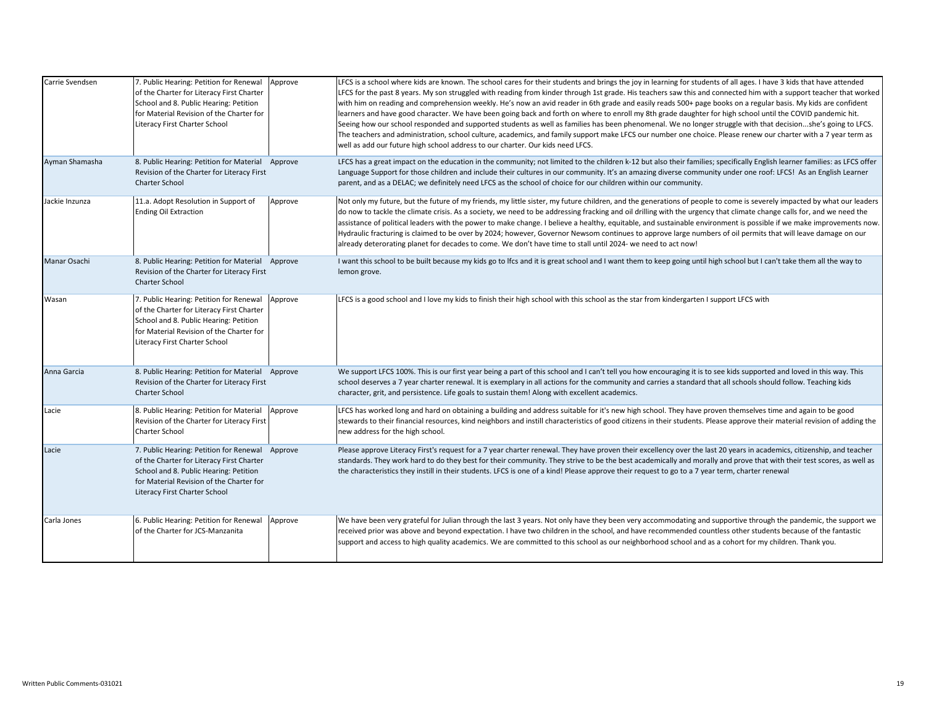| Carrie Svendsen | 7. Public Hearing: Petition for Renewal<br>of the Charter for Literacy First Charter<br>School and 8. Public Hearing: Petition<br>for Material Revision of the Charter for<br>Literacy First Charter School         | Approve | LFCS is a school where kids are known. The school cares for their students and brings the joy in learning for students of all ages. I have 3 kids that have attended<br>LFCS for the past 8 years. My son struggled with reading from kinder through 1st grade. His teachers saw this and connected him with a support teacher that worked<br>with him on reading and comprehension weekly. He's now an avid reader in 6th grade and easily reads 500+ page books on a regular basis. My kids are confident<br>learners and have good character. We have been going back and forth on where to enroll my 8th grade daughter for high school until the COVID pandemic hit.<br>Seeing how our school responded and supported students as well as families has been phenomenal. We no longer struggle with that decisionshe's going to LFCS.<br>The teachers and administration, school culture, academics, and family support make LFCS our number one choice. Please renew our charter with a 7 year term as<br>well as add our future high school address to our charter. Our kids need LFCS. |
|-----------------|---------------------------------------------------------------------------------------------------------------------------------------------------------------------------------------------------------------------|---------|-----------------------------------------------------------------------------------------------------------------------------------------------------------------------------------------------------------------------------------------------------------------------------------------------------------------------------------------------------------------------------------------------------------------------------------------------------------------------------------------------------------------------------------------------------------------------------------------------------------------------------------------------------------------------------------------------------------------------------------------------------------------------------------------------------------------------------------------------------------------------------------------------------------------------------------------------------------------------------------------------------------------------------------------------------------------------------------------------|
| Ayman Shamasha  | 8. Public Hearing: Petition for Material Approve<br>Revision of the Charter for Literacy First<br><b>Charter School</b>                                                                                             |         | LFCS has a great impact on the education in the community; not limited to the children k-12 but also their families; specifically English learner families: as LFCS offer<br>Language Support for those children and include their cultures in our community. It's an amazing diverse community under one roof: LFCS! As an English Learner<br>parent, and as a DELAC; we definitely need LFCS as the school of choice for our children within our community.                                                                                                                                                                                                                                                                                                                                                                                                                                                                                                                                                                                                                                 |
| Jackie Inzunza  | 11.a. Adopt Resolution in Support of<br><b>Ending Oil Extraction</b>                                                                                                                                                | Approve | Not only my future, but the future of my friends, my little sister, my future children, and the generations of people to come is severely impacted by what our leaders<br>do now to tackle the climate crisis. As a society, we need to be addressing fracking and oil drilling with the urgency that climate change calls for, and we need the<br>assistance of political leaders with the power to make change. I believe a healthy, equitable, and sustainable environment is possible if we make improvements now.<br>Hydraulic fracturing is claimed to be over by 2024; however, Governor Newsom continues to approve large numbers of oil permits that will leave damage on our<br>already deterorating planet for decades to come. We don't have time to stall until 2024- we need to act now!                                                                                                                                                                                                                                                                                        |
| Manar Osachi    | 8. Public Hearing: Petition for Material Approve<br>Revision of the Charter for Literacy First<br><b>Charter School</b>                                                                                             |         | I want this school to be built because my kids go to Ifcs and it is great school and I want them to keep going until high school but I can't take them all the way to<br>lemon grove.                                                                                                                                                                                                                                                                                                                                                                                                                                                                                                                                                                                                                                                                                                                                                                                                                                                                                                         |
| Wasan           | 7. Public Hearing: Petition for Renewal<br>of the Charter for Literacy First Charter<br>School and 8. Public Hearing: Petition<br>for Material Revision of the Charter for<br>Literacy First Charter School         | Approve | LFCS is a good school and I love my kids to finish their high school with this school as the star from kindergarten I support LFCS with                                                                                                                                                                                                                                                                                                                                                                                                                                                                                                                                                                                                                                                                                                                                                                                                                                                                                                                                                       |
| Anna Garcia     | 8. Public Hearing: Petition for Material Approve<br>Revision of the Charter for Literacy First<br><b>Charter School</b>                                                                                             |         | We support LFCS 100%. This is our first year being a part of this school and I can't tell you how encouraging it is to see kids supported and loved in this way. This<br>school deserves a 7 year charter renewal. It is exemplary in all actions for the community and carries a standard that all schools should follow. Teaching kids<br>character, grit, and persistence. Life goals to sustain them! Along with excellent academics.                                                                                                                                                                                                                                                                                                                                                                                                                                                                                                                                                                                                                                                     |
| Lacie           | 8. Public Hearing: Petition for Material<br>Revision of the Charter for Literacy First<br><b>Charter School</b>                                                                                                     | Approve | LFCS has worked long and hard on obtaining a building and address suitable for it's new high school. They have proven themselves time and again to be good<br>stewards to their financial resources, kind neighbors and instill characteristics of good citizens in their students. Please approve their material revision of adding the<br>new address for the high school.                                                                                                                                                                                                                                                                                                                                                                                                                                                                                                                                                                                                                                                                                                                  |
| Lacie           | 7. Public Hearing: Petition for Renewal Approve<br>of the Charter for Literacy First Charter<br>School and 8. Public Hearing: Petition<br>for Material Revision of the Charter for<br>Literacy First Charter School |         | Please approve Literacy First's request for a 7 year charter renewal. They have proven their excellency over the last 20 years in academics, citizenship, and teacher<br>standards. They work hard to do they best for their community. They strive to be the best academically and morally and prove that with their test scores, as well as<br>the characteristics they instill in their students. LFCS is one of a kind! Please approve their request to go to a 7 year term, charter renewal                                                                                                                                                                                                                                                                                                                                                                                                                                                                                                                                                                                              |
| Carla Jones     | 6. Public Hearing: Petition for Renewal<br>of the Charter for JCS-Manzanita                                                                                                                                         | Approve | We have been very grateful for Julian through the last 3 years. Not only have they been very accommodating and supportive through the pandemic, the support we<br>received prior was above and beyond expectation. I have two children in the school, and have recommended countless other students because of the fantastic<br>support and access to high quality academics. We are committed to this school as our neighborhood school and as a cohort for my children. Thank you.                                                                                                                                                                                                                                                                                                                                                                                                                                                                                                                                                                                                          |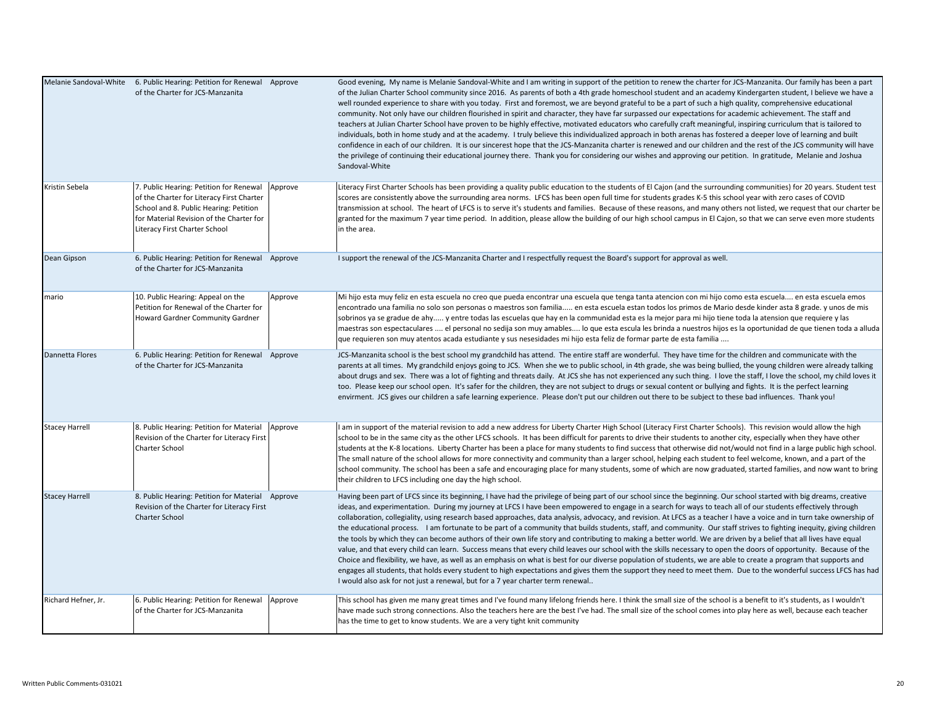|                       | Melanie Sandoval-White 6. Public Hearing: Petition for Renewal Approve<br>of the Charter for JCS-Manzanita                                                                                                  |         | Good evening, My name is Melanie Sandoval-White and I am writing in support of the petition to renew the charter for JCS-Manzanita. Our family has been a part<br>of the Julian Charter School community since 2016. As parents of both a 4th grade homeschool student and an academy Kindergarten student, I believe we have a<br>well rounded experience to share with you today. First and foremost, we are beyond grateful to be a part of such a high quality, comprehensive educational<br>community. Not only have our children flourished in spirit and character, they have far surpassed our expectations for academic achievement. The staff and<br>teachers at Julian Charter School have proven to be highly effective, motivated educators who carefully craft meaningful, inspiring curriculum that is tailored to<br>individuals, both in home study and at the academy. I truly believe this individualized approach in both arenas has fostered a deeper love of learning and built<br>confidence in each of our children. It is our sincerest hope that the JCS-Manzanita charter is renewed and our children and the rest of the JCS community will have<br>the privilege of continuing their educational journey there. Thank you for considering our wishes and approving our petition. In gratitude, Melanie and Joshua<br>Sandoval-White                                                                                             |
|-----------------------|-------------------------------------------------------------------------------------------------------------------------------------------------------------------------------------------------------------|---------|--------------------------------------------------------------------------------------------------------------------------------------------------------------------------------------------------------------------------------------------------------------------------------------------------------------------------------------------------------------------------------------------------------------------------------------------------------------------------------------------------------------------------------------------------------------------------------------------------------------------------------------------------------------------------------------------------------------------------------------------------------------------------------------------------------------------------------------------------------------------------------------------------------------------------------------------------------------------------------------------------------------------------------------------------------------------------------------------------------------------------------------------------------------------------------------------------------------------------------------------------------------------------------------------------------------------------------------------------------------------------------------------------------------------------------------------------------------|
| Kristin Sebela        | 7. Public Hearing: Petition for Renewal<br>of the Charter for Literacy First Charter<br>School and 8. Public Hearing: Petition<br>for Material Revision of the Charter for<br>Literacy First Charter School | Approve | Literacy First Charter Schools has been providing a quality public education to the students of El Cajon (and the surrounding communities) for 20 years. Student test<br>scores are consistently above the surrounding area norms. LFCS has been open full time for students grades K-5 this school year with zero cases of COVID<br>transmission at school. The heart of LFCS is to serve it's students and families. Because of these reasons, and many others not listed, we request that our charter be<br>granted for the maximum 7 year time period. In addition, please allow the building of our high school campus in El Cajon, so that we can serve even more students<br>in the area.                                                                                                                                                                                                                                                                                                                                                                                                                                                                                                                                                                                                                                                                                                                                                             |
| Dean Gipson           | 6. Public Hearing: Petition for Renewal Approve<br>of the Charter for JCS-Manzanita                                                                                                                         |         | I support the renewal of the JCS-Manzanita Charter and I respectfully request the Board's support for approval as well.                                                                                                                                                                                                                                                                                                                                                                                                                                                                                                                                                                                                                                                                                                                                                                                                                                                                                                                                                                                                                                                                                                                                                                                                                                                                                                                                      |
| mario                 | 10. Public Hearing: Appeal on the<br>Petition for Renewal of the Charter for<br>Howard Gardner Community Gardner                                                                                            | Approve | Mi hijo esta muy feliz en esta escuela no creo que pueda encontrar una escuela que tenga tanta atencion con mi hijo como esta escuela en esta escuela emos<br>encontrado una familia no solo son personas o maestros son familia en esta escuela estan todos los primos de Mario desde kinder asta 8 grade. y unos de mis<br>sobrinos ya se gradue de ahy y entre todas las escuelas que hay en la communidad esta es la mejor para mi hijo tiene toda la atension que requiere y las<br>maestras son espectaculares  el personal no sedija son muy amables lo que esta escula les brinda a nuestros hijos es la oportunidad de que tienen toda a alluda<br>que requieren son muy atentos acada estudiante y sus nesesidades mi hijo esta feliz de formar parte de esta familia                                                                                                                                                                                                                                                                                                                                                                                                                                                                                                                                                                                                                                                                              |
| Dannetta Flores       | 6. Public Hearing: Petition for Renewal Approve<br>of the Charter for JCS-Manzanita                                                                                                                         |         | JCS-Manzanita school is the best school my grandchild has attend. The entire staff are wonderful. They have time for the children and communicate with the<br>parents at all times. My grandchild enjoys going to JCS. When she we to public school, in 4th grade, she was being bullied, the young children were already talking<br>about drugs and sex. There was a lot of fighting and threats daily. At JCS she has not experienced any such thing. I love the staff, I love the school, my child loves it<br>too. Please keep our school open. It's safer for the children, they are not subject to drugs or sexual content or bullying and fights. It is the perfect learning<br>envirment. JCS gives our children a safe learning experience. Please don't put our children out there to be subject to these bad influences. Thank you!                                                                                                                                                                                                                                                                                                                                                                                                                                                                                                                                                                                                               |
| <b>Stacey Harrell</b> | 8. Public Hearing: Petition for Material<br>Revision of the Charter for Literacy First<br>Charter School                                                                                                    | Approve | I am in support of the material revision to add a new address for Liberty Charter High School (Literacy First Charter Schools). This revision would allow the high<br>school to be in the same city as the other LFCS schools. It has been difficult for parents to drive their students to another city, especially when they have other<br>students at the K-8 locations. Liberty Charter has been a place for many students to find success that otherwise did not/would not find in a large public high school.<br>The small nature of the school allows for more connectivity and community than a larger school, helping each student to feel welcome, known, and a part of the<br>school community. The school has been a safe and encouraging place for many students, some of which are now graduated, started families, and now want to bring<br>their children to LFCS including one day the high school.                                                                                                                                                                                                                                                                                                                                                                                                                                                                                                                                         |
| <b>Stacey Harrell</b> | 8. Public Hearing: Petition for Material Approve<br>Revision of the Charter for Literacy First<br><b>Charter School</b>                                                                                     |         | Having been part of LFCS since its beginning, I have had the privilege of being part of our school since the beginning. Our school started with big dreams, creative<br>ideas, and experimentation. During my journey at LFCS I have been empowered to engage in a search for ways to teach all of our students effectively through<br>collaboration, collegiality, using research based approaches, data analysis, advocacy, and revision. At LFCS as a teacher I have a voice and in turn take ownership of<br>the educational process. I am fortunate to be part of a community that builds students, staff, and community. Our staff strives to fighting inequity, giving children<br>the tools by which they can become authors of their own life story and contributing to making a better world. We are driven by a belief that all lives have equal<br>value, and that every child can learn. Success means that every child leaves our school with the skills necessary to open the doors of opportunity. Because of the<br>Choice and flexibility, we have, as well as an emphasis on what is best for our diverse population of students, we are able to create a program that supports and<br>engages all students, that holds every student to high expectations and gives them the support they need to meet them. Due to the wonderful success LFCS has had<br>I would also ask for not just a renewal, but for a 7 year charter term renewal |
| Richard Hefner, Jr.   | 6. Public Hearing: Petition for Renewal<br>of the Charter for JCS-Manzanita                                                                                                                                 | Approve | This school has given me many great times and I've found many lifelong friends here. I think the small size of the school is a benefit to it's students, as I wouldn't<br>have made such strong connections. Also the teachers here are the best I've had. The small size of the school comes into play here as well, because each teacher<br>has the time to get to know students. We are a very tight knit community                                                                                                                                                                                                                                                                                                                                                                                                                                                                                                                                                                                                                                                                                                                                                                                                                                                                                                                                                                                                                                       |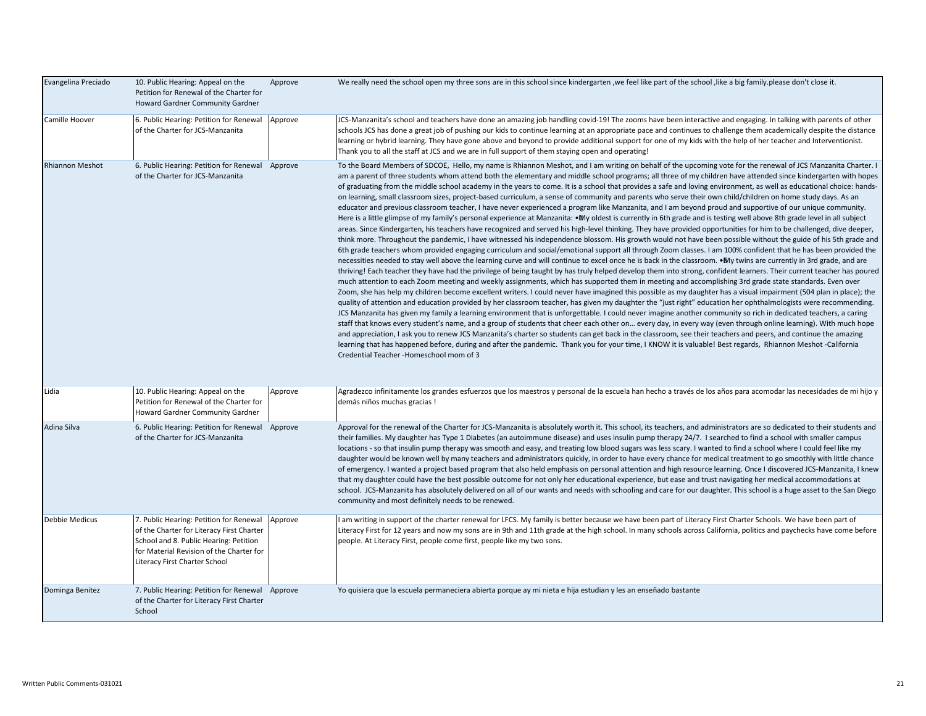| Evangelina Preciado    | 10. Public Hearing: Appeal on the<br>Petition for Renewal of the Charter for<br>Howard Gardner Community Gardner                                                                                            | Approve | We really need the school open my three sons are in this school since kindergarten, we feel like part of the school, like a big family please don't close it.                                                                                                                                                                                                                                                                                                                                                                                                                                                                                                                                                                                                                                                                                                                                                                                                                                                                                                                                                                                                                                                                                                                                                                                                                                                                                                                                                                                                                                                                                                                                                                                                                                                                                                                                                                                                                                                                                                                                                                                                                                                                                                                                                                                                                                                                                                                                                                                                                                                                                                                                                                                                                                                                                                                                                                                                                                                                                                                                 |
|------------------------|-------------------------------------------------------------------------------------------------------------------------------------------------------------------------------------------------------------|---------|-----------------------------------------------------------------------------------------------------------------------------------------------------------------------------------------------------------------------------------------------------------------------------------------------------------------------------------------------------------------------------------------------------------------------------------------------------------------------------------------------------------------------------------------------------------------------------------------------------------------------------------------------------------------------------------------------------------------------------------------------------------------------------------------------------------------------------------------------------------------------------------------------------------------------------------------------------------------------------------------------------------------------------------------------------------------------------------------------------------------------------------------------------------------------------------------------------------------------------------------------------------------------------------------------------------------------------------------------------------------------------------------------------------------------------------------------------------------------------------------------------------------------------------------------------------------------------------------------------------------------------------------------------------------------------------------------------------------------------------------------------------------------------------------------------------------------------------------------------------------------------------------------------------------------------------------------------------------------------------------------------------------------------------------------------------------------------------------------------------------------------------------------------------------------------------------------------------------------------------------------------------------------------------------------------------------------------------------------------------------------------------------------------------------------------------------------------------------------------------------------------------------------------------------------------------------------------------------------------------------------------------------------------------------------------------------------------------------------------------------------------------------------------------------------------------------------------------------------------------------------------------------------------------------------------------------------------------------------------------------------------------------------------------------------------------------------------------------------|
| Camille Hoover         | 6. Public Hearing: Petition for Renewal<br>of the Charter for JCS-Manzanita                                                                                                                                 | Approve | JCS-Manzanita's school and teachers have done an amazing job handling covid-19! The zooms have been interactive and engaging. In talking with parents of other<br>schools JCS has done a great job of pushing our kids to continue learning at an appropriate pace and continues to challenge them academically despite the distance<br>learning or hybrid learning. They have gone above and beyond to provide additional support for one of my kids with the help of her teacher and Interventionist.<br>Thank you to all the staff at JCS and we are in full support of them staying open and operating!                                                                                                                                                                                                                                                                                                                                                                                                                                                                                                                                                                                                                                                                                                                                                                                                                                                                                                                                                                                                                                                                                                                                                                                                                                                                                                                                                                                                                                                                                                                                                                                                                                                                                                                                                                                                                                                                                                                                                                                                                                                                                                                                                                                                                                                                                                                                                                                                                                                                                   |
| <b>Rhiannon Meshot</b> | 6. Public Hearing: Petition for Renewal Approve<br>of the Charter for JCS-Manzanita                                                                                                                         |         | To the Board Members of SDCOE, Hello, my name is Rhiannon Meshot, and I am writing on behalf of the upcoming vote for the renewal of JCS Manzanita Charter. I<br>am a parent of three students whom attend both the elementary and middle school programs; all three of my children have attended since kindergarten with hopes<br>of graduating from the middle school academy in the years to come. It is a school that provides a safe and loving environment, as well as educational choice: hands-<br>on learning, small classroom sizes, project-based curriculum, a sense of community and parents who serve their own child/children on home study days. As an<br>educator and previous classroom teacher, I have never experienced a program like Manzanita, and I am beyond proud and supportive of our unique community.<br>Here is a little glimpse of my family's personal experience at Manzanita: • My oldest is currently in 6th grade and is testing well above 8th grade level in all subject<br>areas. Since Kindergarten, his teachers have recognized and served his high-level thinking. They have provided opportunities for him to be challenged, dive deeper,<br>think more. Throughout the pandemic, I have witnessed his independence blossom. His growth would not have been possible without the guide of his 5th grade and<br>6th grade teachers whom provided engaging curriculum and social/emotional support all through Zoom classes. I am 100% confident that he has been provided the<br>necessities needed to stay well above the learning curve and will continue to excel once he is back in the classroom. • My twins are currently in 3rd grade, and are<br>thriving! Each teacher they have had the privilege of being taught by has truly helped develop them into strong, confident learners. Their current teacher has poured<br>much attention to each Zoom meeting and weekly assignments, which has supported them in meeting and accomplishing 3rd grade state standards. Even over<br>Zoom, she has help my children become excellent writers. I could never have imagined this possible as my daughter has a visual impairment (504 plan in place); the<br>quality of attention and education provided by her classroom teacher, has given my daughter the "just right" education her ophthalmologists were recommending.<br>JCS Manzanita has given my family a learning environment that is unforgettable. I could never imagine another community so rich in dedicated teachers, a caring<br>staff that knows every student's name, and a group of students that cheer each other on every day, in every way (even through online learning). With much hope<br>and appreciation, I ask you to renew JCS Manzanita's charter so students can get back in the classroom, see their teachers and peers, and continue the amazing<br>learning that has happened before, during and after the pandemic. Thank you for your time, I KNOW it is valuable! Best regards, Rhiannon Meshot -California<br>Credential Teacher -Homeschool mom of 3 |
| Lidia                  | 10. Public Hearing: Appeal on the<br>Petition for Renewal of the Charter for<br>Howard Gardner Community Gardner                                                                                            | Approve | Agradezco infinitamente los grandes esfuerzos que los maestros y personal de la escuela han hecho a través de los años para acomodar las necesidades de mi hijo y<br>demás niños muchas gracias!                                                                                                                                                                                                                                                                                                                                                                                                                                                                                                                                                                                                                                                                                                                                                                                                                                                                                                                                                                                                                                                                                                                                                                                                                                                                                                                                                                                                                                                                                                                                                                                                                                                                                                                                                                                                                                                                                                                                                                                                                                                                                                                                                                                                                                                                                                                                                                                                                                                                                                                                                                                                                                                                                                                                                                                                                                                                                              |
| Adina Silva            | 6. Public Hearing: Petition for Renewal Approve<br>of the Charter for JCS-Manzanita                                                                                                                         |         | Approval for the renewal of the Charter for JCS-Manzanita is absolutely worth it. This school, its teachers, and administrators are so dedicated to their students and<br>their families. My daughter has Type 1 Diabetes (an autoimmune disease) and uses insulin pump therapy 24/7. I searched to find a school with smaller campus<br>locations - so that insulin pump therapy was smooth and easy, and treating low blood sugars was less scary. I wanted to find a school where I could feel like my<br>daughter would be known well by many teachers and administrators quickly, in order to have every chance for medical treatment to go smoothly with little chance<br>of emergency. I wanted a project based program that also held emphasis on personal attention and high resource learning. Once I discovered JCS-Manzanita, I knew<br>that my daughter could have the best possible outcome for not only her educational experience, but ease and trust navigating her medical accommodations at<br>school. JCS-Manzanita has absolutely delivered on all of our wants and needs with schooling and care for our daughter. This school is a huge asset to the San Diego<br>community and most definitely needs to be renewed.                                                                                                                                                                                                                                                                                                                                                                                                                                                                                                                                                                                                                                                                                                                                                                                                                                                                                                                                                                                                                                                                                                                                                                                                                                                                                                                                                                                                                                                                                                                                                                                                                                                                                                                                                                                                                                                   |
| Debbie Medicus         | 7. Public Hearing: Petition for Renewal<br>of the Charter for Literacy First Charter<br>School and 8. Public Hearing: Petition<br>for Material Revision of the Charter for<br>Literacy First Charter School | Approve | I am writing in support of the charter renewal for LFCS. My family is better because we have been part of Literacy First Charter Schools. We have been part of<br>Literacy First for 12 years and now my sons are in 9th and 11th grade at the high school. In many schools across California, politics and paychecks have come before<br>people. At Literacy First, people come first, people like my two sons.                                                                                                                                                                                                                                                                                                                                                                                                                                                                                                                                                                                                                                                                                                                                                                                                                                                                                                                                                                                                                                                                                                                                                                                                                                                                                                                                                                                                                                                                                                                                                                                                                                                                                                                                                                                                                                                                                                                                                                                                                                                                                                                                                                                                                                                                                                                                                                                                                                                                                                                                                                                                                                                                              |
| Dominga Benitez        | 7. Public Hearing: Petition for Renewal Approve<br>of the Charter for Literacy First Charter<br>School                                                                                                      |         | Yo quisiera que la escuela permaneciera abierta porque ay mi nieta e hija estudian y les an enseñado bastante                                                                                                                                                                                                                                                                                                                                                                                                                                                                                                                                                                                                                                                                                                                                                                                                                                                                                                                                                                                                                                                                                                                                                                                                                                                                                                                                                                                                                                                                                                                                                                                                                                                                                                                                                                                                                                                                                                                                                                                                                                                                                                                                                                                                                                                                                                                                                                                                                                                                                                                                                                                                                                                                                                                                                                                                                                                                                                                                                                                 |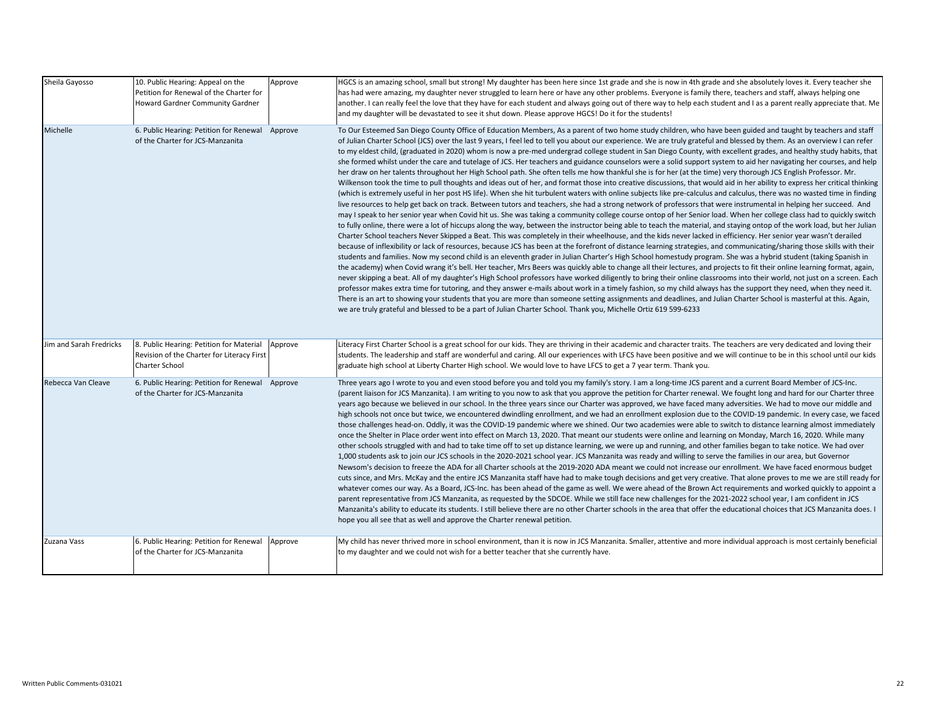| Sheila Gayosso          | 10. Public Hearing: Appeal on the<br>Petition for Renewal of the Charter for<br>Howard Gardner Community Gardner | Approve | HGCS is an amazing school, small but strong! My daughter has been here since 1st grade and she is now in 4th grade and she absolutely loves it. Every teacher she<br>has had were amazing, my daughter never struggled to learn here or have any other problems. Everyone is family there, teachers and staff, always helping one<br>another. I can really feel the love that they have for each student and always going out of there way to help each student and I as a parent really appreciate that. Me<br>and my daughter will be devastated to see it shut down. Please approve HGCS! Do it for the students!                                                                                                                                                                                                                                                                                                                                                                                                                                                                                                                                                                                                                                                                                                                                                                                                                                                                                                                                                                                                                                                                                                                                                                                                                                                                                                                                                                                                                                                                                                                                                                                                                                                                                                                                                                                                                                                                                                                                                                                                                                                                                                                                                                                                                                                                                                                                                                                                                                                   |
|-------------------------|------------------------------------------------------------------------------------------------------------------|---------|------------------------------------------------------------------------------------------------------------------------------------------------------------------------------------------------------------------------------------------------------------------------------------------------------------------------------------------------------------------------------------------------------------------------------------------------------------------------------------------------------------------------------------------------------------------------------------------------------------------------------------------------------------------------------------------------------------------------------------------------------------------------------------------------------------------------------------------------------------------------------------------------------------------------------------------------------------------------------------------------------------------------------------------------------------------------------------------------------------------------------------------------------------------------------------------------------------------------------------------------------------------------------------------------------------------------------------------------------------------------------------------------------------------------------------------------------------------------------------------------------------------------------------------------------------------------------------------------------------------------------------------------------------------------------------------------------------------------------------------------------------------------------------------------------------------------------------------------------------------------------------------------------------------------------------------------------------------------------------------------------------------------------------------------------------------------------------------------------------------------------------------------------------------------------------------------------------------------------------------------------------------------------------------------------------------------------------------------------------------------------------------------------------------------------------------------------------------------------------------------------------------------------------------------------------------------------------------------------------------------------------------------------------------------------------------------------------------------------------------------------------------------------------------------------------------------------------------------------------------------------------------------------------------------------------------------------------------------------------------------------------------------------------------------------------------------|
| Michelle                | 6. Public Hearing: Petition for Renewal Approve<br>of the Charter for JCS-Manzanita                              |         | To Our Esteemed San Diego County Office of Education Members, As a parent of two home study children, who have been guided and taught by teachers and staff<br>of Julian Charter School (JCS) over the last 9 years, I feel led to tell you about our experience. We are truly grateful and blessed by them. As an overview I can refer<br>to my eldest child, (graduated in 2020) whom is now a pre-med undergrad college student in San Diego County, with excellent grades, and healthy study habits, that<br>she formed whilst under the care and tutelage of JCS. Her teachers and guidance counselors were a solid support system to aid her navigating her courses, and help<br>her draw on her talents throughout her High School path. She often tells me how thankful she is for her (at the time) very thorough JCS English Professor. Mr.<br>Wilkenson took the time to pull thoughts and ideas out of her, and format those into creative discussions, that would aid in her ability to express her critical thinking<br>(which is extremely useful in her post HS life). When she hit turbulent waters with online subjects like pre-calculus and calculus, there was no wasted time in finding<br>live resources to help get back on track. Between tutors and teachers, she had a strong network of professors that were instrumental in helping her succeed. And<br>may I speak to her senior year when Covid hit us. She was taking a community college course ontop of her Senior load. When her college class had to quickly switch<br>to fully online, there were a lot of hiccups along the way, between the instructor being able to teach the material, and staying ontop of the work load, but her Julian<br>Charter School teachers Never Skipped a Beat. This was completely in their wheelhouse, and the kids never lacked in efficiency. Her senior year wasn't derailed<br>because of inflexibility or lack of resources, because JCS has been at the forefront of distance learning strategies, and communicating/sharing those skills with their<br>students and families. Now my second child is an eleventh grader in Julian Charter's High School homestudy program. She was a hybrid student (taking Spanish in<br>the academy) when Covid wrang it's bell. Her teacher, Mrs Beers was quickly able to change all their lectures, and projects to fit their online learning format, again,<br>never skipping a beat. All of my daughter's High School professors have worked diligently to bring their online classrooms into their world, not just on a screen. Each<br>professor makes extra time for tutoring, and they answer e-mails about work in a timely fashion, so my child always has the support they need, when they need it.<br>There is an art to showing your students that you are more than someone setting assignments and deadlines, and Julian Charter School is masterful at this. Again,<br>we are truly grateful and blessed to be a part of Julian Charter School. Thank you, Michelle Ortiz 619 599-6233 |
| Jim and Sarah Fredricks | 8. Public Hearing: Petition for Material<br>Revision of the Charter for Literacy First<br>Charter School         | Approve | Literacy First Charter School is a great school for our kids. They are thriving in their academic and character traits. The teachers are very dedicated and loving their<br>students. The leadership and staff are wonderful and caring. All our experiences with LFCS have been positive and we will continue to be in this school until our kids<br>graduate high school at Liberty Charter High school. We would love to have LFCS to get a 7 year term. Thank you.                                                                                                                                                                                                                                                                                                                                                                                                                                                                                                                                                                                                                                                                                                                                                                                                                                                                                                                                                                                                                                                                                                                                                                                                                                                                                                                                                                                                                                                                                                                                                                                                                                                                                                                                                                                                                                                                                                                                                                                                                                                                                                                                                                                                                                                                                                                                                                                                                                                                                                                                                                                                 |
| Rebecca Van Cleave      | 6. Public Hearing: Petition for Renewal Approve<br>of the Charter for JCS-Manzanita                              |         | Three years ago I wrote to you and even stood before you and told you my family's story. I am a long-time JCS parent and a current Board Member of JCS-Inc.<br>(parent liaison for JCS Manzanita). I am writing to you now to ask that you approve the petition for Charter renewal. We fought long and hard for our Charter three<br>years ago because we believed in our school. In the three years since our Charter was approved, we have faced many adversities. We had to move our middle and<br>high schools not once but twice, we encountered dwindling enrollment, and we had an enrollment explosion due to the COVID-19 pandemic. In every case, we faced<br>those challenges head-on. Oddly, it was the COVID-19 pandemic where we shined. Our two academies were able to switch to distance learning almost immediately<br>once the Shelter in Place order went into effect on March 13, 2020. That meant our students were online and learning on Monday, March 16, 2020. While many<br>other schools struggled with and had to take time off to set up distance learning, we were up and running, and other families began to take notice. We had over<br>1,000 students ask to join our JCS schools in the 2020-2021 school year. JCS Manzanita was ready and willing to serve the families in our area, but Governor<br>Newsom's decision to freeze the ADA for all Charter schools at the 2019-2020 ADA meant we could not increase our enrollment. We have faced enormous budget<br>cuts since, and Mrs. McKay and the entire JCS Manzanita staff have had to make tough decisions and get very creative. That alone proves to me we are still ready for<br>whatever comes our way. As a Board, JCS-Inc. has been ahead of the game as well. We were ahead of the Brown Act requirements and worked quickly to appoint a<br>parent representative from JCS Manzanita, as requested by the SDCOE. While we still face new challenges for the 2021-2022 school year, I am confident in JCS<br>Manzanita's ability to educate its students. I still believe there are no other Charter schools in the area that offer the educational choices that JCS Manzanita does. I<br>hope you all see that as well and approve the Charter renewal petition.                                                                                                                                                                                                                                                                                                                                                                                                                                                                                                                                                                                                                                                                                                                                                                                                   |
| Zuzana Vass             | 6. Public Hearing: Petition for Renewal<br>of the Charter for JCS-Manzanita                                      | Approve | My child has never thrived more in school environment, than it is now in JCS Manzanita. Smaller, attentive and more individual approach is most certainly beneficial<br>to my daughter and we could not wish for a better teacher that she currently have.                                                                                                                                                                                                                                                                                                                                                                                                                                                                                                                                                                                                                                                                                                                                                                                                                                                                                                                                                                                                                                                                                                                                                                                                                                                                                                                                                                                                                                                                                                                                                                                                                                                                                                                                                                                                                                                                                                                                                                                                                                                                                                                                                                                                                                                                                                                                                                                                                                                                                                                                                                                                                                                                                                                                                                                                             |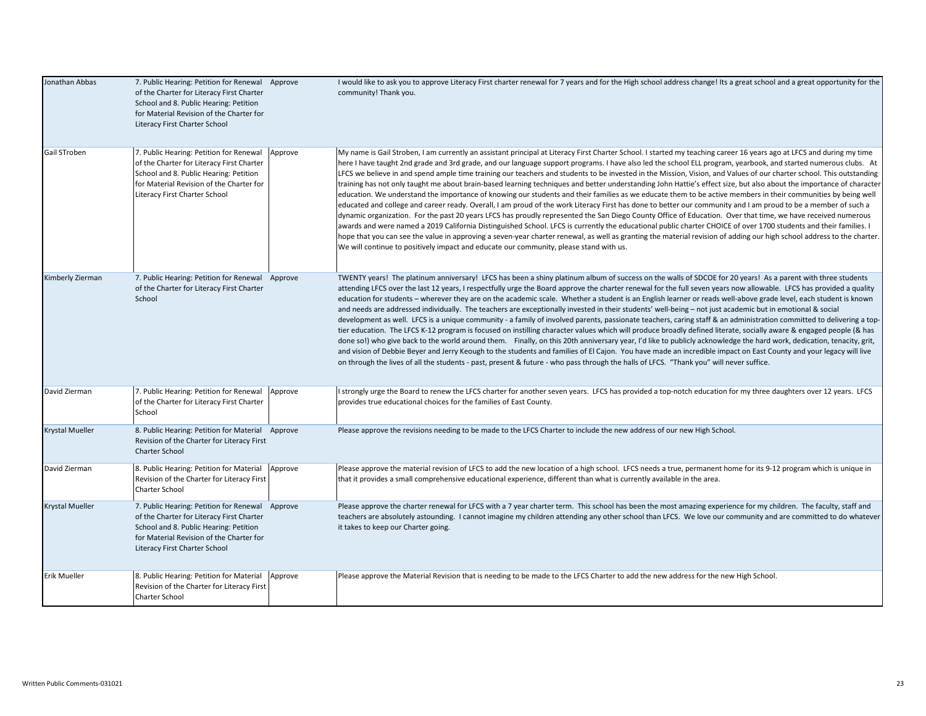| Jonathan Abbas         | 7. Public Hearing: Petition for Renewal Approve<br>of the Charter for Literacy First Charter<br>School and 8. Public Hearing: Petition<br>for Material Revision of the Charter for<br>Literacy First Charter School |         | I would like to ask you to approve Literacy First charter renewal for 7 years and for the High school address change! Its a great school and a great opportunity for the<br>community! Thank you.                                                                                                                                                                                                                                                                                                                                                                                                                                                                                                                                                                                                                                                                                                                                                                                                                                                                                                                                                                                                                                                                                                                                                                                                                                                                                                                                                                                                                                    |
|------------------------|---------------------------------------------------------------------------------------------------------------------------------------------------------------------------------------------------------------------|---------|--------------------------------------------------------------------------------------------------------------------------------------------------------------------------------------------------------------------------------------------------------------------------------------------------------------------------------------------------------------------------------------------------------------------------------------------------------------------------------------------------------------------------------------------------------------------------------------------------------------------------------------------------------------------------------------------------------------------------------------------------------------------------------------------------------------------------------------------------------------------------------------------------------------------------------------------------------------------------------------------------------------------------------------------------------------------------------------------------------------------------------------------------------------------------------------------------------------------------------------------------------------------------------------------------------------------------------------------------------------------------------------------------------------------------------------------------------------------------------------------------------------------------------------------------------------------------------------------------------------------------------------|
| Gail STroben           | 7. Public Hearing: Petition for Renewal<br>of the Charter for Literacy First Charter<br>School and 8. Public Hearing: Petition<br>for Material Revision of the Charter for<br>Literacy First Charter School         | Approve | My name is Gail Stroben, I am currently an assistant principal at Literacy First Charter School. I started my teaching career 16 years ago at LFCS and during my time<br>here I have taught 2nd grade and 3rd grade, and our language support programs. I have also led the school ELL program, yearbook, and started numerous clubs. At<br>LFCS we believe in and spend ample time training our teachers and students to be invested in the Mission, Vision, and Values of our charter school. This outstanding<br>training has not only taught me about brain-based learning techniques and better understanding John Hattie's effect size, but also about the importance of character<br>education. We understand the importance of knowing our students and their families as we educate them to be active members in their communities by being well<br>educated and college and career ready. Overall, I am proud of the work Literacy First has done to better our community and I am proud to be a member of such a<br>dynamic organization. For the past 20 years LFCS has proudly represented the San Diego County Office of Education. Over that time, we have received numerous<br>awards and were named a 2019 California Distinguished School. LFCS is currently the educational public charter CHOICE of over 1700 students and their families. I<br>hope that you can see the value in approving a seven-year charter renewal, as well as granting the material revision of adding our high school address to the charter.<br>We will continue to positively impact and educate our community, please stand with us. |
| Kimberly Zierman       | 7. Public Hearing: Petition for Renewal Approve<br>of the Charter for Literacy First Charter<br>School                                                                                                              |         | TWENTY years! The platinum anniversary! LFCS has been a shiny platinum album of success on the walls of SDCOE for 20 years! As a parent with three students<br>attending LFCS over the last 12 years, I respectfully urge the Board approve the charter renewal for the full seven years now allowable. LFCS has provided a quality<br>education for students - wherever they are on the academic scale. Whether a student is an English learner or reads well-above grade level, each student is known<br>and needs are addressed individually. The teachers are exceptionally invested in their students' well-being - not just academic but in emotional & social<br>development as well. LFCS is a unique community - a family of involved parents, passionate teachers, caring staff & an administration committed to delivering a top-<br>tier education. The LFCS K-12 program is focused on instilling character values which will produce broadly defined literate, socially aware & engaged people (& has<br>done so!) who give back to the world around them. Finally, on this 20th anniversary year, I'd like to publicly acknowledge the hard work, dedication, tenacity, grit,<br>and vision of Debbie Beyer and Jerry Keough to the students and families of El Cajon. You have made an incredible impact on East County and your legacy will live<br>on through the lives of all the students - past, present & future - who pass through the halls of LFCS. "Thank you" will never suffice.                                                                                                                         |
| David Zierman          | 7. Public Hearing: Petition for Renewal<br>of the Charter for Literacy First Charter<br>School                                                                                                                      | Approve | I strongly urge the Board to renew the LFCS charter for another seven years. LFCS has provided a top-notch education for my three daughters over 12 years. LFCS<br>provides true educational choices for the families of East County.                                                                                                                                                                                                                                                                                                                                                                                                                                                                                                                                                                                                                                                                                                                                                                                                                                                                                                                                                                                                                                                                                                                                                                                                                                                                                                                                                                                                |
| <b>Krystal Mueller</b> | 8. Public Hearing: Petition for Material Approve<br>Revision of the Charter for Literacy First<br><b>Charter School</b>                                                                                             |         | Please approve the revisions needing to be made to the LFCS Charter to include the new address of our new High School.                                                                                                                                                                                                                                                                                                                                                                                                                                                                                                                                                                                                                                                                                                                                                                                                                                                                                                                                                                                                                                                                                                                                                                                                                                                                                                                                                                                                                                                                                                               |
| David Zierman          | 8. Public Hearing: Petition for Material<br>Revision of the Charter for Literacy First<br>Charter School                                                                                                            | Approve | Please approve the material revision of LFCS to add the new location of a high school. LFCS needs a true, permanent home for its 9-12 program which is unique in<br>that it provides a small comprehensive educational experience, different than what is currently available in the area.                                                                                                                                                                                                                                                                                                                                                                                                                                                                                                                                                                                                                                                                                                                                                                                                                                                                                                                                                                                                                                                                                                                                                                                                                                                                                                                                           |
| <b>Krystal Mueller</b> | 7. Public Hearing: Petition for Renewal Approve<br>of the Charter for Literacy First Charter<br>School and 8. Public Hearing: Petition<br>for Material Revision of the Charter for<br>Literacy First Charter School |         | Please approve the charter renewal for LFCS with a 7 year charter term. This school has been the most amazing experience for my children. The faculty, staff and<br>teachers are absolutely astounding. I cannot imagine my children attending any other school than LFCS. We love our community and are committed to do whatever<br>it takes to keep our Charter going.                                                                                                                                                                                                                                                                                                                                                                                                                                                                                                                                                                                                                                                                                                                                                                                                                                                                                                                                                                                                                                                                                                                                                                                                                                                             |
| <b>Erik Mueller</b>    | 8. Public Hearing: Petition for Material<br>Revision of the Charter for Literacy First<br><b>Charter School</b>                                                                                                     | Approve | Please approve the Material Revision that is needing to be made to the LFCS Charter to add the new address for the new High School.                                                                                                                                                                                                                                                                                                                                                                                                                                                                                                                                                                                                                                                                                                                                                                                                                                                                                                                                                                                                                                                                                                                                                                                                                                                                                                                                                                                                                                                                                                  |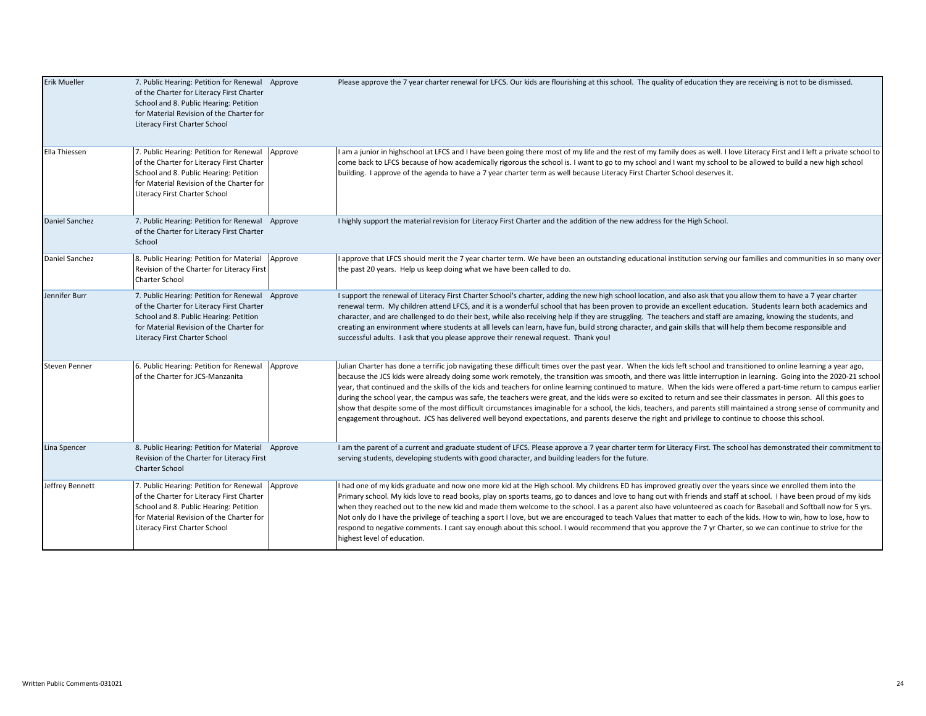| <b>Erik Mueller</b> | 7. Public Hearing: Petition for Renewal Approve<br>of the Charter for Literacy First Charter<br>School and 8. Public Hearing: Petition<br>for Material Revision of the Charter for<br>Literacy First Charter School |         | Please approve the 7 year charter renewal for LFCS. Our kids are flourishing at this school. The quality of education they are receiving is not to be dismissed.                                                                                                                                                                                                                                                                                                                                                                                                                                                                                                                                                                                                                                                                                                                                                                                                                                                        |
|---------------------|---------------------------------------------------------------------------------------------------------------------------------------------------------------------------------------------------------------------|---------|-------------------------------------------------------------------------------------------------------------------------------------------------------------------------------------------------------------------------------------------------------------------------------------------------------------------------------------------------------------------------------------------------------------------------------------------------------------------------------------------------------------------------------------------------------------------------------------------------------------------------------------------------------------------------------------------------------------------------------------------------------------------------------------------------------------------------------------------------------------------------------------------------------------------------------------------------------------------------------------------------------------------------|
| Ella Thiessen       | 7. Public Hearing: Petition for Renewal<br>of the Charter for Literacy First Charter<br>School and 8. Public Hearing: Petition<br>for Material Revision of the Charter for<br>Literacy First Charter School         | Approve | I am a junior in highschool at LFCS and I have been going there most of my life and the rest of my family does as well. I love Literacy First and I left a private school to<br>come back to LFCS because of how academically rigorous the school is. I want to go to my school and I want my school to be allowed to build a new high school<br>building. I approve of the agenda to have a 7 year charter term as well because Literacy First Charter School deserves it.                                                                                                                                                                                                                                                                                                                                                                                                                                                                                                                                             |
| Daniel Sanchez      | 7. Public Hearing: Petition for Renewal Approve<br>of the Charter for Literacy First Charter<br>School                                                                                                              |         | I highly support the material revision for Literacy First Charter and the addition of the new address for the High School.                                                                                                                                                                                                                                                                                                                                                                                                                                                                                                                                                                                                                                                                                                                                                                                                                                                                                              |
| Daniel Sanchez      | 8. Public Hearing: Petition for Material<br>Revision of the Charter for Literacy First<br>Charter School                                                                                                            | Approve | I approve that LFCS should merit the 7 year charter term. We have been an outstanding educational institution serving our families and communities in so many over<br>the past 20 years. Help us keep doing what we have been called to do.                                                                                                                                                                                                                                                                                                                                                                                                                                                                                                                                                                                                                                                                                                                                                                             |
| Jennifer Burr       | 7. Public Hearing: Petition for Renewal Approve<br>of the Charter for Literacy First Charter<br>School and 8. Public Hearing: Petition<br>for Material Revision of the Charter for<br>Literacy First Charter School |         | I support the renewal of Literacy First Charter School's charter, adding the new high school location, and also ask that you allow them to have a 7 year charter<br>renewal term. My children attend LFCS, and it is a wonderful school that has been proven to provide an excellent education. Students learn both academics and<br>character, and are challenged to do their best, while also receiving help if they are struggling. The teachers and staff are amazing, knowing the students, and<br>creating an environment where students at all levels can learn, have fun, build strong character, and gain skills that will help them become responsible and<br>successful adults. I ask that you please approve their renewal request. Thank you!                                                                                                                                                                                                                                                              |
| Steven Penner       | 6. Public Hearing: Petition for Renewal<br>of the Charter for JCS-Manzanita                                                                                                                                         | Approve | Julian Charter has done a terrific job navigating these difficult times over the past year. When the kids left school and transitioned to online learning a year ago,<br>because the JCS kids were already doing some work remotely, the transition was smooth, and there was little interruption in learning. Going into the 2020-21 school<br>year, that continued and the skills of the kids and teachers for online learning continued to mature. When the kids were offered a part-time return to campus earlier<br>during the school year, the campus was safe, the teachers were great, and the kids were so excited to return and see their classmates in person. All this goes to<br>show that despite some of the most difficult circumstances imaginable for a school, the kids, teachers, and parents still maintained a strong sense of community and<br>engagement throughout. JCS has delivered well beyond expectations, and parents deserve the right and privilege to continue to choose this school. |
| Lina Spencer        | 8. Public Hearing: Petition for Material Approve<br>Revision of the Charter for Literacy First<br><b>Charter School</b>                                                                                             |         | I am the parent of a current and graduate student of LFCS. Please approve a 7 year charter term for Literacy First. The school has demonstrated their commitment to<br>serving students, developing students with good character, and building leaders for the future.                                                                                                                                                                                                                                                                                                                                                                                                                                                                                                                                                                                                                                                                                                                                                  |
| Jeffrey Bennett     | 7. Public Hearing: Petition for Renewal<br>of the Charter for Literacy First Charter<br>School and 8. Public Hearing: Petition<br>for Material Revision of the Charter for<br>Literacy First Charter School         | Approve | I had one of my kids graduate and now one more kid at the High school. My childrens ED has improved greatly over the years since we enrolled them into the<br>Primary school. My kids love to read books, play on sports teams, go to dances and love to hang out with friends and staff at school. I have been proud of my kids<br>when they reached out to the new kid and made them welcome to the school. I as a parent also have volunteered as coach for Baseball and Softball now for 5 yrs.<br>Not only do I have the privilege of teaching a sport I love, but we are encouraged to teach Values that matter to each of the kids. How to win, how to lose, how to<br>respond to negative comments. I cant say enough about this school. I would recommend that you approve the 7 yr Charter, so we can continue to strive for the<br>highest level of education.                                                                                                                                               |